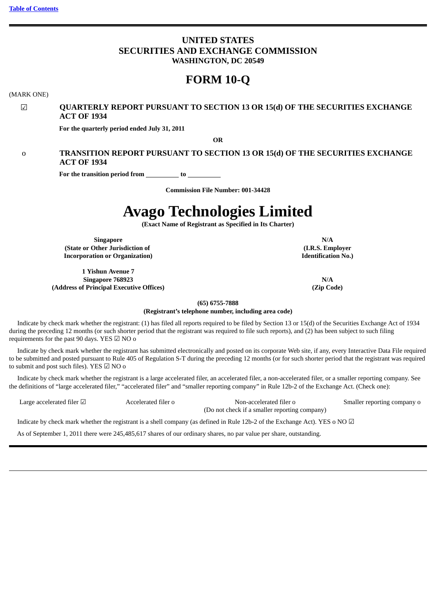# **UNITED STATES SECURITIES AND EXCHANGE COMMISSION WASHINGTON, DC 20549**

# **FORM 10-Q**

## (MARK ONE)

## ☑ **QUARTERLY REPORT PURSUANT TO SECTION 13 OR 15(d) OF THE SECURITIES EXCHANGE ACT OF 1934**

**For the quarterly period ended July 31, 2011**

**OR**

# o **TRANSITION REPORT PURSUANT TO SECTION 13 OR 15(d) OF THE SECURITIES EXCHANGE ACT OF 1934**

**For the transition period from to**

**Commission File Number: 001-34428**

# **Avago Technologies Limited**

**(Exact Name of Registrant as Specified in Its Charter)**

**Singapore (State or Other Jurisdiction of Incorporation or Organization)**

**1 Yishun Avenue 7 Singapore 768923 N/A (Address of Principal Executive Offices) (Zip Code)**

**N/A (I.R.S. Employer Identification No.)**

**(65) 6755-7888**

**(Registrant's telephone number, including area code)**

Indicate by check mark whether the registrant: (1) has filed all reports required to be filed by Section 13 or 15(d) of the Securities Exchange Act of 1934 during the preceding 12 months (or such shorter period that the registrant was required to file such reports), and (2) has been subject to such filing requirements for the past 90 days. YES  $\boxtimes$  NO o

Indicate by check mark whether the registrant has submitted electronically and posted on its corporate Web site, if any, every Interactive Data File required to be submitted and posted pursuant to Rule 405 of Regulation S-T during the preceding 12 months (or for such shorter period that the registrant was required to submit and post such files). YES ☑ NO o

Indicate by check mark whether the registrant is a large accelerated filer, an accelerated filer, a non-accelerated filer, or a smaller reporting company. See the definitions of "large accelerated filer," "accelerated filer" and "smaller reporting company" in Rule 12b-2 of the Exchange Act. (Check one):

Large accelerated filer **□** Accelerated filer o Non-accelerated filer o Smaller reporting company o

(Do not check if a smaller reporting company)

Indicate by check mark whether the registrant is a shell company (as defined in Rule 12b-2 of the Exchange Act). YES o NO  $\Box$ 

As of September 1, 2011 there were 245,485,617 shares of our ordinary shares, no par value per share, outstanding.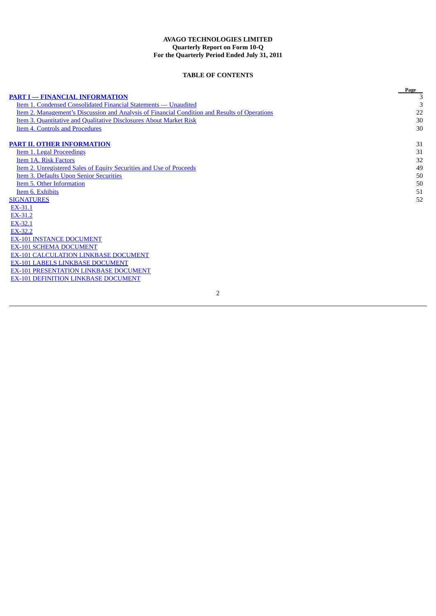## **AVAGO TECHNOLOGIES LIMITED Quarterly Report on Form 10-Q For the Quarterly Period Ended July 31, 2011**

# **TABLE OF CONTENTS**

<span id="page-2-0"></span>

|                                                                                                      | Page |
|------------------------------------------------------------------------------------------------------|------|
| <b>PART I - FINANCIAL INFORMATION</b>                                                                | 3    |
| Item 1. Condensed Consolidated Financial Statements — Unaudited                                      | 3    |
| <u>Item 2. Management's Discussion and Analysis of Financial Condition and Results of Operations</u> | 22   |
| Item 3. Quantitative and Qualitative Disclosures About Market Risk                                   | 30   |
| Item 4. Controls and Procedures                                                                      | 30   |
| <b>PART II. OTHER INFORMATION</b>                                                                    | 31   |
| Item 1. Legal Proceedings                                                                            | 31   |
| Item 1A. Risk Factors                                                                                | 32   |
| Item 2. Unregistered Sales of Equity Securities and Use of Proceeds                                  | 49   |
| <b>Item 3. Defaults Upon Senior Securities</b>                                                       | 50   |
| Item 5. Other Information                                                                            | 50   |
| Item 6. Exhibits                                                                                     | 51   |
| <b>SIGNATURES</b>                                                                                    | 52   |
| EX-31.1                                                                                              |      |
| EX-31.2                                                                                              |      |
| EX-32.1                                                                                              |      |
| EX-32.2                                                                                              |      |
| <b>EX-101 INSTANCE DOCUMENT</b>                                                                      |      |
| <b>EX-101 SCHEMA DOCUMENT</b>                                                                        |      |
| <b>EX-101 CALCULATION LINKBASE DOCUMENT</b>                                                          |      |
| EX-101 LABELS LINKBASE DOCUMENT                                                                      |      |
| <b>EX-101 PRESENTATION LINKBASE DOCUMENT</b>                                                         |      |
| <b>EX-101 DEFINITION LINKBASE DOCUMENT</b>                                                           |      |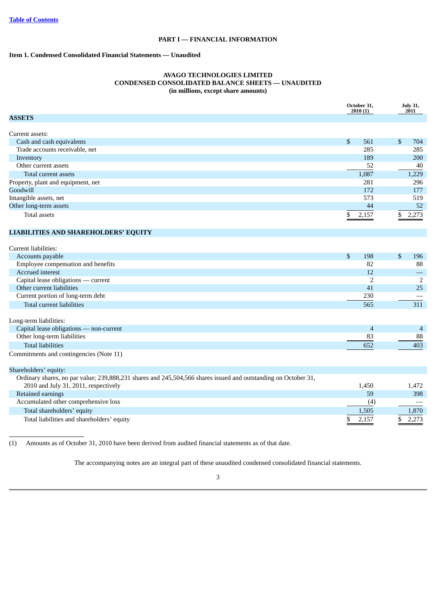## **PART I — FINANCIAL INFORMATION**

## <span id="page-3-1"></span><span id="page-3-0"></span>**Item 1. Condensed Consolidated Financial Statements — Unaudited**

## **AVAGO TECHNOLOGIES LIMITED CONDENSED CONSOLIDATED BALANCE SHEETS — UNAUDITED (in millions, except share amounts)**

|                                                                                                                | October 31,<br>2010(1) | <b>July 31,</b><br>2011 |
|----------------------------------------------------------------------------------------------------------------|------------------------|-------------------------|
| <b>ASSETS</b>                                                                                                  |                        |                         |
|                                                                                                                |                        |                         |
| Current assets:<br>Cash and cash equivalents                                                                   | \$<br>561              | \$<br>704               |
| Trade accounts receivable, net                                                                                 | 285                    | 285                     |
| Inventory                                                                                                      | 189                    | 200                     |
| Other current assets                                                                                           | 52                     | 40                      |
|                                                                                                                | 1,087                  | 1,229                   |
| Total current assets<br>Property, plant and equipment, net                                                     | 281                    | 296                     |
| Goodwill                                                                                                       | 172                    | 177                     |
| Intangible assets, net                                                                                         | 573                    | 519                     |
| Other long-term assets                                                                                         | 44                     | 52                      |
| <b>Total assets</b>                                                                                            |                        | \$<br>2,273             |
|                                                                                                                | \$<br>2,157            |                         |
| <b>LIABILITIES AND SHAREHOLDERS' EQUITY</b>                                                                    |                        |                         |
|                                                                                                                |                        |                         |
| Current liabilities:                                                                                           |                        |                         |
| Accounts payable                                                                                               | \$<br>198              | \$<br>196               |
| Employee compensation and benefits                                                                             | 82                     | 88                      |
| Accrued interest                                                                                               | 12                     |                         |
| Capital lease obligations — current                                                                            | $\overline{2}$         | $\overline{2}$          |
| Other current liabilities                                                                                      | 41                     | 25                      |
| Current portion of long-term debt                                                                              | 230                    |                         |
| Total current liabilities                                                                                      | 565                    | 311                     |
|                                                                                                                |                        |                         |
| Long-term liabilities:                                                                                         |                        |                         |
| Capital lease obligations - non-current                                                                        | $\overline{4}$         | $\overline{4}$          |
| Other long-term liabilities                                                                                    | 83                     | ${\bf 88}$              |
| <b>Total liabilities</b>                                                                                       | 652                    | 403                     |
| Commitments and contingencies (Note 11)                                                                        |                        |                         |
|                                                                                                                |                        |                         |
| Shareholders' equity:                                                                                          |                        |                         |
| Ordinary shares, no par value; 239,888,231 shares and 245,504,566 shares issued and outstanding on October 31, |                        |                         |
| 2010 and July 31, 2011, respectively                                                                           | 1,450                  | 1,472                   |
| Retained earnings                                                                                              | 59                     | 398                     |
| Accumulated other comprehensive loss                                                                           | (4)                    |                         |
| Total shareholders' equity                                                                                     | 1,505                  | 1,870                   |
| Total liabilities and shareholders' equity                                                                     | \$<br>2,157            | \$<br>2,273             |
|                                                                                                                |                        |                         |

(1) Amounts as of October 31, 2010 have been derived from audited financial statements as of that date.

The accompanying notes are an integral part of these unaudited condensed consolidated financial statements.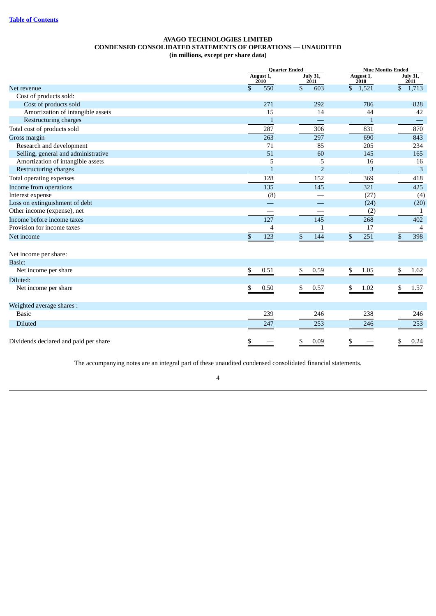## **AVAGO TECHNOLOGIES LIMITED CONDENSED CONSOLIDATED STATEMENTS OF OPERATIONS — UNAUDITED (in millions, except per share data)**

|                                       |                   | <b>Quarter Ended</b>    |                    | <b>Nine Months Ended</b> |  |  |
|---------------------------------------|-------------------|-------------------------|--------------------|--------------------------|--|--|
|                                       | August 1,<br>2010 | <b>July 31,</b><br>2011 | August 1,<br>2010  | <b>July 31,</b><br>2011  |  |  |
| Net revenue                           | \$<br>550         | $\mathbb{S}$<br>603     | $\overline{1,521}$ | $\mathbb{S}$<br>1,713    |  |  |
| Cost of products sold:                |                   |                         |                    |                          |  |  |
| Cost of products sold                 | 271               | 292                     | 786                | 828                      |  |  |
| Amortization of intangible assets     | 15                | 14                      | 44                 | 42                       |  |  |
| Restructuring charges                 | $\mathbf{1}$      |                         | 1                  |                          |  |  |
| Total cost of products sold           | 287               | 306                     | 831                | 870                      |  |  |
| Gross margin                          | 263               | 297                     | 690                | 843                      |  |  |
| Research and development              | 71                | 85                      | 205                | 234                      |  |  |
| Selling, general and administrative   | 51                | 60                      | 145                | 165                      |  |  |
| Amortization of intangible assets     | 5                 | 5                       | 16                 | 16                       |  |  |
| Restructuring charges                 |                   | $\overline{2}$          | 3                  | 3                        |  |  |
| Total operating expenses              | 128               | 152                     | 369                | 418                      |  |  |
| Income from operations                | 135               | 145                     | 321                | 425                      |  |  |
| Interest expense                      | (8)               |                         | (27)               | (4)                      |  |  |
| Loss on extinguishment of debt        |                   |                         | (24)               | (20)                     |  |  |
| Other income (expense), net           |                   |                         | (2)                | 1                        |  |  |
| Income before income taxes            | 127               | 145                     | 268                | 402                      |  |  |
| Provision for income taxes            | 4                 | $\mathbf{1}$            | 17                 | $\overline{4}$           |  |  |
| Net income                            | 123<br>\$         | 144<br>\$               | $\$$<br>251        | 398<br>\$                |  |  |
| Net income per share:                 |                   |                         |                    |                          |  |  |
| Basic:                                |                   |                         |                    |                          |  |  |
| Net income per share                  | \$<br>0.51        | \$<br>0.59              | \$<br>1.05         | 1.62<br>\$.              |  |  |
| Diluted:                              |                   |                         |                    |                          |  |  |
| Net income per share                  | \$<br>0.50        | \$<br>0.57              | \$<br>1.02         | 1.57                     |  |  |
| Weighted average shares :             |                   |                         |                    |                          |  |  |
| <b>Basic</b>                          | 239               | 246                     | 238<br>-           | 246                      |  |  |
| Diluted                               | 247               | 253                     | 246                | 253                      |  |  |
| Dividends declared and paid per share | \$                | \$<br>0.09              | \$                 | 0.24<br>\$               |  |  |

The accompanying notes are an integral part of these unaudited condensed consolidated financial statements.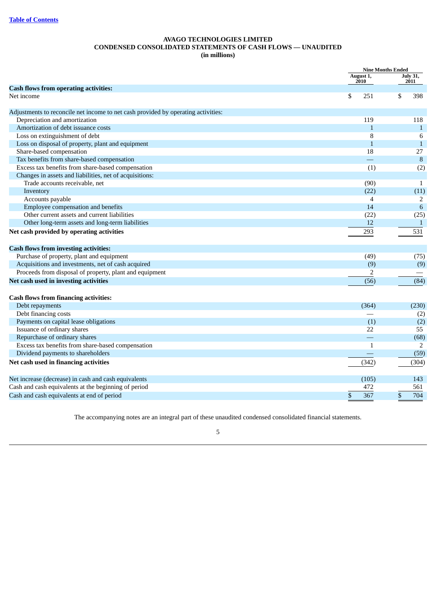## **AVAGO TECHNOLOGIES LIMITED CONDENSED CONSOLIDATED STATEMENTS OF CASH FLOWS — UNAUDITED (in millions)**

|                                                                                   |                   | <b>Nine Months Ended</b> |
|-----------------------------------------------------------------------------------|-------------------|--------------------------|
|                                                                                   | August 1,<br>2010 | <b>July 31,</b><br>2011  |
| <b>Cash flows from operating activities:</b>                                      |                   |                          |
| Net income                                                                        | \$<br>251         | \$<br>398                |
| Adjustments to reconcile net income to net cash provided by operating activities: |                   |                          |
| Depreciation and amortization                                                     | 119               | 118                      |
| Amortization of debt issuance costs                                               | $\mathbf{1}$      | $\mathbf{1}$             |
| Loss on extinguishment of debt                                                    | 8                 | 6                        |
| Loss on disposal of property, plant and equipment                                 | $\mathbf{1}$      | $\mathbf{1}$             |
| Share-based compensation                                                          | 18                | 27                       |
| Tax benefits from share-based compensation                                        |                   | 8                        |
| Excess tax benefits from share-based compensation                                 | (1)               | (2)                      |
| Changes in assets and liabilities, net of acquisitions:                           |                   |                          |
| Trade accounts receivable, net                                                    | (90)              | 1                        |
| Inventory                                                                         | (22)              | (11)                     |
| Accounts payable                                                                  | $\overline{4}$    | 2                        |
| Employee compensation and benefits                                                | 14                | 6                        |
| Other current assets and current liabilities                                      | (22)              | (25)                     |
| Other long-term assets and long-term liabilities                                  | 12                | $\mathbf{1}$             |
| Net cash provided by operating activities                                         | 293               | 531                      |
| <b>Cash flows from investing activities:</b>                                      |                   |                          |
| Purchase of property, plant and equipment                                         | (49)              | (75)                     |
| Acquisitions and investments, net of cash acquired                                | (9)               | (9)                      |
| Proceeds from disposal of property, plant and equipment                           | $\overline{2}$    |                          |
| Net cash used in investing activities                                             | (56)              | (84)                     |
| <b>Cash flows from financing activities:</b>                                      |                   |                          |
| Debt repayments                                                                   | (364)             | (230)                    |
| Debt financing costs                                                              |                   | (2)                      |
| Payments on capital lease obligations                                             | (1)               | (2)                      |
| Issuance of ordinary shares                                                       | 22                | 55                       |
| Repurchase of ordinary shares                                                     |                   | (68)                     |
| Excess tax benefits from share-based compensation                                 | $\mathbf{1}$      | $\overline{2}$           |
| Dividend payments to shareholders                                                 |                   | (59)                     |
| Net cash used in financing activities                                             | (342)             | (304)                    |
| Net increase (decrease) in cash and cash equivalents                              | (105)             | 143                      |
| Cash and cash equivalents at the beginning of period                              | 472               | 561                      |
| Cash and cash equivalents at end of period                                        |                   | 704                      |
|                                                                                   | \$<br>367         | \$                       |

The accompanying notes are an integral part of these unaudited condensed consolidated financial statements.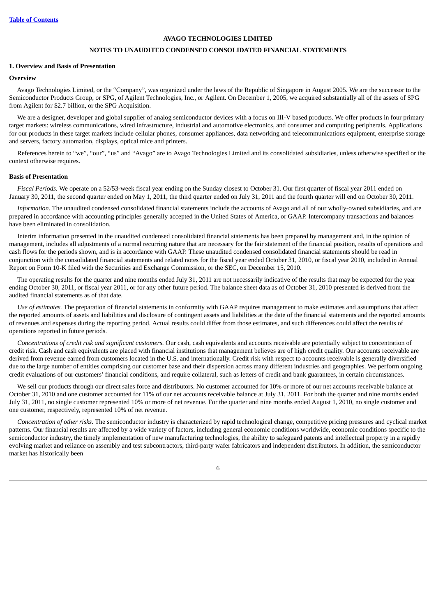## **AVAGO TECHNOLOGIES LIMITED**

## **NOTES TO UNAUDITED CONDENSED CONSOLIDATED FINANCIAL STATEMENTS**

#### **1. Overview and Basis of Presentation**

#### **Overview**

Avago Technologies Limited, or the "Company", was organized under the laws of the Republic of Singapore in August 2005. We are the successor to the Semiconductor Products Group, or SPG, of Agilent Technologies, Inc., or Agilent. On December 1, 2005, we acquired substantially all of the assets of SPG from Agilent for \$2.7 billion, or the SPG Acquisition.

We are a designer, developer and global supplier of analog semiconductor devices with a focus on III-V based products. We offer products in four primary target markets: wireless communications, wired infrastructure, industrial and automotive electronics, and consumer and computing peripherals. Applications for our products in these target markets include cellular phones, consumer appliances, data networking and telecommunications equipment, enterprise storage and servers, factory automation, displays, optical mice and printers.

References herein to "we", "our", "us" and "Avago" are to Avago Technologies Limited and its consolidated subsidiaries, unless otherwise specified or the context otherwise requires.

#### **Basis of Presentation**

*Fiscal Periods.* We operate on a 52/53-week fiscal year ending on the Sunday closest to October 31. Our first quarter of fiscal year 2011 ended on January 30, 2011, the second quarter ended on May 1, 2011, the third quarter ended on July 31, 2011 and the fourth quarter will end on October 30, 2011.

*Information.* The unaudited condensed consolidated financial statements include the accounts of Avago and all of our wholly-owned subsidiaries, and are prepared in accordance with accounting principles generally accepted in the United States of America, or GAAP. Intercompany transactions and balances have been eliminated in consolidation.

Interim information presented in the unaudited condensed consolidated financial statements has been prepared by management and, in the opinion of management, includes all adjustments of a normal recurring nature that are necessary for the fair statement of the financial position, results of operations and cash flows for the periods shown, and is in accordance with GAAP. These unaudited condensed consolidated financial statements should be read in conjunction with the consolidated financial statements and related notes for the fiscal year ended October 31, 2010, or fiscal year 2010, included in Annual Report on Form 10-K filed with the Securities and Exchange Commission, or the SEC, on December 15, 2010.

The operating results for the quarter and nine months ended July 31, 2011 are not necessarily indicative of the results that may be expected for the year ending October 30, 2011, or fiscal year 2011, or for any other future period. The balance sheet data as of October 31, 2010 presented is derived from the audited financial statements as of that date.

*Use of estimates.* The preparation of financial statements in conformity with GAAP requires management to make estimates and assumptions that affect the reported amounts of assets and liabilities and disclosure of contingent assets and liabilities at the date of the financial statements and the reported amounts of revenues and expenses during the reporting period. Actual results could differ from those estimates, and such differences could affect the results of operations reported in future periods.

*Concentrations of credit risk and significant customers.* Our cash, cash equivalents and accounts receivable are potentially subject to concentration of credit risk. Cash and cash equivalents are placed with financial institutions that management believes are of high credit quality. Our accounts receivable are derived from revenue earned from customers located in the U.S. and internationally. Credit risk with respect to accounts receivable is generally diversified due to the large number of entities comprising our customer base and their dispersion across many different industries and geographies. We perform ongoing credit evaluations of our customers' financial conditions, and require collateral, such as letters of credit and bank guarantees, in certain circumstances.

We sell our products through our direct sales force and distributors. No customer accounted for 10% or more of our net accounts receivable balance at October 31, 2010 and one customer accounted for 11% of our net accounts receivable balance at July 31, 2011. For both the quarter and nine months ended July 31, 2011, no single customer represented 10% or more of net revenue. For the quarter and nine months ended August 1, 2010, no single customer and one customer, respectively, represented 10% of net revenue.

*Concentration of other risks*. The semiconductor industry is characterized by rapid technological change, competitive pricing pressures and cyclical market patterns. Our financial results are affected by a wide variety of factors, including general economic conditions worldwide, economic conditions specific to the semiconductor industry, the timely implementation of new manufacturing technologies, the ability to safeguard patents and intellectual property in a rapidly evolving market and reliance on assembly and test subcontractors, third-party wafer fabricators and independent distributors. In addition, the semiconductor market has historically been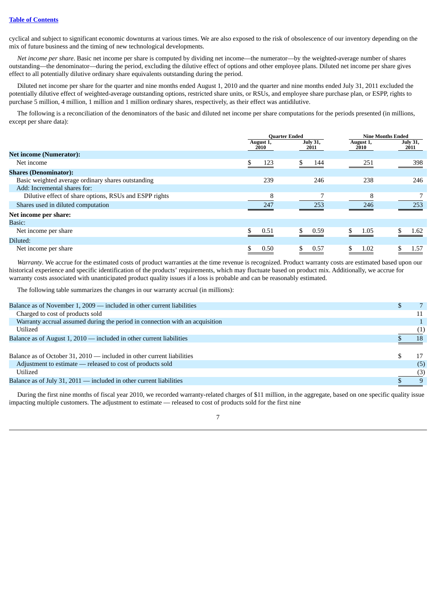cyclical and subject to significant economic downturns at various times. We are also exposed to the risk of obsolescence of our inventory depending on the mix of future business and the timing of new technological developments.

*Net income per share*. Basic net income per share is computed by dividing net income—the numerator—by the weighted-average number of shares outstanding—the denominator—during the period, excluding the dilutive effect of options and other employee plans. Diluted net income per share gives effect to all potentially dilutive ordinary share equivalents outstanding during the period.

Diluted net income per share for the quarter and nine months ended August 1, 2010 and the quarter and nine months ended July 31, 2011 excluded the potentially dilutive effect of weighted-average outstanding options, restricted share units, or RSUs, and employee share purchase plan, or ESPP, rights to purchase 5 million, 4 million, 1 million and 1 million ordinary shares, respectively, as their effect was antidilutive.

The following is a reconciliation of the denominators of the basic and diluted net income per share computations for the periods presented (in millions, except per share data):

|                                                        |                   | <b>Ouarter Ended</b>    |                   | <b>Nine Months Ended</b> |
|--------------------------------------------------------|-------------------|-------------------------|-------------------|--------------------------|
|                                                        | August 1,<br>2010 | <b>July 31,</b><br>2011 | August 1,<br>2010 | <b>July 31,</b><br>2011  |
| <b>Net income (Numerator):</b>                         |                   |                         |                   |                          |
| Net income                                             | 123               | 144                     | 251               | 398                      |
| <b>Shares (Denominator):</b>                           |                   |                         |                   |                          |
| Basic weighted average ordinary shares outstanding     | 239               | 246                     | 238               | 246                      |
| Add: Incremental shares for:                           |                   |                         |                   |                          |
| Dilutive effect of share options, RSUs and ESPP rights | ጸ                 |                         | 8                 |                          |
| Shares used in diluted computation                     | 247               | 253                     | 246               | 253                      |
| Net income per share:                                  |                   |                         |                   |                          |
| Basic:                                                 |                   |                         |                   |                          |
| Net income per share                                   | 0.51              | 0.59                    | 1.05              | 1.62                     |
| Diluted:                                               |                   |                         |                   |                          |
| Net income per share                                   | 0.50              | 0.57                    | 1.02              | 1.57                     |

*Warranty*. We accrue for the estimated costs of product warranties at the time revenue is recognized. Product warranty costs are estimated based upon our historical experience and specific identification of the products' requirements, which may fluctuate based on product mix. Additionally, we accrue for warranty costs associated with unanticipated product quality issues if a loss is probable and can be reasonably estimated.

The following table summarizes the changes in our warranty accrual (in millions):

| Balance as of November 1, 2009 — included in other current liabilities       |     |
|------------------------------------------------------------------------------|-----|
| Charged to cost of products sold                                             | 11  |
| Warranty accrual assumed during the period in connection with an acquisition |     |
| Utilized                                                                     |     |
| Balance as of August 1, 2010 — included in other current liabilities         | 18  |
| Balance as of October 31, 2010 — included in other current liabilities       |     |
| Adjustment to estimate — released to cost of products sold                   | (5) |
| Utilized                                                                     |     |
| Balance as of July 31, 2011 — included in other current liabilities          |     |
|                                                                              |     |

During the first nine months of fiscal year 2010, we recorded warranty-related charges of \$11 million, in the aggregate, based on one specific quality issue impacting multiple customers. The adjustment to estimate — released to cost of products sold for the first nine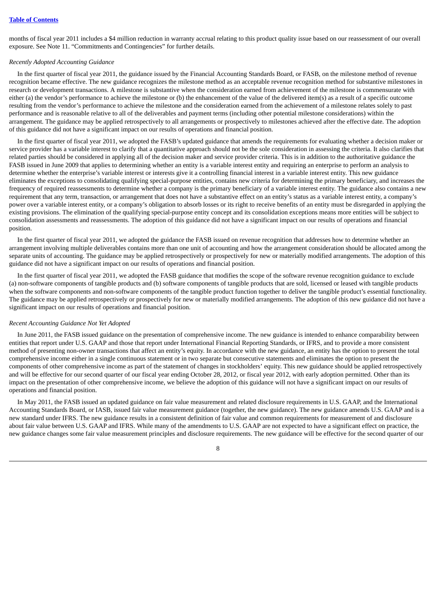months of fiscal year 2011 includes a \$4 million reduction in warranty accrual relating to this product quality issue based on our reassessment of our overall exposure. See Note 11. "Commitments and Contingencies" for further details.

#### *Recently Adopted Accounting Guidance*

In the first quarter of fiscal year 2011, the guidance issued by the Financial Accounting Standards Board, or FASB, on the milestone method of revenue recognition became effective. The new guidance recognizes the milestone method as an acceptable revenue recognition method for substantive milestones in research or development transactions. A milestone is substantive when the consideration earned from achievement of the milestone is commensurate with either (a) the vendor's performance to achieve the milestone or (b) the enhancement of the value of the delivered item(s) as a result of a specific outcome resulting from the vendor's performance to achieve the milestone and the consideration earned from the achievement of a milestone relates solely to past performance and is reasonable relative to all of the deliverables and payment terms (including other potential milestone considerations) within the arrangement. The guidance may be applied retrospectively to all arrangements or prospectively to milestones achieved after the effective date. The adoption of this guidance did not have a significant impact on our results of operations and financial position.

In the first quarter of fiscal year 2011, we adopted the FASB's updated guidance that amends the requirements for evaluating whether a decision maker or service provider has a variable interest to clarify that a quantitative approach should not be the sole consideration in assessing the criteria. It also clarifies that related parties should be considered in applying all of the decision maker and service provider criteria. This is in addition to the authoritative guidance the FASB issued in June 2009 that applies to determining whether an entity is a variable interest entity and requiring an enterprise to perform an analysis to determine whether the enterprise's variable interest or interests give it a controlling financial interest in a variable interest entity. This new guidance eliminates the exceptions to consolidating qualifying special-purpose entities, contains new criteria for determining the primary beneficiary, and increases the frequency of required reassessments to determine whether a company is the primary beneficiary of a variable interest entity. The guidance also contains a new requirement that any term, transaction, or arrangement that does not have a substantive effect on an entity's status as a variable interest entity, a company's power over a variable interest entity, or a company's obligation to absorb losses or its right to receive benefits of an entity must be disregarded in applying the existing provisions. The elimination of the qualifying special-purpose entity concept and its consolidation exceptions means more entities will be subject to consolidation assessments and reassessments. The adoption of this guidance did not have a significant impact on our results of operations and financial position.

In the first quarter of fiscal year 2011, we adopted the guidance the FASB issued on revenue recognition that addresses how to determine whether an arrangement involving multiple deliverables contains more than one unit of accounting and how the arrangement consideration should be allocated among the separate units of accounting. The guidance may be applied retrospectively or prospectively for new or materially modified arrangements. The adoption of this guidance did not have a significant impact on our results of operations and financial position.

In the first quarter of fiscal year 2011, we adopted the FASB guidance that modifies the scope of the software revenue recognition guidance to exclude (a) non-software components of tangible products and (b) software components of tangible products that are sold, licensed or leased with tangible products when the software components and non-software components of the tangible product function together to deliver the tangible product's essential functionality. The guidance may be applied retrospectively or prospectively for new or materially modified arrangements. The adoption of this new guidance did not have a significant impact on our results of operations and financial position.

#### *Recent Accounting Guidance Not Yet Adopted*

In June 2011, the FASB issued guidance on the presentation of comprehensive income. The new guidance is intended to enhance comparability between entities that report under U.S. GAAP and those that report under International Financial Reporting Standards, or IFRS, and to provide a more consistent method of presenting non-owner transactions that affect an entity's equity. In accordance with the new guidance, an entity has the option to present the total comprehensive income either in a single continuous statement or in two separate but consecutive statements and eliminates the option to present the components of other comprehensive income as part of the statement of changes in stockholders' equity. This new guidance should be applied retrospectively and will be effective for our second quarter of our fiscal year ending October 28, 2012, or fiscal year 2012, with early adoption permitted. Other than its impact on the presentation of other comprehensive income, we believe the adoption of this guidance will not have a significant impact on our results of operations and financial position.

In May 2011, the FASB issued an updated guidance on fair value measurement and related disclosure requirements in U.S. GAAP, and the International Accounting Standards Board, or IASB, issued fair value measurement guidance (together, the new guidance). The new guidance amends U.S. GAAP and is a new standard under IFRS. The new guidance results in a consistent definition of fair value and common requirements for measurement of and disclosure about fair value between U.S. GAAP and IFRS. While many of the amendments to U.S. GAAP are not expected to have a significant effect on practice, the new guidance changes some fair value measurement principles and disclosure requirements. The new guidance will be effective for the second quarter of our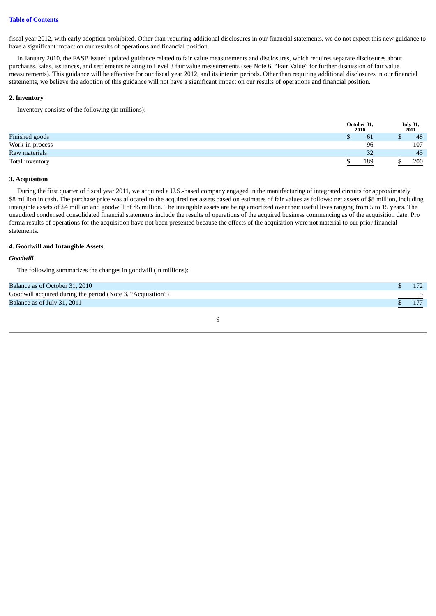fiscal year 2012, with early adoption prohibited. Other than requiring additional disclosures in our financial statements, we do not expect this new guidance to have a significant impact on our results of operations and financial position.

In January 2010, the FASB issued updated guidance related to fair value measurements and disclosures, which requires separate disclosures about purchases, sales, issuances, and settlements relating to Level 3 fair value measurements (see Note 6. "Fair Value" for further discussion of fair value measurements). This guidance will be effective for our fiscal year 2012, and its interim periods. Other than requiring additional disclosures in our financial statements, we believe the adoption of this guidance will not have a significant impact on our results of operations and financial position.

#### **2. Inventory**

Inventory consists of the following (in millions):

|                       | October 31,<br>2010 | <b>July 31,</b><br>2011         |
|-----------------------|---------------------|---------------------------------|
| <b>Finished goods</b> | 61                  | 48                              |
| Work-in-process       | 96                  | 107                             |
| Raw materials         | 32                  | 45                              |
| Total inventory       | 189                 | 200<br>$\overline{\phantom{a}}$ |

# **3. Acquisition**

During the first quarter of fiscal year 2011, we acquired a U.S.-based company engaged in the manufacturing of integrated circuits for approximately \$8 million in cash. The purchase price was allocated to the acquired net assets based on estimates of fair values as follows: net assets of \$8 million, including intangible assets of \$4 million and goodwill of \$5 million. The intangible assets are being amortized over their useful lives ranging from 5 to 15 years. The unaudited condensed consolidated financial statements include the results of operations of the acquired business commencing as of the acquisition date. Pro forma results of operations for the acquisition have not been presented because the effects of the acquisition were not material to our prior financial statements.

## **4. Goodwill and Intangible Assets**

### *Goodwill*

The following summarizes the changes in goodwill (in millions):

| Balance as of October 31, 2010                              | 172 |
|-------------------------------------------------------------|-----|
| Goodwill acquired during the period (Note 3. "Acquisition") |     |
| Balance as of July 31, 2011                                 | 177 |
|                                                             |     |
|                                                             |     |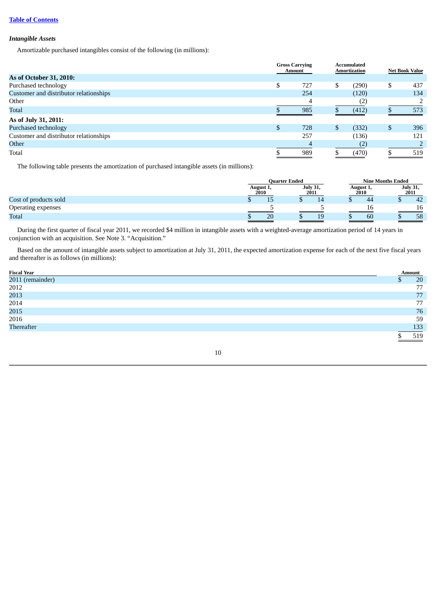## *Intangible Assets*

Amortizable purchased intangibles consist of the following (in millions):

|                                        | <b>Gross Carrying</b><br><b>Accumulated</b><br><b>Amortization</b><br><b>Amount</b> |                |  | <b>Net Book Value</b> |    |               |
|----------------------------------------|-------------------------------------------------------------------------------------|----------------|--|-----------------------|----|---------------|
| As of October 31, 2010:                |                                                                                     |                |  |                       |    |               |
| Purchased technology                   | \$                                                                                  | 727            |  | (290)                 | \$ | 437           |
| Customer and distributor relationships |                                                                                     | 254            |  | (120)                 |    | 134           |
| Other                                  |                                                                                     | 4              |  |                       |    | 2             |
| <b>Total</b>                           |                                                                                     | 985            |  | (412)                 |    | 573           |
| As of July 31, 2011:                   |                                                                                     |                |  |                       |    |               |
| Purchased technology                   | \$                                                                                  | 728            |  | (332)                 | \$ | 396           |
| Customer and distributor relationships |                                                                                     | 257            |  | (136)                 |    | 121           |
| Other                                  |                                                                                     | $\overline{4}$ |  | (2)                   |    | $\mathcal{P}$ |
| Total                                  |                                                                                     | 989            |  | (470)                 |    | 519           |

The following table presents the amortization of purchased intangible assets (in millions):

|                       |      | <b>Ouarter Ended</b>                 |    | <b>Nine Months Ended</b> |
|-----------------------|------|--------------------------------------|----|--------------------------|
|                       | 2010 | <b>July 31,</b><br>August 1,<br>2011 |    | <b>July 31,</b><br>2011  |
| Cost of products sold |      | 14<br>-10                            | 44 | 42                       |
| Operating expenses    |      |                                      |    | 16                       |
| <b>Total</b>          |      | 20<br>19                             | 60 | 58                       |

During the first quarter of fiscal year 2011, we recorded \$4 million in intangible assets with a weighted-average amortization period of 14 years in conjunction with an acquisition. See Note 3. "Acquisition."

Based on the amount of intangible assets subject to amortization at July 31, 2011, the expected amortization expense for each of the next five fiscal years and thereafter is as follows (in millions):

| <b>Fiscal Year</b> | Amount |
|--------------------|--------|
| 2011 (remainder)   | 20     |
| 2012               | 77     |
| 2013               | 77     |
| 2014               | 77     |
| 2015               | 76     |
| 2016               | 59     |
| <b>Thereafter</b>  | 133    |
|                    | 519    |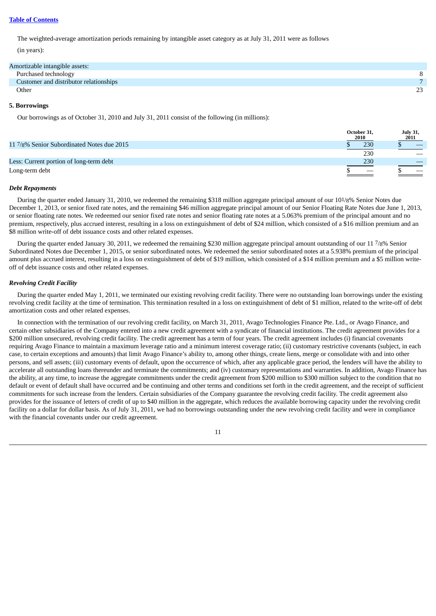## **Table of [Contents](#page-2-0)**

The weighted-average amortization periods remaining by intangible asset category as at July 31, 2011 were as follows

(in years):

| Amortizable intangible assets:         |  |
|----------------------------------------|--|
| Purchased technology                   |  |
| Customer and distributor relationships |  |
| Other                                  |  |

## **5. Borrowings**

Our borrowings as of October 31, 2010 and July 31, 2011 consist of the following (in millions):

|                                            | October 31,<br>2010 | <b>July 31,</b><br>2011        |
|--------------------------------------------|---------------------|--------------------------------|
| 11 7/8% Senior Subordinated Notes due 2015 | 230                 |                                |
|                                            | 230                 | $\overbrace{\hspace{25mm}}^{}$ |
| Less: Current portion of long-term debt    | 230                 |                                |
| Long-term debt                             |                     |                                |

#### *Debt Repayments*

During the quarter ended January 31, 2010, we redeemed the remaining \$318 million aggregate principal amount of our 101/8% Senior Notes due December 1, 2013, or senior fixed rate notes, and the remaining \$46 million aggregate principal amount of our Senior Floating Rate Notes due June 1, 2013, or senior floating rate notes. We redeemed our senior fixed rate notes and senior floating rate notes at a 5.063% premium of the principal amount and no premium, respectively, plus accrued interest, resulting in a loss on extinguishment of debt of \$24 million, which consisted of a \$16 million premium and an \$8 million write-off of debt issuance costs and other related expenses.

During the quarter ended January 30, 2011, we redeemed the remaining \$230 million aggregate principal amount outstanding of our 11 7/8% Senior Subordinated Notes due December 1, 2015, or senior subordinated notes. We redeemed the senior subordinated notes at a 5.938% premium of the principal amount plus accrued interest, resulting in a loss on extinguishment of debt of \$19 million, which consisted of a \$14 million premium and a \$5 million writeoff of debt issuance costs and other related expenses.

### *Revolving Credit Facility*

During the quarter ended May 1, 2011, we terminated our existing revolving credit facility. There were no outstanding loan borrowings under the existing revolving credit facility at the time of termination. This termination resulted in a loss on extinguishment of debt of \$1 million, related to the write-off of debt amortization costs and other related expenses.

In connection with the termination of our revolving credit facility, on March 31, 2011, Avago Technologies Finance Pte. Ltd., or Avago Finance, and certain other subsidiaries of the Company entered into a new credit agreement with a syndicate of financial institutions. The credit agreement provides for a \$200 million unsecured, revolving credit facility. The credit agreement has a term of four years. The credit agreement includes (i) financial covenants requiring Avago Finance to maintain a maximum leverage ratio and a minimum interest coverage ratio; (ii) customary restrictive covenants (subject, in each case, to certain exceptions and amounts) that limit Avago Finance's ability to, among other things, create liens, merge or consolidate with and into other persons, and sell assets; (iii) customary events of default, upon the occurrence of which, after any applicable grace period, the lenders will have the ability to accelerate all outstanding loans thereunder and terminate the commitments; and (iv) customary representations and warranties. In addition, Avago Finance has the ability, at any time, to increase the aggregate commitments under the credit agreement from \$200 million to \$300 million subject to the condition that no default or event of default shall have occurred and be continuing and other terms and conditions set forth in the credit agreement, and the receipt of sufficient commitments for such increase from the lenders. Certain subsidiaries of the Company guarantee the revolving credit facility. The credit agreement also provides for the issuance of letters of credit of up to \$40 million in the aggregate, which reduces the available borrowing capacity under the revolving credit facility on a dollar for dollar basis. As of July 31, 2011, we had no borrowings outstanding under the new revolving credit facility and were in compliance with the financial covenants under our credit agreement.

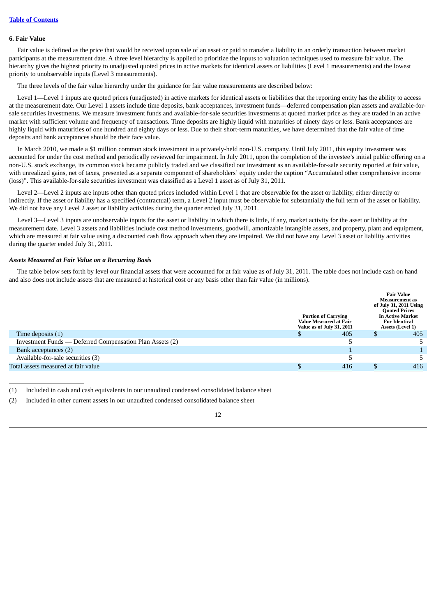#### **6. Fair Value**

Fair value is defined as the price that would be received upon sale of an asset or paid to transfer a liability in an orderly transaction between market participants at the measurement date. A three level hierarchy is applied to prioritize the inputs to valuation techniques used to measure fair value. The hierarchy gives the highest priority to unadjusted quoted prices in active markets for identical assets or liabilities (Level 1 measurements) and the lowest priority to unobservable inputs (Level 3 measurements).

The three levels of the fair value hierarchy under the guidance for fair value measurements are described below:

Level 1—Level 1 inputs are quoted prices (unadjusted) in active markets for identical assets or liabilities that the reporting entity has the ability to access at the measurement date. Our Level 1 assets include time deposits, bank acceptances, investment funds—deferred compensation plan assets and available-forsale securities investments. We measure investment funds and available-for-sale securities investments at quoted market price as they are traded in an active market with sufficient volume and frequency of transactions. Time deposits are highly liquid with maturities of ninety days or less. Bank acceptances are highly liquid with maturities of one hundred and eighty days or less. Due to their short-term maturities, we have determined that the fair value of time deposits and bank acceptances should be their face value.

In March 2010, we made a \$1 million common stock investment in a privately-held non-U.S. company. Until July 2011, this equity investment was accounted for under the cost method and periodically reviewed for impairment. In July 2011, upon the completion of the investee's initial public offering on a non-U.S. stock exchange, its common stock became publicly traded and we classified our investment as an available-for-sale security reported at fair value, with unrealized gains, net of taxes, presented as a separate component of shareholders' equity under the caption "Accumulated other comprehensive income (loss)". This available-for-sale securities investment was classified as a Level 1 asset as of July 31, 2011.

Level 2—Level 2 inputs are inputs other than quoted prices included within Level 1 that are observable for the asset or liability, either directly or indirectly. If the asset or liability has a specified (contractual) term, a Level 2 input must be observable for substantially the full term of the asset or liability. We did not have any Level 2 asset or liability activities during the quarter ended July 31, 2011.

Level 3—Level 3 inputs are unobservable inputs for the asset or liability in which there is little, if any, market activity for the asset or liability at the measurement date. Level 3 assets and liabilities include cost method investments, goodwill, amortizable intangible assets, and property, plant and equipment, which are measured at fair value using a discounted cash flow approach when they are impaired. We did not have any Level 3 asset or liability activities during the quarter ended July 31, 2011.

#### *Assets Measured at Fair Value on a Recurring Basis*

The table below sets forth by level our financial assets that were accounted for at fair value as of July 31, 2011. The table does not include cash on hand and also does not include assets that are measured at historical cost or any basis other than fair value (in millions).

|                                                          | <b>Portion of Carrying</b><br><b>Value Measured at Fair</b><br>Value as of July 31, 2011 | <b>Fair Value</b><br><b>Measurement</b> as<br>of July 31, 2011 Using<br><b>Quoted Prices</b><br><b>In Active Market</b><br><b>For Identical</b><br><b>Assets (Level 1)</b> |
|----------------------------------------------------------|------------------------------------------------------------------------------------------|----------------------------------------------------------------------------------------------------------------------------------------------------------------------------|
| Time deposits $(1)$                                      | 405                                                                                      | 405                                                                                                                                                                        |
| Investment Funds — Deferred Compensation Plan Assets (2) |                                                                                          |                                                                                                                                                                            |
| Bank acceptances (2)                                     |                                                                                          |                                                                                                                                                                            |
| Available-for-sale securities (3)                        |                                                                                          |                                                                                                                                                                            |
| Total assets measured at fair value                      | 416                                                                                      | 416                                                                                                                                                                        |

(1) Included in cash and cash equivalents in our unaudited condensed consolidated balance sheet

(2) Included in other current assets in our unaudited condensed consolidated balance sheet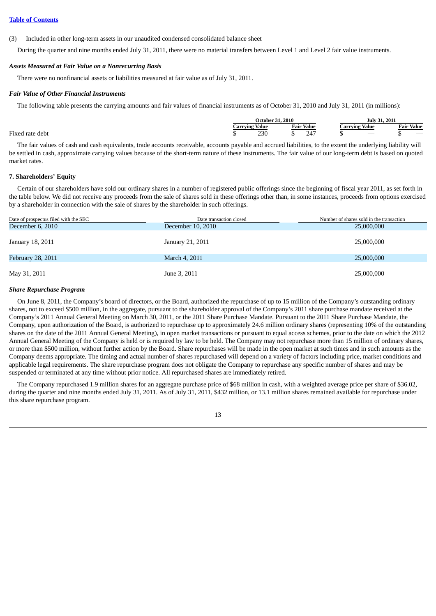#### (3) Included in other long-term assets in our unaudited condensed consolidated balance sheet

During the quarter and nine months ended July 31, 2011, there were no material transfers between Level 1 and Level 2 fair value instruments.

#### *Assets Measured at Fair Value on a Nonrecurring Basis*

There were no nonfinancial assets or liabilities measured at fair value as of July 31, 2011.

#### *Fair Value of Other Financial Instruments*

The following table presents the carrying amounts and fair values of financial instruments as of October 31, 2010 and July 31, 2011 (in millions):

|                 |                    | 2010<br>$\sim$<br>October |                          |            |                   | 31, 2011<br>July " |                 |  |  |
|-----------------|--------------------|---------------------------|--------------------------|------------|-------------------|--------------------|-----------------|--|--|
|                 | Value<br>arrving " |                           | $- - -$<br>Value<br>rair |            | _arrving<br>Value |                    | -<br>Fair Value |  |  |
| Fixed rate debt |                    | $\sqrt{2}$<br>∠ວບ         |                          | 24'<br>. . |                   |                    |                 |  |  |

The fair values of cash and cash equivalents, trade accounts receivable, accounts payable and accrued liabilities, to the extent the underlying liability will be settled in cash, approximate carrying values because of the short-term nature of these instruments. The fair value of our long-term debt is based on quoted market rates.

## **7. Shareholders' Equity**

Certain of our shareholders have sold our ordinary shares in a number of registered public offerings since the beginning of fiscal year 2011, as set forth in the table below. We did not receive any proceeds from the sale of shares sold in these offerings other than, in some instances, proceeds from options exercised by a shareholder in connection with the sale of shares by the shareholder in such offerings.

| Date of prospectus filed with the SEC | Date transaction closed | Number of shares sold in the transaction |
|---------------------------------------|-------------------------|------------------------------------------|
| December 6, 2010                      | December 10, 2010       | 25,000,000                               |
| January 18, 2011                      | January 21, 2011        | 25,000,000                               |
| February 28, 2011                     | March 4, 2011           | 25,000,000                               |
| May 31, 2011                          | June 3, 2011            | 25,000,000                               |

#### *Share Repurchase Program*

On June 8, 2011, the Company's board of directors, or the Board, authorized the repurchase of up to 15 million of the Company's outstanding ordinary shares, not to exceed \$500 million, in the aggregate, pursuant to the shareholder approval of the Company's 2011 share purchase mandate received at the Company's 2011 Annual General Meeting on March 30, 2011, or the 2011 Share Purchase Mandate. Pursuant to the 2011 Share Purchase Mandate, the Company, upon authorization of the Board, is authorized to repurchase up to approximately 24.6 million ordinary shares (representing 10% of the outstanding shares on the date of the 2011 Annual General Meeting), in open market transactions or pursuant to equal access schemes, prior to the date on which the 2012 Annual General Meeting of the Company is held or is required by law to be held. The Company may not repurchase more than 15 million of ordinary shares, or more than \$500 million, without further action by the Board. Share repurchases will be made in the open market at such times and in such amounts as the Company deems appropriate. The timing and actual number of shares repurchased will depend on a variety of factors including price, market conditions and applicable legal requirements. The share repurchase program does not obligate the Company to repurchase any specific number of shares and may be suspended or terminated at any time without prior notice. All repurchased shares are immediately retired.

The Company repurchased 1.9 million shares for an aggregate purchase price of \$68 million in cash, with a weighted average price per share of \$36.02, during the quarter and nine months ended July 31, 2011. As of July 31, 2011, \$432 million, or 13.1 million shares remained available for repurchase under this share repurchase program.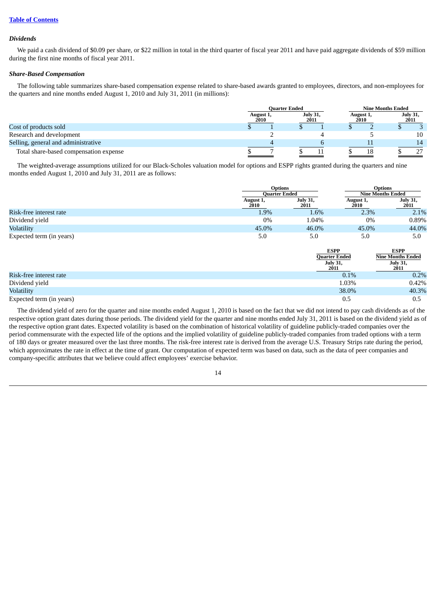## *Dividends*

We paid a cash dividend of \$0.09 per share, or \$22 million in total in the third quarter of fiscal year 2011 and have paid aggregate dividends of \$59 million during the first nine months of fiscal year 2011.

## *Share-Based Compensation*

The following table summarizes share-based compensation expense related to share-based awards granted to employees, directors, and non-employees for the quarters and nine months ended August 1, 2010 and July 31, 2011 (in millions):

|                                        | <b>Ouarter Ended</b> |  |  |                   |  | <b>Nine Months Ended</b> |                         |  |  |
|----------------------------------------|----------------------|--|--|-------------------|--|--------------------------|-------------------------|--|--|
|                                        | August 1,<br>2010    |  |  | August 1,<br>2010 |  |                          | <b>July 31,</b><br>2011 |  |  |
| Cost of products sold                  |                      |  |  |                   |  |                          |                         |  |  |
| Research and development               |                      |  |  |                   |  |                          | 10                      |  |  |
| Selling, general and administrative    |                      |  |  |                   |  |                          | 14                      |  |  |
| Total share-based compensation expense |                      |  |  |                   |  |                          | $\sim$                  |  |  |

The weighted-average assumptions utilized for our Black-Scholes valuation model for options and ESPP rights granted during the quarters and nine months ended August 1, 2010 and July 31, 2011 are as follows:

|                          |                   | <b>Options</b>          | <b>Options</b>    |                          |  |  |
|--------------------------|-------------------|-------------------------|-------------------|--------------------------|--|--|
|                          |                   | <b>Ouarter Ended</b>    |                   | <b>Nine Months Ended</b> |  |  |
|                          | August 1,<br>2010 | <b>July 31,</b><br>2011 | August 1,<br>2010 | <b>July 31,</b><br>2011  |  |  |
| Risk-free interest rate  | 1.9%              | 1.6%                    | 2.3%              | 2.1%                     |  |  |
| Dividend yield           | $0\%$             | 1.04%                   | $0\%$             | 0.89%                    |  |  |
| <b>Volatility</b>        | 45.0%             | 46.0%                   | 45.0%             | 44.0%                    |  |  |
| Expected term (in years) | 5.0               | 5.0                     | 5.0               | 5.0                      |  |  |

|                          | <b>ESPP</b>          | ESPP                     |
|--------------------------|----------------------|--------------------------|
|                          | <b>Quarter Ended</b> | <b>Nine Months Ended</b> |
|                          | <b>July 31,</b>      | <b>July 31,</b><br>2011  |
|                          | 2011                 |                          |
| Risk-free interest rate  | 0.1%                 | 0.2%                     |
| Dividend yield           | 1.03%                | 0.42%                    |
| <b>Volatility</b>        | 38.0%                | 40.3%                    |
| Expected term (in years) | 0.5                  | 0.5                      |

The dividend yield of zero for the quarter and nine months ended August 1, 2010 is based on the fact that we did not intend to pay cash dividends as of the respective option grant dates during those periods. The dividend yield for the quarter and nine months ended July 31, 2011 is based on the dividend yield as of the respective option grant dates. Expected volatility is based on the combination of historical volatility of guideline publicly-traded companies over the period commensurate with the expected life of the options and the implied volatility of guideline publicly-traded companies from traded options with a term of 180 days or greater measured over the last three months. The risk-free interest rate is derived from the average U.S. Treasury Strips rate during the period, which approximates the rate in effect at the time of grant. Our computation of expected term was based on data, such as the data of peer companies and company-specific attributes that we believe could affect employees' exercise behavior.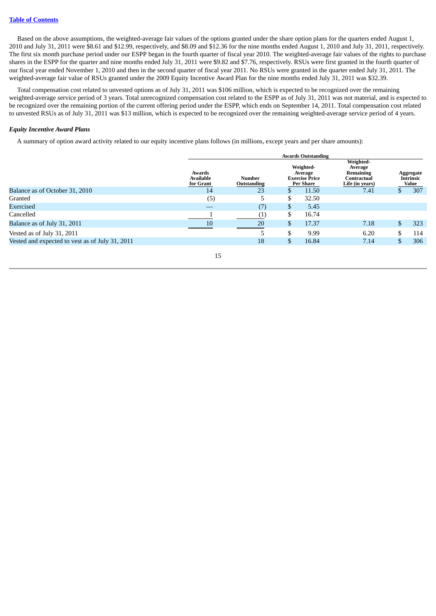Based on the above assumptions, the weighted-average fair values of the options granted under the share option plans for the quarters ended August 1, 2010 and July 31, 2011 were \$8.61 and \$12.99, respectively, and \$8.09 and \$12.36 for the nine months ended August 1, 2010 and July 31, 2011, respectively. The first six month purchase period under our ESPP began in the fourth quarter of fiscal year 2010. The weighted-average fair values of the rights to purchase shares in the ESPP for the quarter and nine months ended July 31, 2011 were \$9.82 and \$7.76, respectively. RSUs were first granted in the fourth quarter of our fiscal year ended November 1, 2010 and then in the second quarter of fiscal year 2011. No RSUs were granted in the quarter ended July 31, 2011. The weighted-average fair value of RSUs granted under the 2009 Equity Incentive Award Plan for the nine months ended July 31, 2011 was \$32.39.

Total compensation cost related to unvested options as of July 31, 2011 was \$106 million, which is expected to be recognized over the remaining weighted-average service period of 3 years. Total unrecognized compensation cost related to the ESPP as of July 31, 2011 was not material, and is expected to be recognized over the remaining portion of the current offering period under the ESPP, which ends on September 14, 2011. Total compensation cost related to unvested RSUs as of July 31, 2011 was \$13 million, which is expected to be recognized over the remaining weighted-average service period of 4 years.

### *Equity Incentive Award Plans*

A summary of option award activity related to our equity incentive plans follows (in millions, except years and per share amounts):

|                                                 |                                                |                       |                                                                   | <b>Awards Outstanding</b> |                                                                     |     |                                        |
|-------------------------------------------------|------------------------------------------------|-----------------------|-------------------------------------------------------------------|---------------------------|---------------------------------------------------------------------|-----|----------------------------------------|
|                                                 | <b>Awards</b><br><b>Available</b><br>for Grant | Number<br>Outstanding | Weighted-<br>Average<br><b>Exercise Price</b><br><b>Per Share</b> |                           | Weighted-<br>Average<br>Remaining<br>Contractual<br>Life (in years) |     | Aggregate<br><b>Intrinsic</b><br>Value |
| Balance as of October 31, 2010                  | 14                                             | 23                    |                                                                   | 11.50                     | 7.41                                                                |     | 307                                    |
| Granted                                         | (5)                                            | כ                     | S                                                                 | 32.50                     |                                                                     |     |                                        |
| Exercised                                       |                                                | (7)                   | \$                                                                | 5.45                      |                                                                     |     |                                        |
| Cancelled                                       |                                                | (1)                   | \$                                                                | 16.74                     |                                                                     |     |                                        |
| Balance as of July 31, 2011                     | 10                                             | 20                    | \$                                                                | 17.37                     | 7.18                                                                | \$. | 323                                    |
| Vested as of July 31, 2011                      |                                                |                       | S                                                                 | 9.99                      | 6.20                                                                | \$  | 114                                    |
| Vested and expected to vest as of July 31, 2011 |                                                | 18                    | \$                                                                | 16.84                     | 7.14                                                                | Ф   | 306                                    |
|                                                 |                                                |                       |                                                                   |                           |                                                                     |     |                                        |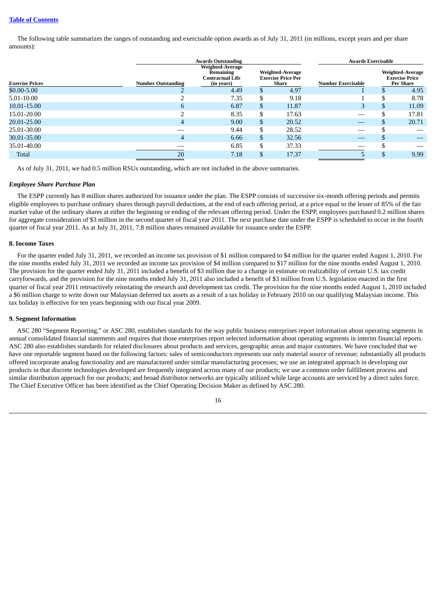The following table summarizes the ranges of outstanding and exercisable option awards as of July 31, 2011 (in millions, except years and per share amounts):

|                        |                           | <b>Awards Outstanding</b>                                                     |    | <b>Awards Exercisable</b>                                     |                           |  |                                                        |  |  |
|------------------------|---------------------------|-------------------------------------------------------------------------------|----|---------------------------------------------------------------|---------------------------|--|--------------------------------------------------------|--|--|
| <b>Exercise Prices</b> | <b>Number Outstanding</b> | <b>Weighted-Average</b><br>Remaining<br><b>Contractual Life</b><br>(in years) |    | <b>Weighted-Average</b><br><b>Exercise Price Per</b><br>Share | <b>Number Exercisable</b> |  | Weighted-Average<br><b>Exercise Price</b><br>Per Share |  |  |
| $$0.00 - 5.00$         |                           | 4.49                                                                          |    | 4.97                                                          |                           |  | 4.95                                                   |  |  |
| 5.01-10.00             |                           | 7.35                                                                          | S  | 9.18                                                          |                           |  | 8.78                                                   |  |  |
| 10.01-15.00            | h                         | 6.87                                                                          | S  | 11.87                                                         |                           |  | 11.09                                                  |  |  |
| 15.01-20.00            |                           | 8.35                                                                          | \$ | 17.63                                                         |                           |  | 17.81                                                  |  |  |
| 20.01-25.00            | 4                         | 9.00                                                                          | \$ | 20.52                                                         |                           |  | 20.71                                                  |  |  |
| 25.01-30.00            |                           | 9.44                                                                          | S  | 28.52                                                         |                           |  |                                                        |  |  |
| 30.01-35.00            | $\overline{4}$            | 6.66                                                                          | \$ | 32.56                                                         |                           |  |                                                        |  |  |
| 35.01-40.00            |                           | 6.85                                                                          | \$ | 37.33                                                         |                           |  |                                                        |  |  |
| <b>Total</b>           | 20                        | 7.18                                                                          | \$ | 17.37                                                         |                           |  | 9.99                                                   |  |  |

As of July 31, 2011, we had 0.5 million RSUs outstanding, which are not included in the above summaries.

#### *Employee Share Purchase Plan*

The ESPP currently has 8 million shares authorized for issuance under the plan. The ESPP consists of successive six-month offering periods and permits eligible employees to purchase ordinary shares through payroll deductions, at the end of each offering period, at a price equal to the lesser of 85% of the fair market value of the ordinary shares at either the beginning or ending of the relevant offering period. Under the ESPP, employees purchased 0.2 million shares for aggregate consideration of \$3 million in the second quarter of fiscal year 2011. The next purchase date under the ESPP is scheduled to occur in the fourth quarter of fiscal year 2011. As at July 31, 2011, 7.8 million shares remained available for issuance under the ESPP.

#### **8. Income Taxes**

For the quarter ended July 31, 2011, we recorded an income tax provision of \$1 million compared to \$4 million for the quarter ended August 1, 2010. For the nine months ended July 31, 2011 we recorded an income tax provision of \$4 million compared to \$17 million for the nine months ended August 1, 2010. The provision for the quarter ended July 31, 2011 included a benefit of \$3 million due to a change in estimate on realizability of certain U.S. tax credit carryforwards, and the provision for the nine months ended July 31, 2011 also included a benefit of \$3 million from U.S. legislation enacted in the first quarter of fiscal year 2011 retroactively reinstating the research and development tax credit. The provision for the nine months ended August 1, 2010 included a \$6 million charge to write down our Malaysian deferred tax assets as a result of a tax holiday in February 2010 on our qualifying Malaysian income. This tax holiday is effective for ten years beginning with our fiscal year 2009.

#### **9. Segment Information**

ASC 280 "Segment Reporting," or ASC 280, establishes standards for the way public business enterprises report information about operating segments in annual consolidated financial statements and requires that those enterprises report selected information about operating segments in interim financial reports. ASC 280 also establishes standards for related disclosures about products and services, geographic areas and major customers. We have concluded that we have one reportable segment based on the following factors: sales of semiconductors represents our only material source of revenue; substantially all products offered incorporate analog functionality and are manufactured under similar manufacturing processes; we use an integrated approach in developing our products in that discrete technologies developed are frequently integrated across many of our products; we use a common order fulfillment process and similar distribution approach for our products; and broad distributor networks are typically utilized while large accounts are serviced by a direct sales force. The Chief Executive Officer has been identified as the Chief Operating Decision Maker as defined by ASC 280.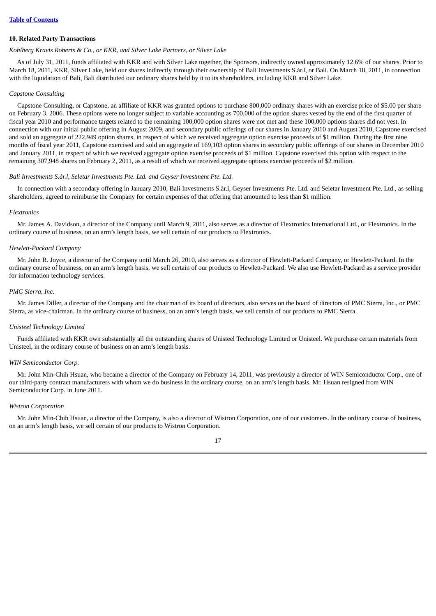#### **10. Related Party Transactions**

## *Kohlberg Kravis Roberts & Co., or KKR, and Silver Lake Partners, or Silver Lake*

As of July 31, 2011, funds affiliated with KKR and with Silver Lake together, the Sponsors, indirectly owned approximately 12.6% of our shares. Prior to March 18, 2011, KKR, Silver Lake, held our shares indirectly through their ownership of Bali Investments S.àr.l, or Bali. On March 18, 2011, in connection with the liquidation of Bali, Bali distributed our ordinary shares held by it to its shareholders, including KKR and Silver Lake.

## *Capstone Consulting*

Capstone Consulting, or Capstone, an affiliate of KKR was granted options to purchase 800,000 ordinary shares with an exercise price of \$5.00 per share on February 3, 2006. These options were no longer subject to variable accounting as 700,000 of the option shares vested by the end of the first quarter of fiscal year 2010 and performance targets related to the remaining 100,000 option shares were not met and these 100,000 options shares did not vest. In connection with our initial public offering in August 2009, and secondary public offerings of our shares in January 2010 and August 2010, Capstone exercised and sold an aggregate of 222,949 option shares, in respect of which we received aggregate option exercise proceeds of \$1 million. During the first nine months of fiscal year 2011, Capstone exercised and sold an aggregate of 169,103 option shares in secondary public offerings of our shares in December 2010 and January 2011, in respect of which we received aggregate option exercise proceeds of \$1 million. Capstone exercised this option with respect to the remaining 307,948 shares on February 2, 2011, as a result of which we received aggregate options exercise proceeds of \$2 million.

## *Bali Investments S.àr.l, Seletar Investments Pte. Ltd. and Geyser Investment Pte. Ltd.*

In connection with a secondary offering in January 2010, Bali Investments S.àr.l, Geyser Investments Pte. Ltd. and Seletar Investment Pte. Ltd., as selling shareholders, agreed to reimburse the Company for certain expenses of that offering that amounted to less than \$1 million.

### *Flextronics*

Mr. James A. Davidson, a director of the Company until March 9, 2011, also serves as a director of Flextronics International Ltd., or Flextronics. In the ordinary course of business, on an arm's length basis, we sell certain of our products to Flextronics.

#### *Hewlett-Packard Company*

Mr. John R. Joyce, a director of the Company until March 26, 2010, also serves as a director of Hewlett-Packard Company, or Hewlett-Packard. In the ordinary course of business, on an arm's length basis, we sell certain of our products to Hewlett-Packard. We also use Hewlett-Packard as a service provider for information technology services.

## *PMC Sierra, Inc.*

Mr. James Diller, a director of the Company and the chairman of its board of directors, also serves on the board of directors of PMC Sierra, Inc., or PMC Sierra, as vice-chairman. In the ordinary course of business, on an arm's length basis, we sell certain of our products to PMC Sierra.

#### *Unisteel Technology Limited*

Funds affiliated with KKR own substantially all the outstanding shares of Unisteel Technology Limited or Unisteel. We purchase certain materials from Unisteel, in the ordinary course of business on an arm's length basis.

#### *WIN Semiconductor Corp.*

Mr. John Min-Chih Hsuan, who became a director of the Company on February 14, 2011, was previously a director of WIN Semiconductor Corp., one of our third-party contract manufacturers with whom we do business in the ordinary course, on an arm's length basis. Mr. Hsuan resigned from WIN Semiconductor Corp. in June 2011.

#### *Wistron Corporation*

Mr. John Min-Chih Hsuan, a director of the Company, is also a director of Wistron Corporation, one of our customers. In the ordinary course of business, on an arm's length basis, we sell certain of our products to Wistron Corporation.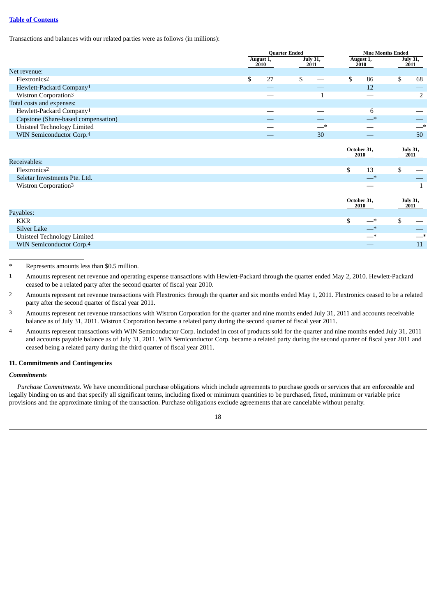## **Table of [Contents](#page-2-0)**

Transactions and balances with our related parties were as follows (in millions):

|                                      |                          | <b>Ouarter Ended</b>    | <b>Nine Months Ended</b> |                         |  |  |
|--------------------------------------|--------------------------|-------------------------|--------------------------|-------------------------|--|--|
|                                      | August 1,<br><b>2010</b> | <b>July 31,</b><br>2011 | August 1,<br>2010        | <b>July 31,</b><br>2011 |  |  |
| Net revenue:                         |                          |                         |                          |                         |  |  |
| Flextronics <sup>2</sup>             | 27                       | \$                      | 86                       | 68<br>S                 |  |  |
| Hewlett-Packard Company <sup>1</sup> |                          |                         | 12                       |                         |  |  |
| Wistron Corporation <sup>3</sup>     |                          |                         |                          |                         |  |  |
| Total costs and expenses:            |                          |                         |                          |                         |  |  |
| Hewlett-Packard Company1             |                          |                         |                          |                         |  |  |
| Capstone (Share-based compensation)  |                          |                         |                          |                         |  |  |
| Unisteel Technology Limited          |                          | —*                      |                          |                         |  |  |
| WIN Semiconductor Corp.4             |                          | 30                      |                          | 50                      |  |  |
|                                      |                          |                         |                          |                         |  |  |

|                                    | October 31,<br>2010 | <b>July 31,</b><br>2011 |                  |
|------------------------------------|---------------------|-------------------------|------------------|
| Receivables:                       |                     |                         |                  |
| Flextronics <sup>2</sup>           | \$<br>13            | \$                      |                  |
| Seletar Investments Pte. Ltd.      | —*                  |                         |                  |
| Wistron Corporation <sup>3</sup>   |                     |                         |                  |
|                                    | October 31,<br>2010 |                         | July 31,<br>2011 |
| Payables:                          |                     |                         |                  |
| <b>KKR</b>                         | \$<br>$-^*$         | \$                      |                  |
| Silver Lake                        | $-*$                |                         |                  |
| <b>Unisteel Technology Limited</b> | $-^*$               |                         | —*               |
| WIN Semiconductor Corp.4           |                     |                         | 11               |

Represents amounts less than \$0.5 million.

1 Amounts represent net revenue and operating expense transactions with Hewlett-Packard through the quarter ended May 2, 2010. Hewlett-Packard ceased to be a related party after the second quarter of fiscal year 2010.

2 Amounts represent net revenue transactions with Flextronics through the quarter and six months ended May 1, 2011. Flextronics ceased to be a related party after the second quarter of fiscal year 2011.

- 3 Amounts represent net revenue transactions with Wistron Corporation for the quarter and nine months ended July 31, 2011 and accounts receivable balance as of July 31, 2011. Wistron Corporation became a related party during the second quarter of fiscal year 2011.
- 4 Amounts represent transactions with WIN Semiconductor Corp. included in cost of products sold for the quarter and nine months ended July 31, 2011 and accounts payable balance as of July 31, 2011. WIN Semiconductor Corp. became a related party during the second quarter of fiscal year 2011 and ceased being a related party during the third quarter of fiscal year 2011.

## **11. Commitments and Contingencies**

#### *Commitments*

*Purchase Commitments.* We have unconditional purchase obligations which include agreements to purchase goods or services that are enforceable and legally binding on us and that specify all significant terms, including fixed or minimum quantities to be purchased, fixed, minimum or variable price provisions and the approximate timing of the transaction. Purchase obligations exclude agreements that are cancelable without penalty.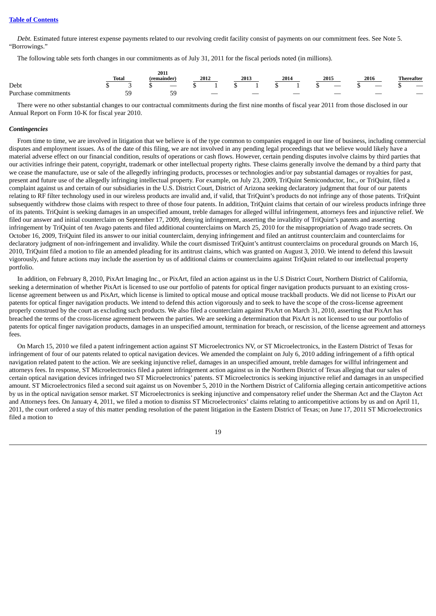*Debt.* Estimated future interest expense payments related to our revolving credit facility consist of payments on our commitment fees. See Note 5. "Borrowings."

The following table sets forth changes in our commitments as of July 31, 2011 for the fiscal periods noted (in millions).

|                      | <b>Total</b> | 2011<br>(remainder              | 2012 |      | 2013                     |    | 2014 | 2015                            |   | 2016              | <b>Thereafter</b>        |
|----------------------|--------------|---------------------------------|------|------|--------------------------|----|------|---------------------------------|---|-------------------|--------------------------|
| Debt                 | $\sim$       | $\hspace{0.1mm}-\hspace{0.1mm}$ |      | - \$ |                          | S. |      | $\hspace{0.1mm}-\hspace{0.1mm}$ | w | $\hspace{0.05cm}$ | $\overline{\phantom{a}}$ |
| Purchase commitments |              | 50<br>ັບ                        |      |      | $\overline{\phantom{a}}$ |    | __   | $\overline{\phantom{a}}$        |   | __                |                          |

There were no other substantial changes to our contractual commitments during the first nine months of fiscal year 2011 from those disclosed in our Annual Report on Form 10-K for fiscal year 2010.

### *Contingencies*

From time to time, we are involved in litigation that we believe is of the type common to companies engaged in our line of business, including commercial disputes and employment issues. As of the date of this filing, we are not involved in any pending legal proceedings that we believe would likely have a material adverse effect on our financial condition, results of operations or cash flows. However, certain pending disputes involve claims by third parties that our activities infringe their patent, copyright, trademark or other intellectual property rights. These claims generally involve the demand by a third party that we cease the manufacture, use or sale of the allegedly infringing products, processes or technologies and/or pay substantial damages or royalties for past, present and future use of the allegedly infringing intellectual property. For example, on July 23, 2009, TriQuint Semiconductor, Inc., or TriQuint, filed a complaint against us and certain of our subsidiaries in the U.S. District Court, District of Arizona seeking declaratory judgment that four of our patents relating to RF filter technology used in our wireless products are invalid and, if valid, that TriQuint's products do not infringe any of those patents. TriQuint subsequently withdrew those claims with respect to three of those four patents. In addition, TriQuint claims that certain of our wireless products infringe three of its patents. TriQuint is seeking damages in an unspecified amount, treble damages for alleged willful infringement, attorneys fees and injunctive relief. We filed our answer and initial counterclaim on September 17, 2009, denying infringement, asserting the invalidity of TriQuint's patents and asserting infringement by TriQuint of ten Avago patents and filed additional counterclaims on March 25, 2010 for the misappropriation of Avago trade secrets. On October 16, 2009, TriQuint filed its answer to our initial counterclaim, denying infringement and filed an antitrust counterclaim and counterclaims for declaratory judgment of non-infringement and invalidity. While the court dismissed TriQuint's antitrust counterclaims on procedural grounds on March 16, 2010, TriQuint filed a motion to file an amended pleading for its antitrust claims, which was granted on August 3, 2010. We intend to defend this lawsuit vigorously, and future actions may include the assertion by us of additional claims or counterclaims against TriQuint related to our intellectual property portfolio.

In addition, on February 8, 2010, PixArt Imaging Inc., or PixArt, filed an action against us in the U.S District Court, Northern District of California, seeking a determination of whether PixArt is licensed to use our portfolio of patents for optical finger navigation products pursuant to an existing crosslicense agreement between us and PixArt, which license is limited to optical mouse and optical mouse trackball products. We did not license to PixArt our patents for optical finger navigation products. We intend to defend this action vigorously and to seek to have the scope of the cross-license agreement properly construed by the court as excluding such products. We also filed a counterclaim against PixArt on March 31, 2010, asserting that PixArt has breached the terms of the cross-license agreement between the parties. We are seeking a determination that PixArt is not licensed to use our portfolio of patents for optical finger navigation products, damages in an unspecified amount, termination for breach, or rescission, of the license agreement and attorneys fees.

On March 15, 2010 we filed a patent infringement action against ST Microelectronics NV, or ST Microelectronics, in the Eastern District of Texas for infringement of four of our patents related to optical navigation devices. We amended the complaint on July 6, 2010 adding infringement of a fifth optical navigation related patent to the action. We are seeking injunctive relief, damages in an unspecified amount, treble damages for willful infringement and attorneys fees. In response, ST Microelectronics filed a patent infringement action against us in the Northern District of Texas alleging that our sales of certain optical navigation devices infringed two ST Microelectronics' patents. ST Microelectronics is seeking injunctive relief and damages in an unspecified amount. ST Microelectronics filed a second suit against us on November 5, 2010 in the Northern District of California alleging certain anticompetitive actions by us in the optical navigation sensor market. ST Microelectronics is seeking injunctive and compensatory relief under the Sherman Act and the Clayton Act and Attorneys fees. On January 4, 2011, we filed a motion to dismiss ST Microelectronics' claims relating to anticompetitive actions by us and on April 11, 2011, the court ordered a stay of this matter pending resolution of the patent litigation in the Eastern District of Texas; on June 17, 2011 ST Microelectronics filed a motion to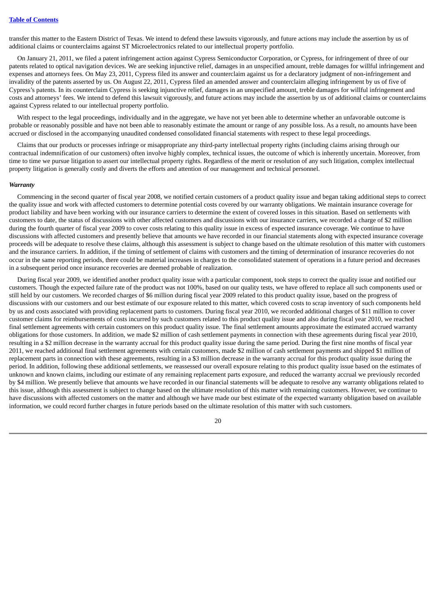transfer this matter to the Eastern District of Texas. We intend to defend these lawsuits vigorously, and future actions may include the assertion by us of additional claims or counterclaims against ST Microelectronics related to our intellectual property portfolio.

On January 21, 2011, we filed a patent infringement action against Cypress Semiconductor Corporation, or Cypress, for infringement of three of our patents related to optical navigation devices. We are seeking injunctive relief, damages in an unspecified amount, treble damages for willful infringement and expenses and attorneys fees. On May 23, 2011, Cypress filed its answer and counterclaim against us for a declaratory judgment of non-infringement and invalidity of the patents asserted by us. On August 22, 2011, Cypress filed an amended answer and counterclaim alleging infringement by us of five of Cypress's patents. In its counterclaim Cypress is seeking injunctive relief, damages in an unspecified amount, treble damages for willful infringement and costs and attorneys' fees. We intend to defend this lawsuit vigorously, and future actions may include the assertion by us of additional claims or counterclaims against Cypress related to our intellectual property portfolio.

With respect to the legal proceedings, individually and in the aggregate, we have not yet been able to determine whether an unfavorable outcome is probable or reasonably possible and have not been able to reasonably estimate the amount or range of any possible loss. As a result, no amounts have been accrued or disclosed in the accompanying unaudited condensed consolidated financial statements with respect to these legal proceedings.

Claims that our products or processes infringe or misappropriate any third-party intellectual property rights (including claims arising through our contractual indemnification of our customers) often involve highly complex, technical issues, the outcome of which is inherently uncertain. Moreover, from time to time we pursue litigation to assert our intellectual property rights. Regardless of the merit or resolution of any such litigation, complex intellectual property litigation is generally costly and diverts the efforts and attention of our management and technical personnel.

#### *Warranty*

Commencing in the second quarter of fiscal year 2008, we notified certain customers of a product quality issue and began taking additional steps to correct the quality issue and work with affected customers to determine potential costs covered by our warranty obligations. We maintain insurance coverage for product liability and have been working with our insurance carriers to determine the extent of covered losses in this situation. Based on settlements with customers to date, the status of discussions with other affected customers and discussions with our insurance carriers, we recorded a charge of \$2 million during the fourth quarter of fiscal year 2009 to cover costs relating to this quality issue in excess of expected insurance coverage. We continue to have discussions with affected customers and presently believe that amounts we have recorded in our financial statements along with expected insurance coverage proceeds will be adequate to resolve these claims, although this assessment is subject to change based on the ultimate resolution of this matter with customers and the insurance carriers. In addition, if the timing of settlement of claims with customers and the timing of determination of insurance recoveries do not occur in the same reporting periods, there could be material increases in charges to the consolidated statement of operations in a future period and decreases in a subsequent period once insurance recoveries are deemed probable of realization.

During fiscal year 2009, we identified another product quality issue with a particular component, took steps to correct the quality issue and notified our customers. Though the expected failure rate of the product was not 100%, based on our quality tests, we have offered to replace all such components used or still held by our customers. We recorded charges of \$6 million during fiscal year 2009 related to this product quality issue, based on the progress of discussions with our customers and our best estimate of our exposure related to this matter, which covered costs to scrap inventory of such components held by us and costs associated with providing replacement parts to customers. During fiscal year 2010, we recorded additional charges of \$11 million to cover customer claims for reimbursements of costs incurred by such customers related to this product quality issue and also during fiscal year 2010, we reached final settlement agreements with certain customers on this product quality issue. The final settlement amounts approximate the estimated accrued warranty obligations for those customers. In addition, we made \$2 million of cash settlement payments in connection with these agreements during fiscal year 2010, resulting in a \$2 million decrease in the warranty accrual for this product quality issue during the same period. During the first nine months of fiscal year 2011, we reached additional final settlement agreements with certain customers, made \$2 million of cash settlement payments and shipped \$1 million of replacement parts in connection with these agreements, resulting in a \$3 million decrease in the warranty accrual for this product quality issue during the period. In addition, following these additional settlements, we reassessed our overall exposure relating to this product quality issue based on the estimates of unknown and known claims, including our estimate of any remaining replacement parts exposure, and reduced the warranty accrual we previously recorded by \$4 million. We presently believe that amounts we have recorded in our financial statements will be adequate to resolve any warranty obligations related to this issue, although this assessment is subject to change based on the ultimate resolution of this matter with remaining customers. However, we continue to have discussions with affected customers on the matter and although we have made our best estimate of the expected warranty obligation based on available information, we could record further charges in future periods based on the ultimate resolution of this matter with such customers.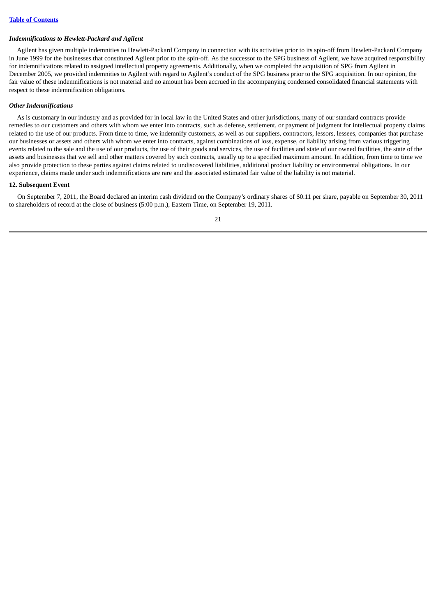#### *Indemnifications to Hewlett-Packard and Agilent*

Agilent has given multiple indemnities to Hewlett-Packard Company in connection with its activities prior to its spin-off from Hewlett-Packard Company in June 1999 for the businesses that constituted Agilent prior to the spin-off. As the successor to the SPG business of Agilent, we have acquired responsibility for indemnifications related to assigned intellectual property agreements. Additionally, when we completed the acquisition of SPG from Agilent in December 2005, we provided indemnities to Agilent with regard to Agilent's conduct of the SPG business prior to the SPG acquisition. In our opinion, the fair value of these indemnifications is not material and no amount has been accrued in the accompanying condensed consolidated financial statements with respect to these indemnification obligations.

### *Other Indemnifications*

As is customary in our industry and as provided for in local law in the United States and other jurisdictions, many of our standard contracts provide remedies to our customers and others with whom we enter into contracts, such as defense, settlement, or payment of judgment for intellectual property claims related to the use of our products. From time to time, we indemnify customers, as well as our suppliers, contractors, lessors, lessees, companies that purchase our businesses or assets and others with whom we enter into contracts, against combinations of loss, expense, or liability arising from various triggering events related to the sale and the use of our products, the use of their goods and services, the use of facilities and state of our owned facilities, the state of the assets and businesses that we sell and other matters covered by such contracts, usually up to a specified maximum amount. In addition, from time to time we also provide protection to these parties against claims related to undiscovered liabilities, additional product liability or environmental obligations. In our experience, claims made under such indemnifications are rare and the associated estimated fair value of the liability is not material.

#### **12. Subsequent Event**

On September 7, 2011, the Board declared an interim cash dividend on the Company's ordinary shares of \$0.11 per share, payable on September 30, 2011 to shareholders of record at the close of business (5:00 p.m.), Eastern Time, on September 19, 2011.

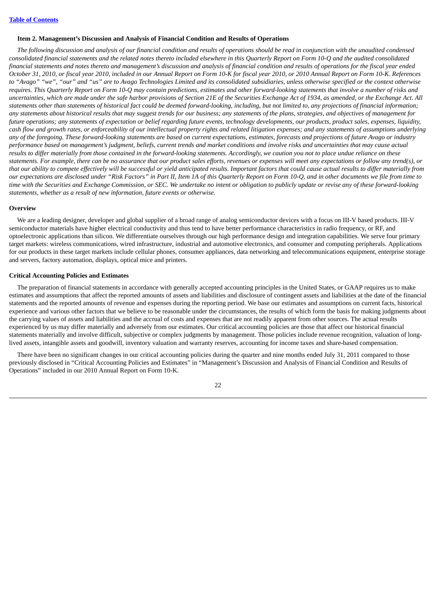#### <span id="page-22-0"></span>**Item 2. Management's Discussion and Analysis of Financial Condition and Results of Operations**

The following discussion and analysis of our financial condition and results of operations should be read in conjunction with the unaudited condensed consolidated financial statements and the related notes thereto included elsewhere in this Quarterly Report on Form 10-Q and the audited consolidated financial statements and notes thereto and management's discussion and analysis of financial condition and results of operations for the fiscal year ended October 31, 2010, or fiscal year 2010, included in our Annual Report on Form 10-K for fiscal year 2010, or 2010 Annual Report on Form 10-K. References to "Avago" "we", "our" and "us" are to Avago Technologies Limited and its consolidated subsidiaries, unless otherwise specified or the context otherwise requires. This Quarterly Report on Form 10-Q may contain predictions, estimates and other forward-looking statements that involve a number of risks and uncertainties, which are made under the safe harbor provisions of Section 21E of the Securities Exchange Act of 1934, as amended, or the Exchange Act. All statements other than statements of historical fact could be deemed forward-looking, including, but not limited to, any projections of financial information; any statements about historical results that may suggest trends for our business; any statements of the plans, strategies, and objectives of management for future operations; any statements of expectation or belief regarding future events, technology developments, our products, product sales, expenses, liquidity, cash flow and growth rates, or enforceability of our intellectual property rights and related litigation expenses; and any statements of assumptions underlying any of the foregoing. These forward-looking statements are based on current expectations, estimates, forecasts and projections of future Avago or industry performance based on management's judgment, beliefs, current trends and market conditions and involve risks and uncertainties that may cause actual results to differ materially from those contained in the forward-looking statements. Accordingly, we caution you not to place undue reliance on these statements. For example, there can be no assurance that our product sales efforts, revenues or expenses will meet any expectations or follow any trend(s), or that our ability to compete effectively will be successful or yield anticipated results. Important factors that could cause actual results to differ materially from our expectations are disclosed under "Risk Factors" in Part II, Item 1A of this Quarterly Report on Form 10-Q, and in other documents we file from time to time with the Securities and Exchange Commission, or SEC. We undertake no intent or obligation to publicly update or revise any of these forward-looking *statements, whether as a result of new information, future events or otherwise.*

#### **Overview**

We are a leading designer, developer and global supplier of a broad range of analog semiconductor devices with a focus on III-V based products. III-V semiconductor materials have higher electrical conductivity and thus tend to have better performance characteristics in radio frequency, or RF, and optoelectronic applications than silicon. We differentiate ourselves through our high performance design and integration capabilities. We serve four primary target markets: wireless communications, wired infrastructure, industrial and automotive electronics, and consumer and computing peripherals. Applications for our products in these target markets include cellular phones, consumer appliances, data networking and telecommunications equipment, enterprise storage and servers, factory automation, displays, optical mice and printers.

### **Critical Accounting Policies and Estimates**

The preparation of financial statements in accordance with generally accepted accounting principles in the United States, or GAAP requires us to make estimates and assumptions that affect the reported amounts of assets and liabilities and disclosure of contingent assets and liabilities at the date of the financial statements and the reported amounts of revenue and expenses during the reporting period. We base our estimates and assumptions on current facts, historical experience and various other factors that we believe to be reasonable under the circumstances, the results of which form the basis for making judgments about the carrying values of assets and liabilities and the accrual of costs and expenses that are not readily apparent from other sources. The actual results experienced by us may differ materially and adversely from our estimates. Our critical accounting policies are those that affect our historical financial statements materially and involve difficult, subjective or complex judgments by management. Those policies include revenue recognition, valuation of longlived assets, intangible assets and goodwill, inventory valuation and warranty reserves, accounting for income taxes and share-based compensation.

There have been no significant changes in our critical accounting policies during the quarter and nine months ended July 31, 2011 compared to those previously disclosed in "Critical Accounting Policies and Estimates" in "Management's Discussion and Analysis of Financial Condition and Results of Operations" included in our 2010 Annual Report on Form 10-K.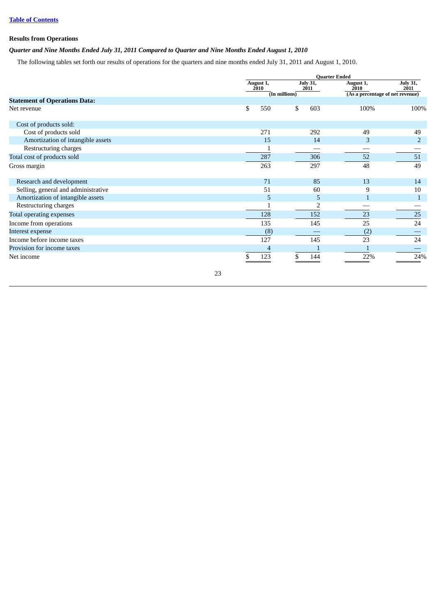# **Results from Operations**

# Quarter and Nine Months Ended July 31, 2011 Compared to Quarter and Nine Months Ended August 1, 2010

The following tables set forth our results of operations for the quarters and nine months ended July 31, 2011 and August 1, 2010.

|                                      |                   | <b>Quarter Ended</b>    |                   |                                  |  |  |  |
|--------------------------------------|-------------------|-------------------------|-------------------|----------------------------------|--|--|--|
|                                      | August 1,<br>2010 | <b>July 31,</b><br>2011 | August 1,<br>2010 | <b>July 31,</b><br>2011          |  |  |  |
|                                      |                   | (In millions)           |                   | (As a percentage of net revenue) |  |  |  |
| <b>Statement of Operations Data:</b> |                   |                         |                   |                                  |  |  |  |
| Net revenue                          | \$<br>550         | 603<br>\$               | 100%              | 100%                             |  |  |  |
| Cost of products sold:               |                   |                         |                   |                                  |  |  |  |
| Cost of products sold                | 271               | 292                     | 49                | 49                               |  |  |  |
| Amortization of intangible assets    | 15                | 14                      | 3                 | 2                                |  |  |  |
| Restructuring charges                | 1                 |                         |                   |                                  |  |  |  |
| Total cost of products sold          | 287               | 306                     | 52                | 51                               |  |  |  |
| Gross margin                         | 263               | 297                     | 48                | 49                               |  |  |  |
| Research and development             | 71                | 85                      | 13                | 14                               |  |  |  |
| Selling, general and administrative  | 51                | 60                      | 9                 | 10                               |  |  |  |
| Amortization of intangible assets    | 5                 | 5                       |                   |                                  |  |  |  |
| Restructuring charges                |                   |                         |                   |                                  |  |  |  |
| Total operating expenses             | 128               | 152                     | 23                | 25                               |  |  |  |
| Income from operations               | 135               | 145                     | 25                | 24                               |  |  |  |
| Interest expense                     | (8)               |                         | (2)               |                                  |  |  |  |
| Income before income taxes           | 127               | 145                     | 23                | 24                               |  |  |  |
| Provision for income taxes           | 4                 |                         |                   |                                  |  |  |  |
| Net income                           | 123               | 144                     | 22%               | 24%                              |  |  |  |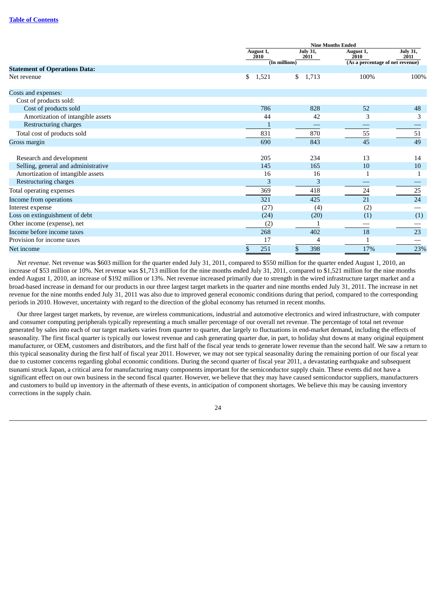|                                      |                   | <b>Nine Months Ended</b> |                   |                                  |  |  |
|--------------------------------------|-------------------|--------------------------|-------------------|----------------------------------|--|--|
|                                      | August 1,<br>2010 | <b>July 31,</b><br>2011  | August 1,<br>2010 | <b>July 31,</b><br>2011          |  |  |
| <b>Statement of Operations Data:</b> |                   | $(In$ millions $)$       |                   | (As a percentage of net revenue) |  |  |
| Net revenue                          | \$<br>1,521       | \$<br>1,713              | 100%              | 100%                             |  |  |
| Costs and expenses:                  |                   |                          |                   |                                  |  |  |
| Cost of products sold:               |                   |                          |                   |                                  |  |  |
| Cost of products sold                | 786               | 828                      | 52                | 48                               |  |  |
| Amortization of intangible assets    | 44                | 42                       | 3                 | 3                                |  |  |
| Restructuring charges                |                   |                          |                   |                                  |  |  |
| Total cost of products sold          | 831               | 870                      | 55                | 51                               |  |  |
| Gross margin                         | 690               | 843                      | 45                | 49                               |  |  |
| Research and development             | 205               | 234                      | 13                | 14                               |  |  |
| Selling, general and administrative  | 145               | 165                      | 10                | 10                               |  |  |
| Amortization of intangible assets    | 16                | 16                       |                   |                                  |  |  |
| Restructuring charges                |                   | 3<br>3                   |                   |                                  |  |  |
| Total operating expenses             | 369               | 418                      | 24                | 25                               |  |  |
| Income from operations               | 321               | 425                      | 21                | 24                               |  |  |
| Interest expense                     | (27)              | (4)                      | (2)               |                                  |  |  |
| Loss on extinguishment of debt       |                   | (24)<br>(20)             | (1)               | (1)                              |  |  |
| Other income (expense), net          |                   | (2)                      |                   |                                  |  |  |
| Income before income taxes           | 268               | 402                      | 18                | 23                               |  |  |
| Provision for income taxes           | 17                | 4                        |                   |                                  |  |  |
| Net income                           | \$<br>251         | 398<br>\$                | 17%               | 23%                              |  |  |

*Net revenue.* Net revenue was \$603 million for the quarter ended July 31, 2011, compared to \$550 million for the quarter ended August 1, 2010, an increase of \$53 million or 10%. Net revenue was \$1,713 million for the nine months ended July 31, 2011, compared to \$1,521 million for the nine months ended August 1, 2010, an increase of \$192 million or 13%. Net revenue increased primarily due to strength in the wired infrastructure target market and a broad-based increase in demand for our products in our three largest target markets in the quarter and nine months ended July 31, 2011. The increase in net revenue for the nine months ended July 31, 2011 was also due to improved general economic conditions during that period, compared to the corresponding periods in 2010. However, uncertainty with regard to the direction of the global economy has returned in recent months.

Our three largest target markets, by revenue, are wireless communications, industrial and automotive electronics and wired infrastructure, with computer and consumer computing peripherals typically representing a much smaller percentage of our overall net revenue. The percentage of total net revenue generated by sales into each of our target markets varies from quarter to quarter, due largely to fluctuations in end-market demand, including the effects of seasonality. The first fiscal quarter is typically our lowest revenue and cash generating quarter due, in part, to holiday shut downs at many original equipment manufacturer, or OEM, customers and distributors, and the first half of the fiscal year tends to generate lower revenue than the second half. We saw a return to this typical seasonality during the first half of fiscal year 2011. However, we may not see typical seasonality during the remaining portion of our fiscal year due to customer concerns regarding global economic conditions. During the second quarter of fiscal year 2011, a devastating earthquake and subsequent tsunami struck Japan, a critical area for manufacturing many components important for the semiconductor supply chain. These events did not have a significant effect on our own business in the second fiscal quarter. However, we believe that they may have caused semiconductor suppliers, manufacturers and customers to build up inventory in the aftermath of these events, in anticipation of component shortages. We believe this may be causing inventory corrections in the supply chain.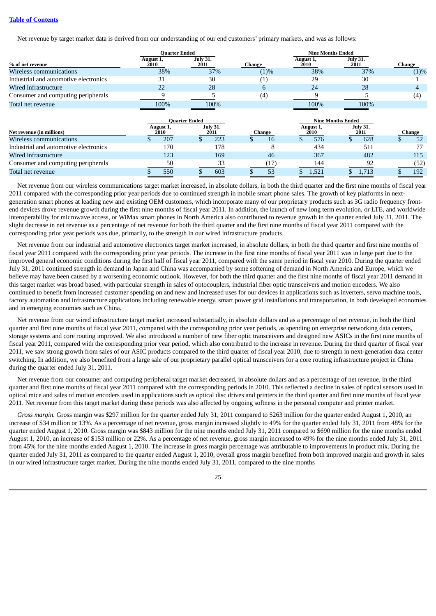#### **Table of [Contents](#page-2-0)**

Net revenue by target market data is derived from our understanding of our end customers' primary markets, and was as follows:

|                                       | <b>Ouarter Ended</b> |                         |                          | <b>Nine Months Ended</b>                     |                         |                   |
|---------------------------------------|----------------------|-------------------------|--------------------------|----------------------------------------------|-------------------------|-------------------|
| % of net revenue                      | August 1,<br>2010    | <b>July 31.</b><br>2011 | <b>Change</b>            | August 1,<br>2010                            | <b>July 31.</b><br>2011 | <b>Change</b>     |
| Wireless communications               | 38%                  | 37%                     | (1)%                     | 38%                                          | 37%                     | (1)%              |
| Industrial and automotive electronics | 31                   | 30                      | $\left( 1\right)$        | 29                                           | 30                      |                   |
| Wired infrastructure                  | 22                   | 28                      | 6                        | 24                                           | 28                      |                   |
| Consumer and computing peripherals    |                      |                         | $\left( 4\right)$        |                                              |                         | $\left( 4\right)$ |
| Total net revenue                     | 100%                 | 100%                    |                          | 100%                                         | 100%                    |                   |
|                                       |                      |                         |                          |                                              |                         |                   |
|                                       |                      | <b>Ouarter Ended</b>    | <b>Nine Months Ended</b> |                                              |                         |                   |
| Net revenue (in millions)             | August 1,<br>2010    | <b>July 31.</b><br>2011 | Change                   | <b>July 31.</b><br>August 1,<br>2011<br>2010 |                         | Change            |
| Wireless communications               | 207                  | 223                     | 16                       | 576                                          | 628<br>\$.              | 52                |
| Industrial and automotive electronics | 170                  | 178                     | 8                        | 434                                          | 511                     |                   |
| Wired infrastructure                  | 123                  | 169                     | 46                       | 367                                          | 482                     | 115               |
| Consumer and computing peripherals    | 50                   | 33                      | (17)                     | 144                                          | 92                      | (52)              |

Net revenue from our wireless communications target market increased, in absolute dollars, in both the third quarter and the first nine months of fiscal year 2011 compared with the corresponding prior year periods due to continued strength in mobile smart phone sales. The growth of key platforms in nextgeneration smart phones at leading new and existing OEM customers, which incorporate many of our proprietary products such as 3G radio frequency frontend devices drove revenue growth during the first nine months of fiscal year 2011. In addition, the launch of new long term evolution, or LTE, and worldwide interoperability for microwave access, or WiMax smart phones in North America also contributed to revenue growth in the quarter ended July 31, 2011. The slight decrease in net revenue as a percentage of net revenue for both the third quarter and the first nine months of fiscal year 2011 compared with the corresponding prior year periods was due, primarily, to the strength in our wired infrastructure products.

Total net revenue \$ 550 \$ 603 \$ 53 \$ 1,521 \$ 1,713 \$ 192

Net revenue from our industrial and automotive electronics target market increased, in absolute dollars, in both the third quarter and first nine months of fiscal year 2011 compared with the corresponding prior year periods. The increase in the first nine months of fiscal year 2011 was in large part due to the improved general economic conditions during the first half of fiscal year 2011, compared with the same period in fiscal year 2010. During the quarter ended July 31, 2011 continued strength in demand in Japan and China was accompanied by some softening of demand in North America and Europe, which we believe may have been caused by a worsening economic outlook. However, for both the third quarter and the first nine months of fiscal year 2011 demand in this target market was broad based, with particular strength in sales of optocouplers, industrial fiber optic transceivers and motion encoders. We also continued to benefit from increased customer spending on and new and increased uses for our devices in applications such as inverters, servo machine tools, factory automation and infrastructure applications including renewable energy, smart power grid installations and transportation, in both developed economies and in emerging economies such as China.

Net revenue from our wired infrastructure target market increased substantially, in absolute dollars and as a percentage of net revenue, in both the third quarter and first nine months of fiscal year 2011, compared with the corresponding prior year periods, as spending on enterprise networking data centers, storage systems and core routing improved. We also introduced a number of new fiber optic transceivers and designed new ASICs in the first nine months of fiscal year 2011, compared with the corresponding prior year period, which also contributed to the increase in revenue. During the third quarter of fiscal year 2011, we saw strong growth from sales of our ASIC products compared to the third quarter of fiscal year 2010, due to strength in next-generation data center switching. In addition, we also benefited from a large sale of our proprietary parallel optical transceivers for a core routing infrastructure project in China during the quarter ended July 31, 2011.

Net revenue from our consumer and computing peripheral target market decreased, in absolute dollars and as a percentage of net revenue, in the third quarter and first nine months of fiscal year 2011 compared with the corresponding periods in 2010. This reflected a decline in sales of optical sensors used in optical mice and sales of motion encoders used in applications such as optical disc drives and printers in the third quarter and first nine months of fiscal year 2011. Net revenue from this target market during these periods was also affected by ongoing softness in the personal computer and printer market.

*Gross margin.* Gross margin was \$297 million for the quarter ended July 31, 2011 compared to \$263 million for the quarter ended August 1, 2010, an increase of \$34 million or 13%. As a percentage of net revenue, gross margin increased slightly to 49% for the quarter ended July 31, 2011 from 48% for the quarter ended August 1, 2010. Gross margin was \$843 million for the nine months ended July 31, 2011 compared to \$690 million for the nine months ended August 1, 2010, an increase of \$153 million or 22%. As a percentage of net revenue, gross margin increased to 49% for the nine months ended July 31, 2011 from 45% for the nine months ended August 1, 2010. The increase in gross margin percentage was attributable to improvements in product mix. During the quarter ended July 31, 2011 as compared to the quarter ended August 1, 2010, overall gross margin benefited from both improved margin and growth in sales in our wired infrastructure target market. During the nine months ended July 31, 2011, compared to the nine months

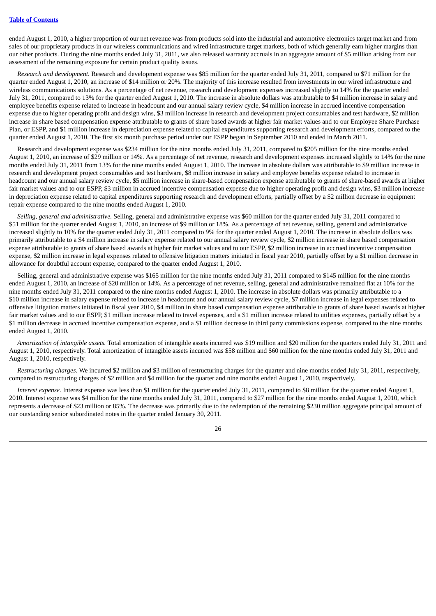ended August 1, 2010, a higher proportion of our net revenue was from products sold into the industrial and automotive electronics target market and from sales of our proprietary products in our wireless communications and wired infrastructure target markets, both of which generally earn higher margins than our other products. During the nine months ended July 31, 2011, we also released warranty accruals in an aggregate amount of \$5 million arising from our assessment of the remaining exposure for certain product quality issues.

*Research and development.* Research and development expense was \$85 million for the quarter ended July 31, 2011, compared to \$71 million for the quarter ended August 1, 2010, an increase of \$14 million or 20%. The majority of this increase resulted from investments in our wired infrastructure and wireless communications solutions. As a percentage of net revenue, research and development expenses increased slightly to 14% for the quarter ended July 31, 2011, compared to 13% for the quarter ended August 1, 2010. The increase in absolute dollars was attributable to \$4 million increase in salary and employee benefits expense related to increase in headcount and our annual salary review cycle, \$4 million increase in accrued incentive compensation expense due to higher operating profit and design wins, \$3 million increase in research and development project consumables and test hardware, \$2 million increase in share based compensation expense attributable to grants of share based awards at higher fair market values and to our Employee Share Purchase Plan, or ESPP, and \$1 million increase in depreciation expense related to capital expenditures supporting research and development efforts, compared to the quarter ended August 1, 2010. The first six month purchase period under our ESPP began in September 2010 and ended in March 2011.

Research and development expense was \$234 million for the nine months ended July 31, 2011, compared to \$205 million for the nine months ended August 1, 2010, an increase of \$29 million or 14%. As a percentage of net revenue, research and development expenses increased slightly to 14% for the nine months ended July 31, 2011 from 13% for the nine months ended August 1, 2010. The increase in absolute dollars was attributable to \$9 million increase in research and development project consumables and test hardware, \$8 million increase in salary and employee benefits expense related to increase in headcount and our annual salary review cycle, \$5 million increase in share-based compensation expense attributable to grants of share-based awards at higher fair market values and to our ESPP, \$3 million in accrued incentive compensation expense due to higher operating profit and design wins, \$3 million increase in depreciation expense related to capital expenditures supporting research and development efforts, partially offset by a \$2 million decrease in equipment repair expense compared to the nine months ended August 1, 2010.

*Selling, general and administrative.* Selling, general and administrative expense was \$60 million for the quarter ended July 31, 2011 compared to \$51 million for the quarter ended August 1, 2010, an increase of \$9 million or 18%. As a percentage of net revenue, selling, general and administrative increased slightly to 10% for the quarter ended July 31, 2011 compared to 9% for the quarter ended August 1, 2010. The increase in absolute dollars was primarily attributable to a \$4 million increase in salary expense related to our annual salary review cycle, \$2 million increase in share based compensation expense attributable to grants of share based awards at higher fair market values and to our ESPP, \$2 million increase in accrued incentive compensation expense, \$2 million increase in legal expenses related to offensive litigation matters initiated in fiscal year 2010, partially offset by a \$1 million decrease in allowance for doubtful account expense, compared to the quarter ended August 1, 2010.

Selling, general and administrative expense was \$165 million for the nine months ended July 31, 2011 compared to \$145 million for the nine months ended August 1, 2010, an increase of \$20 million or 14%. As a percentage of net revenue, selling, general and administrative remained flat at 10% for the nine months ended July 31, 2011 compared to the nine months ended August 1, 2010. The increase in absolute dollars was primarily attributable to a \$10 million increase in salary expense related to increase in headcount and our annual salary review cycle, \$7 million increase in legal expenses related to offensive litigation matters initiated in fiscal year 2010, \$4 million in share based compensation expense attributable to grants of share based awards at higher fair market values and to our ESPP, \$1 million increase related to travel expenses, and a \$1 million increase related to utilities expenses, partially offset by a \$1 million decrease in accrued incentive compensation expense, and a \$1 million decrease in third party commissions expense, compared to the nine months ended August 1, 2010.

*Amortization of intangible assets.* Total amortization of intangible assets incurred was \$19 million and \$20 million for the quarters ended July 31, 2011 and August 1, 2010, respectively. Total amortization of intangible assets incurred was \$58 million and \$60 million for the nine months ended July 31, 2011 and August 1, 2010, respectively.

*Restructuring charges.* We incurred \$2 million and \$3 million of restructuring charges for the quarter and nine months ended July 31, 2011, respectively, compared to restructuring charges of \$2 million and \$4 million for the quarter and nine months ended August 1, 2010, respectively.

*Interest expense.* Interest expense was less than \$1 million for the quarter ended July 31, 2011, compared to \$8 million for the quarter ended August 1, 2010. Interest expense was \$4 million for the nine months ended July 31, 2011, compared to \$27 million for the nine months ended August 1, 2010, which represents a decrease of \$23 million or 85%. The decrease was primarily due to the redemption of the remaining \$230 million aggregate principal amount of our outstanding senior subordinated notes in the quarter ended January 30, 2011.

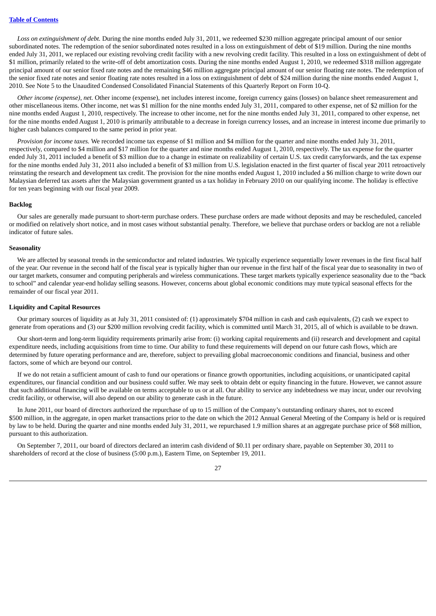*Loss on extinguishment of debt.* During the nine months ended July 31, 2011, we redeemed \$230 million aggregate principal amount of our senior subordinated notes. The redemption of the senior subordinated notes resulted in a loss on extinguishment of debt of \$19 million. During the nine months ended July 31, 2011, we replaced our existing revolving credit facility with a new revolving credit facility. This resulted in a loss on extinguishment of debt of \$1 million, primarily related to the write-off of debt amortization costs. During the nine months ended August 1, 2010, we redeemed \$318 million aggregate principal amount of our senior fixed rate notes and the remaining \$46 million aggregate principal amount of our senior floating rate notes. The redemption of the senior fixed rate notes and senior floating rate notes resulted in a loss on extinguishment of debt of \$24 million during the nine months ended August 1, 2010. See Note 5 to the Unaudited Condensed Consolidated Financial Statements of this Quarterly Report on Form 10-Q.

*Other income (expense), net.* Other income (expense), net includes interest income, foreign currency gains (losses) on balance sheet remeasurement and other miscellaneous items. Other income, net was \$1 million for the nine months ended July 31, 2011, compared to other expense, net of \$2 million for the nine months ended August 1, 2010, respectively. The increase to other income, net for the nine months ended July 31, 2011, compared to other expense, net for the nine months ended August 1, 2010 is primarily attributable to a decrease in foreign currency losses, and an increase in interest income due primarily to higher cash balances compared to the same period in prior year.

*Provision for income taxes.* We recorded income tax expense of \$1 million and \$4 million for the quarter and nine months ended July 31, 2011, respectively, compared to \$4 million and \$17 million for the quarter and nine months ended August 1, 2010, respectively. The tax expense for the quarter ended July 31, 2011 included a benefit of \$3 million due to a change in estimate on realizability of certain U.S. tax credit carryforwards, and the tax expense for the nine months ended July 31, 2011 also included a benefit of \$3 million from U.S. legislation enacted in the first quarter of fiscal year 2011 retroactively reinstating the research and development tax credit. The provision for the nine months ended August 1, 2010 included a \$6 million charge to write down our Malaysian deferred tax assets after the Malaysian government granted us a tax holiday in February 2010 on our qualifying income. The holiday is effective for ten years beginning with our fiscal year 2009.

## **Backlog**

Our sales are generally made pursuant to short-term purchase orders. These purchase orders are made without deposits and may be rescheduled, canceled or modified on relatively short notice, and in most cases without substantial penalty. Therefore, we believe that purchase orders or backlog are not a reliable indicator of future sales.

#### **Seasonality**

We are affected by seasonal trends in the semiconductor and related industries. We typically experience sequentially lower revenues in the first fiscal half of the year. Our revenue in the second half of the fiscal year is typically higher than our revenue in the first half of the fiscal year due to seasonality in two of our target markets, consumer and computing peripherals and wireless communications. These target markets typically experience seasonality due to the "back to school" and calendar year-end holiday selling seasons. However, concerns about global economic conditions may mute typical seasonal effects for the remainder of our fiscal year 2011.

#### **Liquidity and Capital Resources**

Our primary sources of liquidity as at July 31, 2011 consisted of: (1) approximately \$704 million in cash and cash equivalents, (2) cash we expect to generate from operations and (3) our \$200 million revolving credit facility, which is committed until March 31, 2015, all of which is available to be drawn.

Our short-term and long-term liquidity requirements primarily arise from: (i) working capital requirements and (ii) research and development and capital expenditure needs, including acquisitions from time to time. Our ability to fund these requirements will depend on our future cash flows, which are determined by future operating performance and are, therefore, subject to prevailing global macroeconomic conditions and financial, business and other factors, some of which are beyond our control.

If we do not retain a sufficient amount of cash to fund our operations or finance growth opportunities, including acquisitions, or unanticipated capital expenditures, our financial condition and our business could suffer. We may seek to obtain debt or equity financing in the future. However, we cannot assure that such additional financing will be available on terms acceptable to us or at all. Our ability to service any indebtedness we may incur, under our revolving credit facility, or otherwise, will also depend on our ability to generate cash in the future.

In June 2011, our board of directors authorized the repurchase of up to 15 million of the Company's outstanding ordinary shares, not to exceed \$500 million, in the aggregate, in open market transactions prior to the date on which the 2012 Annual General Meeting of the Company is held or is required by law to be held. During the quarter and nine months ended July 31, 2011, we repurchased 1.9 million shares at an aggregate purchase price of \$68 million, pursuant to this authorization.

On September 7, 2011, our board of directors declared an interim cash dividend of \$0.11 per ordinary share, payable on September 30, 2011 to shareholders of record at the close of business (5:00 p.m.), Eastern Time, on September 19, 2011.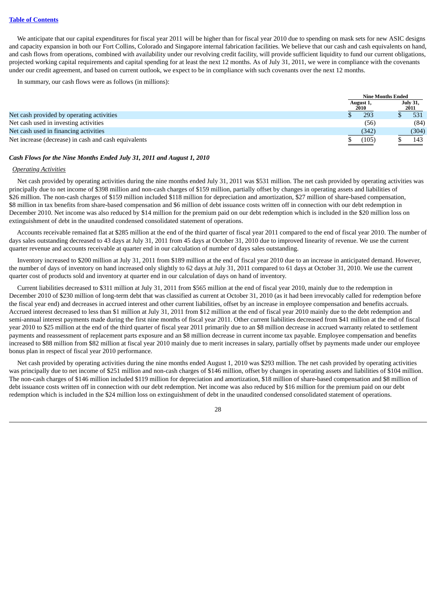We anticipate that our capital expenditures for fiscal year 2011 will be higher than for fiscal year 2010 due to spending on mask sets for new ASIC designs and capacity expansion in both our Fort Collins, Colorado and Singapore internal fabrication facilities. We believe that our cash and cash equivalents on hand, and cash flows from operations, combined with availability under our revolving credit facility, will provide sufficient liquidity to fund our current obligations, projected working capital requirements and capital spending for at least the next 12 months. As of July 31, 2011, we were in compliance with the covenants under our credit agreement, and based on current outlook, we expect to be in compliance with such covenants over the next 12 months.

In summary, our cash flows were as follows (in millions):

|                                                      | <b>Nine Months Ended</b> |                   |  |                         |  |
|------------------------------------------------------|--------------------------|-------------------|--|-------------------------|--|
|                                                      |                          | August 1,<br>2010 |  | <b>July 31,</b><br>2011 |  |
| Net cash provided by operating activities            |                          | 293               |  | 531                     |  |
| Net cash used in investing activities                |                          | (56)              |  | (84)                    |  |
| Net cash used in financing activities                |                          | (342)             |  | (304)                   |  |
| Net increase (decrease) in cash and cash equivalents |                          | (105)             |  | 143                     |  |

#### *Cash Flows for the Nine Months Ended July 31, 2011 and August 1, 2010*

#### *Operating Activities*

Net cash provided by operating activities during the nine months ended July 31, 2011 was \$531 million. The net cash provided by operating activities was principally due to net income of \$398 million and non-cash charges of \$159 million, partially offset by changes in operating assets and liabilities of \$26 million. The non-cash charges of \$159 million included \$118 million for depreciation and amortization, \$27 million of share-based compensation, \$8 million in tax benefits from share-based compensation and \$6 million of debt issuance costs written off in connection with our debt redemption in December 2010. Net income was also reduced by \$14 million for the premium paid on our debt redemption which is included in the \$20 million loss on extinguishment of debt in the unaudited condensed consolidated statement of operations.

Accounts receivable remained flat at \$285 million at the end of the third quarter of fiscal year 2011 compared to the end of fiscal year 2010. The number of days sales outstanding decreased to 43 days at July 31, 2011 from 45 days at October 31, 2010 due to improved linearity of revenue. We use the current quarter revenue and accounts receivable at quarter end in our calculation of number of days sales outstanding.

Inventory increased to \$200 million at July 31, 2011 from \$189 million at the end of fiscal year 2010 due to an increase in anticipated demand. However, the number of days of inventory on hand increased only slightly to 62 days at July 31, 2011 compared to 61 days at October 31, 2010. We use the current quarter cost of products sold and inventory at quarter end in our calculation of days on hand of inventory.

Current liabilities decreased to \$311 million at July 31, 2011 from \$565 million at the end of fiscal year 2010, mainly due to the redemption in December 2010 of \$230 million of long-term debt that was classified as current at October 31, 2010 (as it had been irrevocably called for redemption before the fiscal year end) and decreases in accrued interest and other current liabilities, offset by an increase in employee compensation and benefits accruals. Accrued interest decreased to less than \$1 million at July 31, 2011 from \$12 million at the end of fiscal year 2010 mainly due to the debt redemption and semi-annual interest payments made during the first nine months of fiscal year 2011. Other current liabilities decreased from \$41 million at the end of fiscal year 2010 to \$25 million at the end of the third quarter of fiscal year 2011 primarily due to an \$8 million decrease in accrued warranty related to settlement payments and reassessment of replacement parts exposure and an \$8 million decrease in current income tax payable. Employee compensation and benefits increased to \$88 million from \$82 million at fiscal year 2010 mainly due to merit increases in salary, partially offset by payments made under our employee bonus plan in respect of fiscal year 2010 performance.

Net cash provided by operating activities during the nine months ended August 1, 2010 was \$293 million. The net cash provided by operating activities was principally due to net income of \$251 million and non-cash charges of \$146 million, offset by changes in operating assets and liabilities of \$104 million. The non-cash charges of \$146 million included \$119 million for depreciation and amortization, \$18 million of share-based compensation and \$8 million of debt issuance costs written off in connection with our debt redemption. Net income was also reduced by \$16 million for the premium paid on our debt redemption which is included in the \$24 million loss on extinguishment of debt in the unaudited condensed consolidated statement of operations.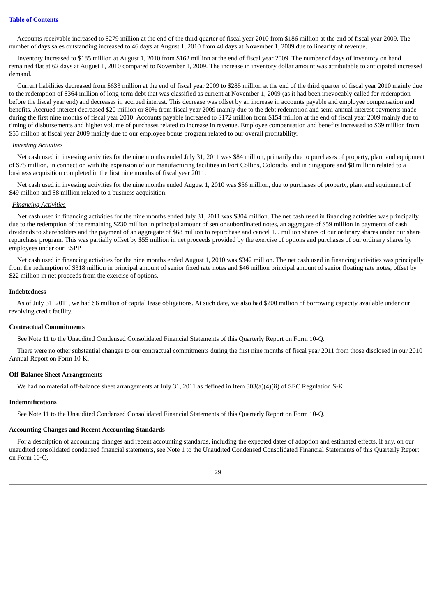Accounts receivable increased to \$279 million at the end of the third quarter of fiscal year 2010 from \$186 million at the end of fiscal year 2009. The number of days sales outstanding increased to 46 days at August 1, 2010 from 40 days at November 1, 2009 due to linearity of revenue.

Inventory increased to \$185 million at August 1, 2010 from \$162 million at the end of fiscal year 2009. The number of days of inventory on hand remained flat at 62 days at August 1, 2010 compared to November 1, 2009. The increase in inventory dollar amount was attributable to anticipated increased demand.

Current liabilities decreased from \$633 million at the end of fiscal year 2009 to \$285 million at the end of the third quarter of fiscal year 2010 mainly due to the redemption of \$364 million of long-term debt that was classified as current at November 1, 2009 (as it had been irrevocably called for redemption before the fiscal year end) and decreases in accrued interest. This decrease was offset by an increase in accounts payable and employee compensation and benefits. Accrued interest decreased \$20 million or 80% from fiscal year 2009 mainly due to the debt redemption and semi-annual interest payments made during the first nine months of fiscal year 2010. Accounts payable increased to \$172 million from \$154 million at the end of fiscal year 2009 mainly due to timing of disbursements and higher volume of purchases related to increase in revenue. Employee compensation and benefits increased to \$69 million from \$55 million at fiscal year 2009 mainly due to our employee bonus program related to our overall profitability.

#### *Investing Activities*

Net cash used in investing activities for the nine months ended July 31, 2011 was \$84 million, primarily due to purchases of property, plant and equipment of \$75 million, in connection with the expansion of our manufacturing facilities in Fort Collins, Colorado, and in Singapore and \$8 million related to a business acquisition completed in the first nine months of fiscal year 2011.

Net cash used in investing activities for the nine months ended August 1, 2010 was \$56 million, due to purchases of property, plant and equipment of \$49 million and \$8 million related to a business acquisition.

#### *Financing Activities*

Net cash used in financing activities for the nine months ended July 31, 2011 was \$304 million. The net cash used in financing activities was principally due to the redemption of the remaining \$230 million in principal amount of senior subordinated notes, an aggregate of \$59 million in payments of cash dividends to shareholders and the payment of an aggregate of \$68 million to repurchase and cancel 1.9 million shares of our ordinary shares under our share repurchase program. This was partially offset by \$55 million in net proceeds provided by the exercise of options and purchases of our ordinary shares by employees under our ESPP.

Net cash used in financing activities for the nine months ended August 1, 2010 was \$342 million. The net cash used in financing activities was principally from the redemption of \$318 million in principal amount of senior fixed rate notes and \$46 million principal amount of senior floating rate notes, offset by \$22 million in net proceeds from the exercise of options.

#### **Indebtedness**

As of July 31, 2011, we had \$6 million of capital lease obligations. At such date, we also had \$200 million of borrowing capacity available under our revolving credit facility.

#### **Contractual Commitments**

See Note 11 to the Unaudited Condensed Consolidated Financial Statements of this Quarterly Report on Form 10-Q.

There were no other substantial changes to our contractual commitments during the first nine months of fiscal year 2011 from those disclosed in our 2010 Annual Report on Form 10-K.

## **Off-Balance Sheet Arrangements**

We had no material off-balance sheet arrangements at July 31, 2011 as defined in Item 303(a)(4)(ii) of SEC Regulation S-K.

#### **Indemnifications**

See Note 11 to the Unaudited Condensed Consolidated Financial Statements of this Quarterly Report on Form 10-Q.

#### **Accounting Changes and Recent Accounting Standards**

For a description of accounting changes and recent accounting standards, including the expected dates of adoption and estimated effects, if any, on our unaudited consolidated condensed financial statements, see Note 1 to the Unaudited Condensed Consolidated Financial Statements of this Quarterly Report on Form 10-Q.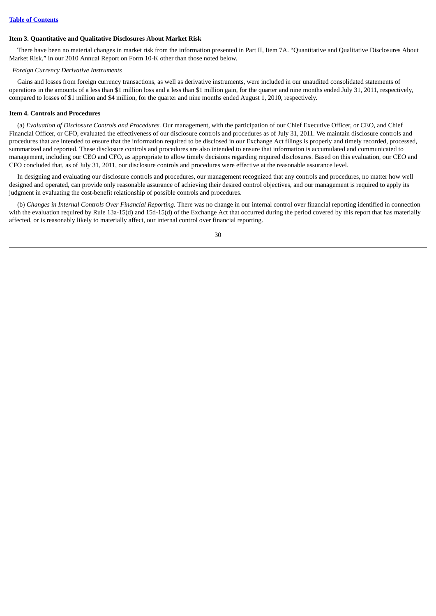#### <span id="page-30-0"></span>**Item 3. Quantitative and Qualitative Disclosures About Market Risk**

There have been no material changes in market risk from the information presented in Part II, Item 7A. "Quantitative and Qualitative Disclosures About Market Risk," in our 2010 Annual Report on Form 10-K other than those noted below.

#### *Foreign Currency Derivative Instruments*

Gains and losses from foreign currency transactions, as well as derivative instruments, were included in our unaudited consolidated statements of operations in the amounts of a less than \$1 million loss and a less than \$1 million gain, for the quarter and nine months ended July 31, 2011, respectively, compared to losses of \$1 million and \$4 million, for the quarter and nine months ended August 1, 2010, respectively.

## <span id="page-30-1"></span>**Item 4. Controls and Procedures**

(a) *Evaluation of Disclosure Controls and Procedures.* Our management, with the participation of our Chief Executive Officer, or CEO, and Chief Financial Officer, or CFO, evaluated the effectiveness of our disclosure controls and procedures as of July 31, 2011. We maintain disclosure controls and procedures that are intended to ensure that the information required to be disclosed in our Exchange Act filings is properly and timely recorded, processed, summarized and reported. These disclosure controls and procedures are also intended to ensure that information is accumulated and communicated to management, including our CEO and CFO, as appropriate to allow timely decisions regarding required disclosures. Based on this evaluation, our CEO and CFO concluded that, as of July 31, 2011, our disclosure controls and procedures were effective at the reasonable assurance level.

In designing and evaluating our disclosure controls and procedures, our management recognized that any controls and procedures, no matter how well designed and operated, can provide only reasonable assurance of achieving their desired control objectives, and our management is required to apply its judgment in evaluating the cost-benefit relationship of possible controls and procedures.

(b) *Changes in Internal Controls Over Financial Reporting.* There was no change in our internal control over financial reporting identified in connection with the evaluation required by Rule 13a-15(d) and 15d-15(d) of the Exchange Act that occurred during the period covered by this report that has materially affected, or is reasonably likely to materially affect, our internal control over financial reporting.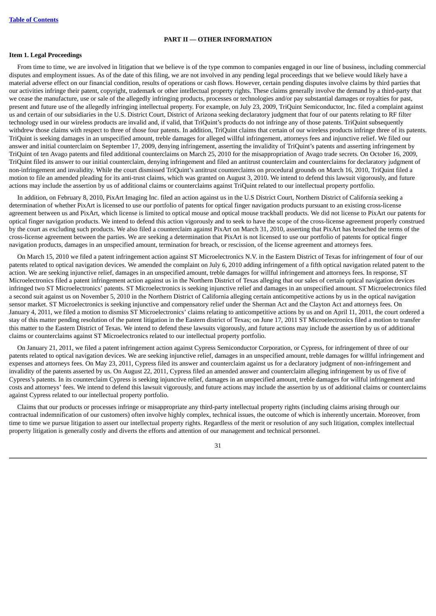## **PART II — OTHER INFORMATION**

## <span id="page-31-1"></span><span id="page-31-0"></span>**Item 1. Legal Proceedings**

From time to time, we are involved in litigation that we believe is of the type common to companies engaged in our line of business, including commercial disputes and employment issues. As of the date of this filing, we are not involved in any pending legal proceedings that we believe would likely have a material adverse effect on our financial condition, results of operations or cash flows. However, certain pending disputes involve claims by third parties that our activities infringe their patent, copyright, trademark or other intellectual property rights. These claims generally involve the demand by a third-party that we cease the manufacture, use or sale of the allegedly infringing products, processes or technologies and/or pay substantial damages or royalties for past, present and future use of the allegedly infringing intellectual property. For example, on July 23, 2009, TriQuint Semiconductor, Inc. filed a complaint against us and certain of our subsidiaries in the U.S. District Court, District of Arizona seeking declaratory judgment that four of our patents relating to RF filter technology used in our wireless products are invalid and, if valid, that TriQuint's products do not infringe any of those patents. TriQuint subsequently withdrew those claims with respect to three of those four patents. In addition, TriQuint claims that certain of our wireless products infringe three of its patents. TriQuint is seeking damages in an unspecified amount, treble damages for alleged willful infringement, attorneys fees and injunctive relief. We filed our answer and initial counterclaim on September 17, 2009, denying infringement, asserting the invalidity of TriQuint's patents and asserting infringement by TriQuint of ten Avago patents and filed additional counterclaims on March 25, 2010 for the misappropriation of Avago trade secrets. On October 16, 2009, TriQuint filed its answer to our initial counterclaim, denying infringement and filed an antitrust counterclaim and counterclaims for declaratory judgment of non-infringement and invalidity. While the court dismissed TriQuint's antitrust counterclaims on procedural grounds on March 16, 2010, TriQuint filed a motion to file an amended pleading for its anti-trust claims, which was granted on August 3, 2010. We intend to defend this lawsuit vigorously, and future actions may include the assertion by us of additional claims or counterclaims against TriQuint related to our intellectual property portfolio.

In addition, on February 8, 2010, PixArt Imaging Inc. filed an action against us in the U.S District Court, Northern District of California seeking a determination of whether PixArt is licensed to use our portfolio of patents for optical finger navigation products pursuant to an existing cross-license agreement between us and PixArt, which license is limited to optical mouse and optical mouse trackball products. We did not license to PixArt our patents for optical finger navigation products. We intend to defend this action vigorously and to seek to have the scope of the cross-license agreement properly construed by the court as excluding such products. We also filed a counterclaim against PixArt on March 31, 2010, asserting that PixArt has breached the terms of the cross-license agreement between the parties. We are seeking a determination that PixArt is not licensed to use our portfolio of patents for optical finger navigation products, damages in an unspecified amount, termination for breach, or rescission, of the license agreement and attorneys fees.

On March 15, 2010 we filed a patent infringement action against ST Microelectronics N.V. in the Eastern District of Texas for infringement of four of our patents related to optical navigation devices. We amended the complaint on July 6, 2010 adding infringement of a fifth optical navigation related patent to the action. We are seeking injunctive relief, damages in an unspecified amount, treble damages for willful infringement and attorneys fees. In response, ST Microelectronics filed a patent infringement action against us in the Northern District of Texas alleging that our sales of certain optical navigation devices infringed two ST Microelectronics' patents. ST Microelectronics is seeking injunctive relief and damages in an unspecified amount. ST Microelectronics filed a second suit against us on November 5, 2010 in the Northern District of California alleging certain anticompetitive actions by us in the optical navigation sensor market. ST Microelectronics is seeking injunctive and compensatory relief under the Sherman Act and the Clayton Act and attorneys fees. On January 4, 2011, we filed a motion to dismiss ST Microelectronics' claims relating to anticompetitive actions by us and on April 11, 2011, the court ordered a stay of this matter pending resolution of the patent litigation in the Eastern district of Texas; on June 17, 2011 ST Microelectronics filed a motion to transfer this matter to the Eastern District of Texas. We intend to defend these lawsuits vigorously, and future actions may include the assertion by us of additional claims or counterclaims against ST Microelectronics related to our intellectual property portfolio.

On January 21, 2011, we filed a patent infringement action against Cypress Semiconductor Corporation, or Cypress, for infringement of three of our patents related to optical navigation devices. We are seeking injunctive relief, damages in an unspecified amount, treble damages for willful infringement and expenses and attorneys fees. On May 23, 2011, Cypress filed its answer and counterclaim against us for a declaratory judgment of non-infringement and invalidity of the patents asserted by us. On August 22, 2011, Cypress filed an amended answer and counterclaim alleging infringement by us of five of Cypress's patents. In its counterclaim Cypress is seeking injunctive relief, damages in an unspecified amount, treble damages for willful infringement and costs and attorneys' fees. We intend to defend this lawsuit vigorously, and future actions may include the assertion by us of additional claims or counterclaims against Cypress related to our intellectual property portfolio.

Claims that our products or processes infringe or misappropriate any third-party intellectual property rights (including claims arising through our contractual indemnification of our customers) often involve highly complex, technical issues, the outcome of which is inherently uncertain. Moreover, from time to time we pursue litigation to assert our intellectual property rights. Regardless of the merit or resolution of any such litigation, complex intellectual property litigation is generally costly and diverts the efforts and attention of our management and technical personnel.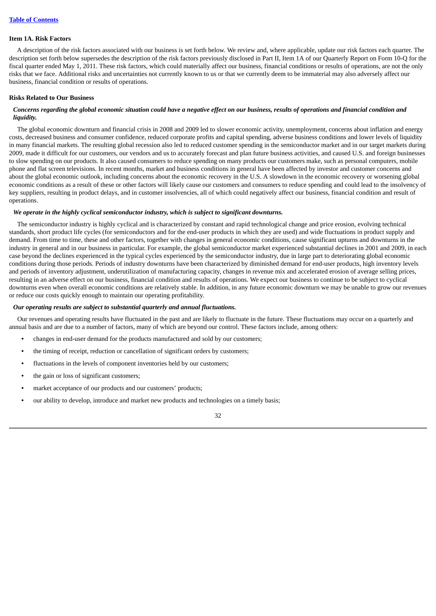#### <span id="page-32-0"></span>**Item 1A. Risk Factors**

A description of the risk factors associated with our business is set forth below. We review and, where applicable, update our risk factors each quarter. The description set forth below supersedes the description of the risk factors previously disclosed in Part II, Item 1A of our Quarterly Report on Form 10-Q for the fiscal quarter ended May 1, 2011. These risk factors, which could materially affect our business, financial conditions or results of operations, are not the only risks that we face. Additional risks and uncertainties not currently known to us or that we currently deem to be immaterial may also adversely affect our business, financial condition or results of operations.

#### **Risks Related to Our Business**

#### Concerns regarding the global economic situation could have a negative effect on our business, results of operations and financial condition and *liquidity.*

The global economic downturn and financial crisis in 2008 and 2009 led to slower economic activity, unemployment, concerns about inflation and energy costs, decreased business and consumer confidence, reduced corporate profits and capital spending, adverse business conditions and lower levels of liquidity in many financial markets. The resulting global recession also led to reduced customer spending in the semiconductor market and in our target markets during 2009, made it difficult for our customers, our vendors and us to accurately forecast and plan future business activities, and caused U.S. and foreign businesses to slow spending on our products. It also caused consumers to reduce spending on many products our customers make, such as personal computers, mobile phone and flat screen televisions. In recent months, market and business conditions in general have been affected by investor and customer concerns and about the global economic outlook, including concerns about the economic recovery in the U.S. A slowdown in the economic recovery or worsening global economic conditions as a result of these or other factors will likely cause our customers and consumers to reduce spending and could lead to the insolvency of key suppliers, resulting in product delays, and in customer insolvencies, all of which could negatively affect our business, financial condition and result of operations.

#### *We operate in the highly cyclical semiconductor industry, which is subject to significant downturns.*

The semiconductor industry is highly cyclical and is characterized by constant and rapid technological change and price erosion, evolving technical standards, short product life cycles (for semiconductors and for the end-user products in which they are used) and wide fluctuations in product supply and demand. From time to time, these and other factors, together with changes in general economic conditions, cause significant upturns and downturns in the industry in general and in our business in particular. For example, the global semiconductor market experienced substantial declines in 2001 and 2009, in each case beyond the declines experienced in the typical cycles experienced by the semiconductor industry, due in large part to deteriorating global economic conditions during those periods. Periods of industry downturns have been characterized by diminished demand for end-user products, high inventory levels and periods of inventory adjustment, underutilization of manufacturing capacity, changes in revenue mix and accelerated erosion of average selling prices, resulting in an adverse effect on our business, financial condition and results of operations. We expect our business to continue to be subject to cyclical downturns even when overall economic conditions are relatively stable. In addition, in any future economic downturn we may be unable to grow our revenues or reduce our costs quickly enough to maintain our operating profitability.

#### *Our operating results are subject to substantial quarterly and annual fluctuations.*

Our revenues and operating results have fluctuated in the past and are likely to fluctuate in the future. These fluctuations may occur on a quarterly and annual basis and are due to a number of factors, many of which are beyond our control. These factors include, among others:

- **•** changes in end-user demand for the products manufactured and sold by our customers;
- **•** the timing of receipt, reduction or cancellation of significant orders by customers;
- **•** fluctuations in the levels of component inventories held by our customers;
- **•** the gain or loss of significant customers;
- **•** market acceptance of our products and our customers' products;
- **•** our ability to develop, introduce and market new products and technologies on a timely basis;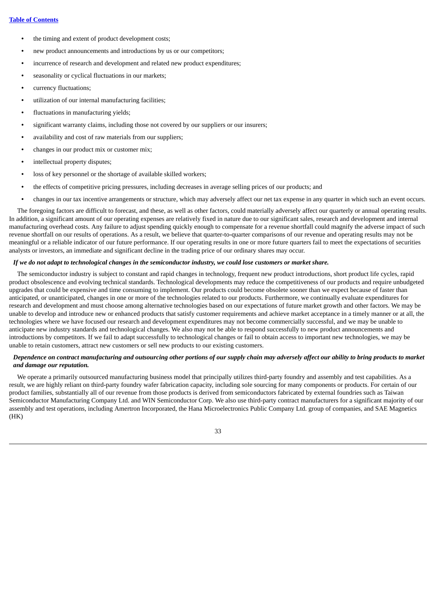- **•** the timing and extent of product development costs;
- **•** new product announcements and introductions by us or our competitors;
- **•** incurrence of research and development and related new product expenditures;
- **•** seasonality or cyclical fluctuations in our markets;
- **•** currency fluctuations;
- **•** utilization of our internal manufacturing facilities;
- **•** fluctuations in manufacturing yields;
- **•** significant warranty claims, including those not covered by our suppliers or our insurers;
- **•** availability and cost of raw materials from our suppliers;
- **•** changes in our product mix or customer mix;
- **•** intellectual property disputes;
- **•** loss of key personnel or the shortage of available skilled workers;
- **•** the effects of competitive pricing pressures, including decreases in average selling prices of our products; and
- **•** changes in our tax incentive arrangements or structure, which may adversely affect our net tax expense in any quarter in which such an event occurs.

The foregoing factors are difficult to forecast, and these, as well as other factors, could materially adversely affect our quarterly or annual operating results. In addition, a significant amount of our operating expenses are relatively fixed in nature due to our significant sales, research and development and internal manufacturing overhead costs. Any failure to adjust spending quickly enough to compensate for a revenue shortfall could magnify the adverse impact of such revenue shortfall on our results of operations. As a result, we believe that quarter-to-quarter comparisons of our revenue and operating results may not be meaningful or a reliable indicator of our future performance. If our operating results in one or more future quarters fail to meet the expectations of securities analysts or investors, an immediate and significant decline in the trading price of our ordinary shares may occur.

# If we do not adapt to technological changes in the semiconductor industry, we could lose customers or market share.

The semiconductor industry is subject to constant and rapid changes in technology, frequent new product introductions, short product life cycles, rapid product obsolescence and evolving technical standards. Technological developments may reduce the competitiveness of our products and require unbudgeted upgrades that could be expensive and time consuming to implement. Our products could become obsolete sooner than we expect because of faster than anticipated, or unanticipated, changes in one or more of the technologies related to our products. Furthermore, we continually evaluate expenditures for research and development and must choose among alternative technologies based on our expectations of future market growth and other factors. We may be unable to develop and introduce new or enhanced products that satisfy customer requirements and achieve market acceptance in a timely manner or at all, the technologies where we have focused our research and development expenditures may not become commercially successful, and we may be unable to anticipate new industry standards and technological changes. We also may not be able to respond successfully to new product announcements and introductions by competitors. If we fail to adapt successfully to technological changes or fail to obtain access to important new technologies, we may be unable to retain customers, attract new customers or sell new products to our existing customers.

## Dependence on contract manufacturing and outsourcing other portions of our supply chain may adversely affect our ability to bring products to market *and damage our reputation.*

We operate a primarily outsourced manufacturing business model that principally utilizes third-party foundry and assembly and test capabilities. As a result, we are highly reliant on third-party foundry wafer fabrication capacity, including sole sourcing for many components or products. For certain of our product families, substantially all of our revenue from those products is derived from semiconductors fabricated by external foundries such as Taiwan Semiconductor Manufacturing Company Ltd. and WIN Semiconductor Corp. We also use third-party contract manufacturers for a significant majority of our assembly and test operations, including Amertron Incorporated, the Hana Microelectronics Public Company Ltd. group of companies, and SAE Magnetics (HK)

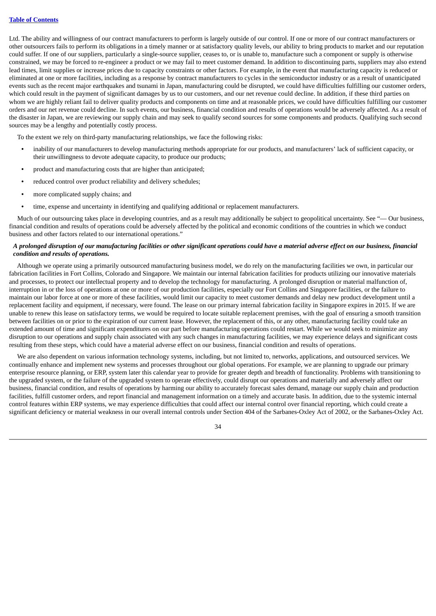Ltd. The ability and willingness of our contract manufacturers to perform is largely outside of our control. If one or more of our contract manufacturers or other outsourcers fails to perform its obligations in a timely manner or at satisfactory quality levels, our ability to bring products to market and our reputation could suffer. If one of our suppliers, particularly a single-source supplier, ceases to, or is unable to, manufacture such a component or supply is otherwise constrained, we may be forced to re-engineer a product or we may fail to meet customer demand. In addition to discontinuing parts, suppliers may also extend lead times, limit supplies or increase prices due to capacity constraints or other factors. For example, in the event that manufacturing capacity is reduced or eliminated at one or more facilities, including as a response by contract manufacturers to cycles in the semiconductor industry or as a result of unanticipated events such as the recent major earthquakes and tsunami in Japan, manufacturing could be disrupted, we could have difficulties fulfilling our customer orders, which could result in the payment of significant damages by us to our customers, and our net revenue could decline. In addition, if these third parties on whom we are highly reliant fail to deliver quality products and components on time and at reasonable prices, we could have difficulties fulfilling our customer orders and our net revenue could decline. In such events, our business, financial condition and results of operations would be adversely affected. As a result of the disaster in Japan, we are reviewing our supply chain and may seek to qualify second sources for some components and products. Qualifying such second sources may be a lengthy and potentially costly process.

To the extent we rely on third-party manufacturing relationships, we face the following risks:

- **•** inability of our manufacturers to develop manufacturing methods appropriate for our products, and manufacturers' lack of sufficient capacity, or their unwillingness to devote adequate capacity, to produce our products;
- **•** product and manufacturing costs that are higher than anticipated;
- **•** reduced control over product reliability and delivery schedules;
- **•** more complicated supply chains; and
- **•** time, expense and uncertainty in identifying and qualifying additional or replacement manufacturers.

Much of our outsourcing takes place in developing countries, and as a result may additionally be subject to geopolitical uncertainty. See "— Our business, financial condition and results of operations could be adversely affected by the political and economic conditions of the countries in which we conduct business and other factors related to our international operations."

## A prolonged disruption of our manufacturing facilities or other significant operations could have a material adverse effect on our business, financial *condition and results of operations.*

Although we operate using a primarily outsourced manufacturing business model, we do rely on the manufacturing facilities we own, in particular our fabrication facilities in Fort Collins, Colorado and Singapore. We maintain our internal fabrication facilities for products utilizing our innovative materials and processes, to protect our intellectual property and to develop the technology for manufacturing. A prolonged disruption or material malfunction of, interruption in or the loss of operations at one or more of our production facilities, especially our Fort Collins and Singapore facilities, or the failure to maintain our labor force at one or more of these facilities, would limit our capacity to meet customer demands and delay new product development until a replacement facility and equipment, if necessary, were found. The lease on our primary internal fabrication facility in Singapore expires in 2015. If we are unable to renew this lease on satisfactory terms, we would be required to locate suitable replacement premises, with the goal of ensuring a smooth transition between facilities on or prior to the expiration of our current lease. However, the replacement of this, or any other, manufacturing facility could take an extended amount of time and significant expenditures on our part before manufacturing operations could restart. While we would seek to minimize any disruption to our operations and supply chain associated with any such changes in manufacturing facilities, we may experience delays and significant costs resulting from these steps, which could have a material adverse effect on our business, financial condition and results of operations.

We are also dependent on various information technology systems, including, but not limited to, networks, applications, and outsourced services. We continually enhance and implement new systems and processes throughout our global operations. For example, we are planning to upgrade our primary enterprise resource planning, or ERP, system later this calendar year to provide for greater depth and breadth of functionality. Problems with transitioning to the upgraded system, or the failure of the upgraded system to operate effectively, could disrupt our operations and materially and adversely affect our business, financial condition, and results of operations by harming our ability to accurately forecast sales demand, manage our supply chain and production facilities, fulfill customer orders, and report financial and management information on a timely and accurate basis. In addition, due to the systemic internal control features within ERP systems, we may experience difficulties that could affect our internal control over financial reporting, which could create a significant deficiency or material weakness in our overall internal controls under Section 404 of the Sarbanes-Oxley Act of 2002, or the Sarbanes-Oxley Act.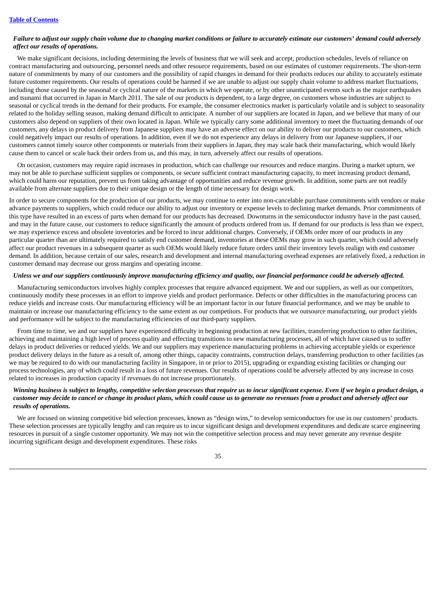## Failure to adjust our supply chain volume due to changing market conditions or failure to accurately estimate our customers' demand could adversely *affect our results of operations.*

We make significant decisions, including determining the levels of business that we will seek and accept, production schedules, levels of reliance on contract manufacturing and outsourcing, personnel needs and other resource requirements, based on our estimates of customer requirements. The short-term nature of commitments by many of our customers and the possibility of rapid changes in demand for their products reduces our ability to accurately estimate future customer requirements. Our results of operations could be harmed if we are unable to adjust our supply chain volume to address market fluctuations, including those caused by the seasonal or cyclical nature of the markets in which we operate, or by other unanticipated events such as the major earthquakes and tsunami that occurred in Japan in March 2011. The sale of our products is dependent, to a large degree, on customers whose industries are subject to seasonal or cyclical trends in the demand for their products. For example, the consumer electronics market is particularly volatile and is subject to seasonality related to the holiday selling season, making demand difficult to anticipate. A number of our suppliers are located in Japan, and we believe that many of our customers also depend on suppliers of their own located in Japan. While we typically carry some additional inventory to meet the fluctuating demands of our customers, any delays in product delivery from Japanese suppliers may have an adverse effect on our ability to deliver our products to our customers, which could negatively impact our results of operations. In addition, even if we do not experience any delays in delivery from our Japanese suppliers, if our customers cannot timely source other components or materials from their suppliers in Japan, they may scale back their manufacturing, which would likely cause them to cancel or scale back their orders from us, and this may, in turn, adversely affect our results of operations.

On occasion, customers may require rapid increases in production, which can challenge our resources and reduce margins. During a market upturn, we may not be able to purchase sufficient supplies or components, or secure sufficient contract manufacturing capacity, to meet increasing product demand, which could harm our reputation, prevent us from taking advantage of opportunities and reduce revenue growth. In addition, some parts are not readily available from alternate suppliers due to their unique design or the length of time necessary for design work.

In order to secure components for the production of our products, we may continue to enter into non-cancelable purchase commitments with vendors or make advance payments to suppliers, which could reduce our ability to adjust our inventory or expense levels to declining market demands. Prior commitments of this type have resulted in an excess of parts when demand for our products has decreased. Downturns in the semiconductor industry have in the past caused, and may in the future cause, our customers to reduce significantly the amount of products ordered from us. If demand for our products is less than we expect, we may experience excess and obsolete inventories and be forced to incur additional charges. Conversely, if OEMs order more of our products in any particular quarter than are ultimately required to satisfy end customer demand, inventories at these OEMs may grow in such quarter, which could adversely affect our product revenues in a subsequent quarter as such OEMs would likely reduce future orders until their inventory levels realign with end customer demand. In addition, because certain of our sales, research and development and internal manufacturing overhead expenses are relatively fixed, a reduction in customer demand may decrease our gross margins and operating income.

## Unless we and our suppliers continuously improve manufacturing efficiency and quality, our financial performance could be adversely affected.

Manufacturing semiconductors involves highly complex processes that require advanced equipment. We and our suppliers, as well as our competitors, continuously modify these processes in an effort to improve yields and product performance. Defects or other difficulties in the manufacturing process can reduce yields and increase costs. Our manufacturing efficiency will be an important factor in our future financial performance, and we may be unable to maintain or increase our manufacturing efficiency to the same extent as our competitors. For products that we outsource manufacturing, our product yields and performance will be subject to the manufacturing efficiencies of our third-party suppliers.

From time to time, we and our suppliers have experienced difficulty in beginning production at new facilities, transferring production to other facilities, achieving and maintaining a high level of process quality and effecting transitions to new manufacturing processes, all of which have caused us to suffer delays in product deliveries or reduced yields. We and our suppliers may experience manufacturing problems in achieving acceptable yields or experience product delivery delays in the future as a result of, among other things, capacity constraints, construction delays, transferring production to other facilities (as we may be required to do with our manufacturing facility in Singapore, in or prior to 2015), upgrading or expanding existing facilities or changing our process technologies, any of which could result in a loss of future revenues. Our results of operations could be adversely affected by any increase in costs related to increases in production capacity if revenues do not increase proportionately.

## Winning business is subject to lengthy, competitive selection processes that require us to incur significant expense. Even if we begin a product design, a customer may decide to cancel or change its product plans, which could cause us to generate no revenues from a product and adversely affect our *results of operations.*

We are focused on winning competitive bid selection processes, known as "design wins," to develop semiconductors for use in our customers' products. These selection processes are typically lengthy and can require us to incur significant design and development expenditures and dedicate scarce engineering resources in pursuit of a single customer opportunity. We may not win the competitive selection process and may never generate any revenue despite incurring significant design and development expenditures. These risks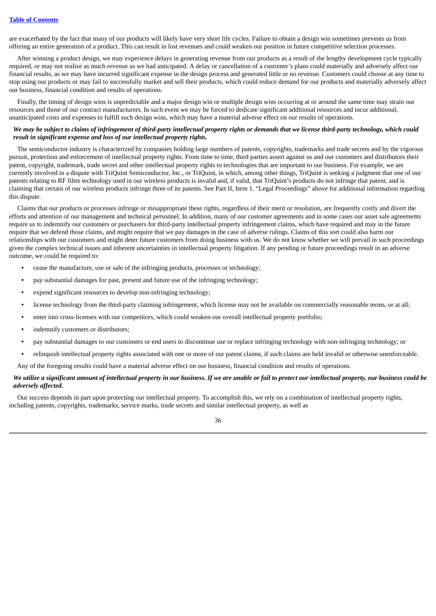are exacerbated by the fact that many of our products will likely have very short life cycles. Failure to obtain a design win sometimes prevents us from offering an entire generation of a product. This can result in lost revenues and could weaken our position in future competitive selection processes.

After winning a product design, we may experience delays in generating revenue from our products as a result of the lengthy development cycle typically required, or may not realize as much revenue as we had anticipated. A delay or cancellation of a customer's plans could materially and adversely affect our financial results, as we may have incurred significant expense in the design process and generated little or no revenue. Customers could choose at any time to stop using our products or may fail to successfully market and sell their products, which could reduce demand for our products and materially adversely affect our business, financial condition and results of operations.

Finally, the timing of design wins is unpredictable and a major design win or multiple design wins occurring at or around the same time may strain our resources and those of our contract manufacturers. In such event we may be forced to dedicate significant additional resources and incur additional, unanticipated costs and expenses to fulfill such design wins, which may have a material adverse effect on our results of operations.

## We may be subject to claims of infringement of third-party intellectual property rights or demands that we license third-party technology, which could *result in significant expense and loss of our intellectual property rights.*

The semiconductor industry is characterized by companies holding large numbers of patents, copyrights, trademarks and trade secrets and by the vigorous pursuit, protection and enforcement of intellectual property rights. From time to time, third parties assert against us and our customers and distributors their patent, copyright, trademark, trade secret and other intellectual property rights to technologies that are important to our business. For example, we are currently involved in a dispute with TriQuint Semiconductor, Inc., or TriQuint, in which, among other things, TriQuint is seeking a judgment that one of our patents relating to RF filter technology used in our wireless products is invalid and, if valid, that TriQuint's products do not infringe that patent, and is claiming that certain of our wireless products infringe three of its patents. See Part II, Item 1. "Legal Proceedings" above for additional information regarding this dispute.

Claims that our products or processes infringe or misappropriate these rights, regardless of their merit or resolution, are frequently costly and divert the efforts and attention of our management and technical personnel. In addition, many of our customer agreements and in some cases our asset sale agreements require us to indemnify our customers or purchasers for third-party intellectual property infringement claims, which have required and may in the future require that we defend those claims, and might require that we pay damages in the case of adverse rulings. Claims of this sort could also harm our relationships with our customers and might deter future customers from doing business with us. We do not know whether we will prevail in such proceedings given the complex technical issues and inherent uncertainties in intellectual property litigation. If any pending or future proceedings result in an adverse outcome, we could be required to:

- **•** cease the manufacture, use or sale of the infringing products, processes or technology;
- **•** pay substantial damages for past, present and future use of the infringing technology;
- **•** expend significant resources to develop non-infringing technology;
- **•** license technology from the third-party claiming infringement, which license may not be available on commercially reasonable terms, or at all;
- **•** enter into cross-licenses with our competitors, which could weaken our overall intellectual property portfolio;
- **•** indemnify customers or distributors;
- **•** pay substantial damages to our customers or end users to discontinue use or replace infringing technology with non-infringing technology; or
- **•** relinquish intellectual property rights associated with one or more of our patent claims, if such claims are held invalid or otherwise unenforceable.

Any of the foregoing results could have a material adverse effect on our business, financial condition and results of operations.

## We utilize a significant amount of intellectual property in our business. If we are unable or fail to protect our intellectual property, our business could be *adversely affected.*

Our success depends in part upon protecting our intellectual property. To accomplish this, we rely on a combination of intellectual property rights, including patents, copyrights, trademarks, service marks, trade secrets and similar intellectual property, as well as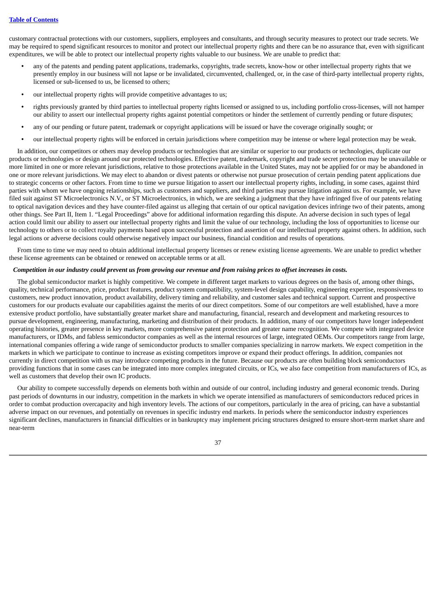customary contractual protections with our customers, suppliers, employees and consultants, and through security measures to protect our trade secrets. We may be required to spend significant resources to monitor and protect our intellectual property rights and there can be no assurance that, even with significant expenditures, we will be able to protect our intellectual property rights valuable to our business. We are unable to predict that:

- **•** any of the patents and pending patent applications, trademarks, copyrights, trade secrets, know-how or other intellectual property rights that we presently employ in our business will not lapse or be invalidated, circumvented, challenged, or, in the case of third-party intellectual property rights, licensed or sub-licensed to us, be licensed to others;
- **•** our intellectual property rights will provide competitive advantages to us;
- **•** rights previously granted by third parties to intellectual property rights licensed or assigned to us, including portfolio cross-licenses, will not hamper our ability to assert our intellectual property rights against potential competitors or hinder the settlement of currently pending or future disputes;
- **•** any of our pending or future patent, trademark or copyright applications will be issued or have the coverage originally sought; or
- **•** our intellectual property rights will be enforced in certain jurisdictions where competition may be intense or where legal protection may be weak.

In addition, our competitors or others may develop products or technologies that are similar or superior to our products or technologies, duplicate our products or technologies or design around our protected technologies. Effective patent, trademark, copyright and trade secret protection may be unavailable or more limited in one or more relevant jurisdictions, relative to those protections available in the United States, may not be applied for or may be abandoned in one or more relevant jurisdictions. We may elect to abandon or divest patents or otherwise not pursue prosecution of certain pending patent applications due to strategic concerns or other factors. From time to time we pursue litigation to assert our intellectual property rights, including, in some cases, against third parties with whom we have ongoing relationships, such as customers and suppliers, and third parties may pursue litigation against us. For example, we have filed suit against ST Microelectronics N.V., or ST Microelectronics, in which, we are seeking a judgment that they have infringed five of our patents relating to optical navigation devices and they have counter-filed against us alleging that certain of our optical navigation devices infringe two of their patents, among other things. See Part II, Item 1. "Legal Proceedings" above for additional information regarding this dispute. An adverse decision in such types of legal action could limit our ability to assert our intellectual property rights and limit the value of our technology, including the loss of opportunities to license our technology to others or to collect royalty payments based upon successful protection and assertion of our intellectual property against others. In addition, such legal actions or adverse decisions could otherwise negatively impact our business, financial condition and results of operations.

From time to time we may need to obtain additional intellectual property licenses or renew existing license agreements. We are unable to predict whether these license agreements can be obtained or renewed on acceptable terms or at all.

## Competition in our industry could prevent us from growing our revenue and from raising prices to offset increases in costs.

The global semiconductor market is highly competitive. We compete in different target markets to various degrees on the basis of, among other things, quality, technical performance, price, product features, product system compatibility, system-level design capability, engineering expertise, responsiveness to customers, new product innovation, product availability, delivery timing and reliability, and customer sales and technical support. Current and prospective customers for our products evaluate our capabilities against the merits of our direct competitors. Some of our competitors are well established, have a more extensive product portfolio, have substantially greater market share and manufacturing, financial, research and development and marketing resources to pursue development, engineering, manufacturing, marketing and distribution of their products. In addition, many of our competitors have longer independent operating histories, greater presence in key markets, more comprehensive patent protection and greater name recognition. We compete with integrated device manufacturers, or IDMs, and fabless semiconductor companies as well as the internal resources of large, integrated OEMs. Our competitors range from large, international companies offering a wide range of semiconductor products to smaller companies specializing in narrow markets. We expect competition in the markets in which we participate to continue to increase as existing competitors improve or expand their product offerings. In addition, companies not currently in direct competition with us may introduce competing products in the future. Because our products are often building block semiconductors providing functions that in some cases can be integrated into more complex integrated circuits, or ICs, we also face competition from manufacturers of ICs, as well as customers that develop their own IC products.

Our ability to compete successfully depends on elements both within and outside of our control, including industry and general economic trends. During past periods of downturns in our industry, competition in the markets in which we operate intensified as manufacturers of semiconductors reduced prices in order to combat production overcapacity and high inventory levels. The actions of our competitors, particularly in the area of pricing, can have a substantial adverse impact on our revenues, and potentially on revenues in specific industry end markets. In periods where the semiconductor industry experiences significant declines, manufacturers in financial difficulties or in bankruptcy may implement pricing structures designed to ensure short-term market share and near-term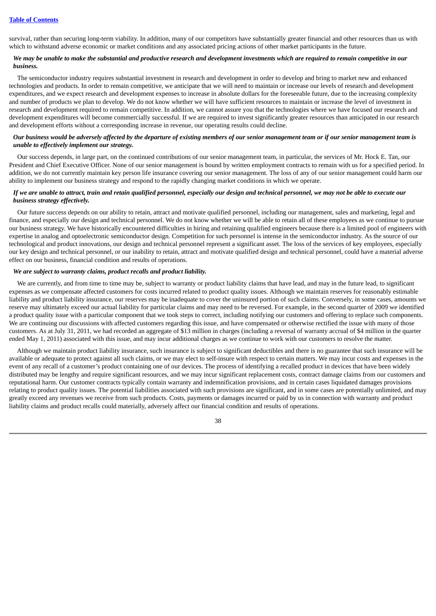survival, rather than securing long-term viability. In addition, many of our competitors have substantially greater financial and other resources than us with which to withstand adverse economic or market conditions and any associated pricing actions of other market participants in the future.

## We may be unable to make the substantial and productive research and development investments which are required to remain competitive in our *business.*

The semiconductor industry requires substantial investment in research and development in order to develop and bring to market new and enhanced technologies and products. In order to remain competitive, we anticipate that we will need to maintain or increase our levels of research and development expenditures, and we expect research and development expenses to increase in absolute dollars for the foreseeable future, due to the increasing complexity and number of products we plan to develop. We do not know whether we will have sufficient resources to maintain or increase the level of investment in research and development required to remain competitive. In addition, we cannot assure you that the technologies where we have focused our research and development expenditures will become commercially successful. If we are required to invest significantly greater resources than anticipated in our research and development efforts without a corresponding increase in revenue, our operating results could decline.

## Our business would be adversely affected by the departure of existing members of our senior management team or if our senior management team is *unable to effectively implement our strategy.*

Our success depends, in large part, on the continued contributions of our senior management team, in particular, the services of Mr. Hock E. Tan, our President and Chief Executive Officer. None of our senior management is bound by written employment contracts to remain with us for a specified period. In addition, we do not currently maintain key person life insurance covering our senior management. The loss of any of our senior management could harm our ability to implement our business strategy and respond to the rapidly changing market conditions in which we operate.

### If we are unable to attract, train and retain qualified personnel, especially our design and technical personnel, we may not be able to execute our *business strategy effectively.*

Our future success depends on our ability to retain, attract and motivate qualified personnel, including our management, sales and marketing, legal and finance, and especially our design and technical personnel. We do not know whether we will be able to retain all of these employees as we continue to pursue our business strategy. We have historically encountered difficulties in hiring and retaining qualified engineers because there is a limited pool of engineers with expertise in analog and optoelectronic semiconductor design. Competition for such personnel is intense in the semiconductor industry. As the source of our technological and product innovations, our design and technical personnel represent a significant asset. The loss of the services of key employees, especially our key design and technical personnel, or our inability to retain, attract and motivate qualified design and technical personnel, could have a material adverse effect on our business, financial condition and results of operations.

## *We are subject to warranty claims, product recalls and product liability.*

We are currently, and from time to time may be, subject to warranty or product liability claims that have lead, and may in the future lead, to significant expenses as we compensate affected customers for costs incurred related to product quality issues. Although we maintain reserves for reasonably estimable liability and product liability insurance, our reserves may be inadequate to cover the uninsured portion of such claims. Conversely, in some cases, amounts we reserve may ultimately exceed our actual liability for particular claims and may need to be reversed. For example, in the second quarter of 2009 we identified a product quality issue with a particular component that we took steps to correct, including notifying our customers and offering to replace such components. We are continuing our discussions with affected customers regarding this issue, and have compensated or otherwise rectified the issue with many of those customers. As at July 31, 2011, we had recorded an aggregate of \$13 million in charges (including a reversal of warranty accrual of \$4 million in the quarter ended May 1, 2011) associated with this issue, and may incur additional charges as we continue to work with our customers to resolve the matter.

Although we maintain product liability insurance, such insurance is subject to significant deductibles and there is no guarantee that such insurance will be available or adequate to protect against all such claims, or we may elect to self-insure with respect to certain matters. We may incur costs and expenses in the event of any recall of a customer's product containing one of our devices. The process of identifying a recalled product in devices that have been widely distributed may be lengthy and require significant resources, and we may incur significant replacement costs, contract damage claims from our customers and reputational harm. Our customer contracts typically contain warranty and indemnification provisions, and in certain cases liquidated damages provisions relating to product quality issues. The potential liabilities associated with such provisions are significant, and in some cases are potentially unlimited, and may greatly exceed any revenues we receive from such products. Costs, payments or damages incurred or paid by us in connection with warranty and product liability claims and product recalls could materially, adversely affect our financial condition and results of operations.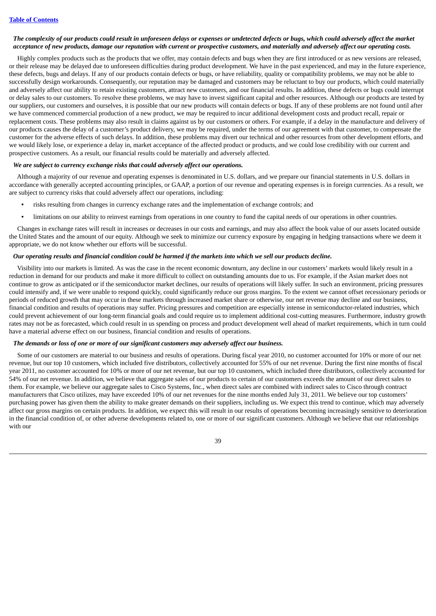## The complexity of our products could result in unforeseen delays or expenses or undetected defects or bugs, which could adversely affect the market acceptance of new products, damage our reputation with current or prospective customers, and materially and adversely affect our operating costs.

Highly complex products such as the products that we offer, may contain defects and bugs when they are first introduced or as new versions are released, or their release may be delayed due to unforeseen difficulties during product development. We have in the past experienced, and may in the future experience, these defects, bugs and delays. If any of our products contain defects or bugs, or have reliability, quality or compatibility problems, we may not be able to successfully design workarounds. Consequently, our reputation may be damaged and customers may be reluctant to buy our products, which could materially and adversely affect our ability to retain existing customers, attract new customers, and our financial results. In addition, these defects or bugs could interrupt or delay sales to our customers. To resolve these problems, we may have to invest significant capital and other resources. Although our products are tested by our suppliers, our customers and ourselves, it is possible that our new products will contain defects or bugs. If any of these problems are not found until after we have commenced commercial production of a new product, we may be required to incur additional development costs and product recall, repair or replacement costs. These problems may also result in claims against us by our customers or others. For example, if a delay in the manufacture and delivery of our products causes the delay of a customer's product delivery, we may be required, under the terms of our agreement with that customer, to compensate the customer for the adverse effects of such delays. In addition, these problems may divert our technical and other resources from other development efforts, and we would likely lose, or experience a delay in, market acceptance of the affected product or products, and we could lose credibility with our current and prospective customers. As a result, our financial results could be materially and adversely affected.

## *We are subject to currency exchange risks that could adversely affect our operations.*

Although a majority of our revenue and operating expenses is denominated in U.S. dollars, and we prepare our financial statements in U.S. dollars in accordance with generally accepted accounting principles, or GAAP, a portion of our revenue and operating expenses is in foreign currencies. As a result, we are subject to currency risks that could adversely affect our operations, including:

- **•** risks resulting from changes in currency exchange rates and the implementation of exchange controls; and
- **•** limitations on our ability to reinvest earnings from operations in one country to fund the capital needs of our operations in other countries.

Changes in exchange rates will result in increases or decreases in our costs and earnings, and may also affect the book value of our assets located outside the United States and the amount of our equity. Although we seek to minimize our currency exposure by engaging in hedging transactions where we deem it appropriate, we do not know whether our efforts will be successful.

### Our operating results and financial condition could be harmed if the markets into which we sell our products decline.

Visibility into our markets is limited. As was the case in the recent economic downturn, any decline in our customers' markets would likely result in a reduction in demand for our products and make it more difficult to collect on outstanding amounts due to us. For example, if the Asian market does not continue to grow as anticipated or if the semiconductor market declines, our results of operations will likely suffer. In such an environment, pricing pressures could intensify and, if we were unable to respond quickly, could significantly reduce our gross margins. To the extent we cannot offset recessionary periods or periods of reduced growth that may occur in these markets through increased market share or otherwise, our net revenue may decline and our business, financial condition and results of operations may suffer. Pricing pressures and competition are especially intense in semiconductor-related industries, which could prevent achievement of our long-term financial goals and could require us to implement additional cost-cutting measures. Furthermore, industry growth rates may not be as forecasted, which could result in us spending on process and product development well ahead of market requirements, which in turn could have a material adverse effect on our business, financial condition and results of operations.

## *The demands or loss of one or more of our significant customers may adversely affect our business.*

Some of our customers are material to our business and results of operations. During fiscal year 2010, no customer accounted for 10% or more of our net revenue, but our top 10 customers, which included five distributors, collectively accounted for 55% of our net revenue. During the first nine months of fiscal year 2011, no customer accounted for 10% or more of our net revenue, but our top 10 customers, which included three distributors, collectively accounted for 54% of our net revenue. In addition, we believe that aggregate sales of our products to certain of our customers exceeds the amount of our direct sales to them. For example, we believe our aggregate sales to Cisco Systems, Inc., when direct sales are combined with indirect sales to Cisco through contract manufacturers that Cisco utilizes, may have exceeded 10% of our net revenues for the nine months ended July 31, 2011. We believe our top customers' purchasing power has given them the ability to make greater demands on their suppliers, including us. We expect this trend to continue, which may adversely affect our gross margins on certain products. In addition, we expect this will result in our results of operations becoming increasingly sensitive to deterioration in the financial condition of, or other adverse developments related to, one or more of our significant customers. Although we believe that our relationships with our

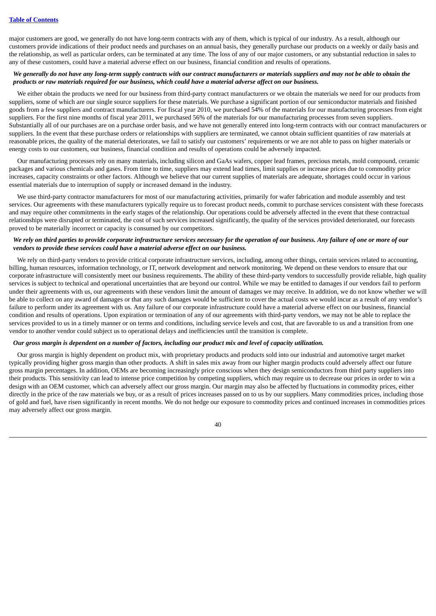major customers are good, we generally do not have long-term contracts with any of them, which is typical of our industry. As a result, although our customers provide indications of their product needs and purchases on an annual basis, they generally purchase our products on a weekly or daily basis and the relationship, as well as particular orders, can be terminated at any time. The loss of any of our major customers, or any substantial reduction in sales to any of these customers, could have a material adverse effect on our business, financial condition and results of operations.

#### We generally do not have any long-term supply contracts with our contract manufacturers or materials suppliers and may not be able to obtain the products or raw materials required for our business, which could have a material adverse affect on our business.

We either obtain the products we need for our business from third-party contract manufacturers or we obtain the materials we need for our products from suppliers, some of which are our single source suppliers for these materials. We purchase a significant portion of our semiconductor materials and finished goods from a few suppliers and contract manufacturers. For fiscal year 2010, we purchased 54% of the materials for our manufacturing processes from eight suppliers. For the first nine months of fiscal year 2011, we purchased 56% of the materials for our manufacturing processes from seven suppliers. Substantially all of our purchases are on a purchase order basis, and we have not generally entered into long-term contracts with our contract manufacturers or suppliers. In the event that these purchase orders or relationships with suppliers are terminated, we cannot obtain sufficient quantities of raw materials at reasonable prices, the quality of the material deteriorates, we fail to satisfy our customers' requirements or we are not able to pass on higher materials or energy costs to our customers, our business, financial condition and results of operations could be adversely impacted.

Our manufacturing processes rely on many materials, including silicon and GaAs wafers, copper lead frames, precious metals, mold compound, ceramic packages and various chemicals and gases. From time to time, suppliers may extend lead times, limit supplies or increase prices due to commodity price increases, capacity constraints or other factors. Although we believe that our current supplies of materials are adequate, shortages could occur in various essential materials due to interruption of supply or increased demand in the industry.

We use third-party contractor manufacturers for most of our manufacturing activities, primarily for wafer fabrication and module assembly and test services. Our agreements with these manufacturers typically require us to forecast product needs, commit to purchase services consistent with these forecasts and may require other commitments in the early stages of the relationship. Our operations could be adversely affected in the event that these contractual relationships were disrupted or terminated, the cost of such services increased significantly, the quality of the services provided deteriorated, our forecasts proved to be materially incorrect or capacity is consumed by our competitors.

## We rely on third parties to provide corporate infrastructure services necessary for the operation of our business. Any failure of one or more of our *vendors to provide these services could have a material adverse effect on our business.*

We rely on third-party vendors to provide critical corporate infrastructure services, including, among other things, certain services related to accounting, billing, human resources, information technology, or IT, network development and network monitoring. We depend on these vendors to ensure that our corporate infrastructure will consistently meet our business requirements. The ability of these third-party vendors to successfully provide reliable, high quality services is subject to technical and operational uncertainties that are beyond our control. While we may be entitled to damages if our vendors fail to perform under their agreements with us, our agreements with these vendors limit the amount of damages we may receive. In addition, we do not know whether we will be able to collect on any award of damages or that any such damages would be sufficient to cover the actual costs we would incur as a result of any vendor's failure to perform under its agreement with us. Any failure of our corporate infrastructure could have a material adverse effect on our business, financial condition and results of operations. Upon expiration or termination of any of our agreements with third-party vendors, we may not be able to replace the services provided to us in a timely manner or on terms and conditions, including service levels and cost, that are favorable to us and a transition from one vendor to another vendor could subject us to operational delays and inefficiencies until the transition is complete.

## Our gross margin is dependent on a number of factors, including our product mix and level of capacity utilization.

Our gross margin is highly dependent on product mix, with proprietary products and products sold into our industrial and automotive target market typically providing higher gross margin than other products. A shift in sales mix away from our higher margin products could adversely affect our future gross margin percentages. In addition, OEMs are becoming increasingly price conscious when they design semiconductors from third party suppliers into their products. This sensitivity can lead to intense price competition by competing suppliers, which may require us to decrease our prices in order to win a design with an OEM customer, which can adversely affect our gross margin. Our margin may also be affected by fluctuations in commodity prices, either directly in the price of the raw materials we buy, or as a result of prices increases passed on to us by our suppliers. Many commodities prices, including those of gold and fuel, have risen significantly in recent months. We do not hedge our exposure to commodity prices and continued increases in commodities prices may adversely affect our gross margin.

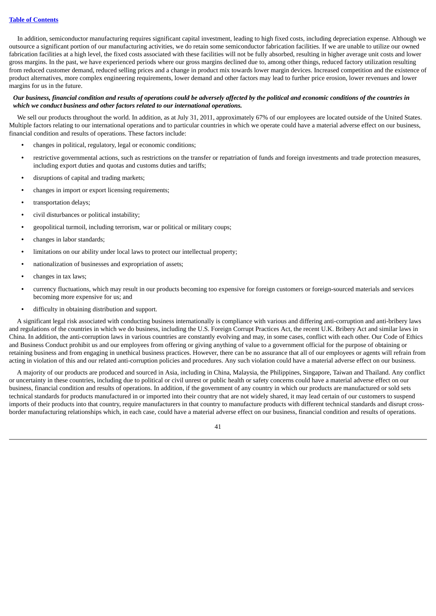In addition, semiconductor manufacturing requires significant capital investment, leading to high fixed costs, including depreciation expense. Although we outsource a significant portion of our manufacturing activities, we do retain some semiconductor fabrication facilities. If we are unable to utilize our owned fabrication facilities at a high level, the fixed costs associated with these facilities will not be fully absorbed, resulting in higher average unit costs and lower gross margins. In the past, we have experienced periods where our gross margins declined due to, among other things, reduced factory utilization resulting from reduced customer demand, reduced selling prices and a change in product mix towards lower margin devices. Increased competition and the existence of product alternatives, more complex engineering requirements, lower demand and other factors may lead to further price erosion, lower revenues and lower margins for us in the future.

## Our business, financial condition and results of operations could be adversely affected by the political and economic conditions of the countries in *which we conduct business and other factors related to our international operations.*

We sell our products throughout the world. In addition, as at July 31, 2011, approximately 67% of our employees are located outside of the United States. Multiple factors relating to our international operations and to particular countries in which we operate could have a material adverse effect on our business, financial condition and results of operations. These factors include:

- **•** changes in political, regulatory, legal or economic conditions;
- **•** restrictive governmental actions, such as restrictions on the transfer or repatriation of funds and foreign investments and trade protection measures, including export duties and quotas and customs duties and tariffs;
- **•** disruptions of capital and trading markets;
- **•** changes in import or export licensing requirements;
- **•** transportation delays;
- **•** civil disturbances or political instability;
- **•** geopolitical turmoil, including terrorism, war or political or military coups;
- **•** changes in labor standards;
- **•** limitations on our ability under local laws to protect our intellectual property;
- **•** nationalization of businesses and expropriation of assets;
- **•** changes in tax laws;
- **•** currency fluctuations, which may result in our products becoming too expensive for foreign customers or foreign-sourced materials and services becoming more expensive for us; and
- **•** difficulty in obtaining distribution and support.

A significant legal risk associated with conducting business internationally is compliance with various and differing anti-corruption and anti-bribery laws and regulations of the countries in which we do business, including the U.S. Foreign Corrupt Practices Act, the recent U.K. Bribery Act and similar laws in China. In addition, the anti-corruption laws in various countries are constantly evolving and may, in some cases, conflict with each other. Our Code of Ethics and Business Conduct prohibit us and our employees from offering or giving anything of value to a government official for the purpose of obtaining or retaining business and from engaging in unethical business practices. However, there can be no assurance that all of our employees or agents will refrain from acting in violation of this and our related anti-corruption policies and procedures. Any such violation could have a material adverse effect on our business.

A majority of our products are produced and sourced in Asia, including in China, Malaysia, the Philippines, Singapore, Taiwan and Thailand. Any conflict or uncertainty in these countries, including due to political or civil unrest or public health or safety concerns could have a material adverse effect on our business, financial condition and results of operations. In addition, if the government of any country in which our products are manufactured or sold sets technical standards for products manufactured in or imported into their country that are not widely shared, it may lead certain of our customers to suspend imports of their products into that country, require manufacturers in that country to manufacture products with different technical standards and disrupt crossborder manufacturing relationships which, in each case, could have a material adverse effect on our business, financial condition and results of operations.

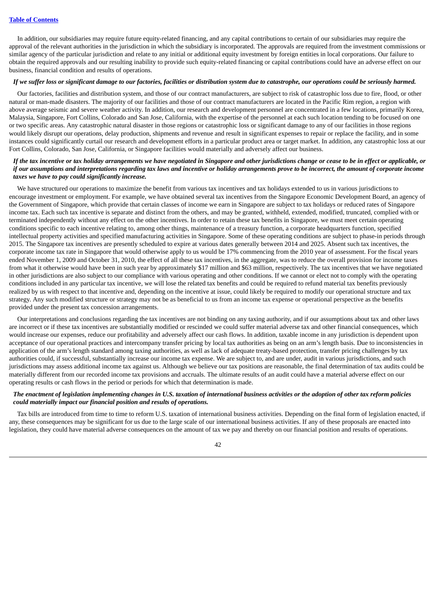In addition, our subsidiaries may require future equity-related financing, and any capital contributions to certain of our subsidiaries may require the approval of the relevant authorities in the jurisdiction in which the subsidiary is incorporated. The approvals are required from the investment commissions or similar agency of the particular jurisdiction and relate to any initial or additional equity investment by foreign entities in local corporations. Our failure to obtain the required approvals and our resulting inability to provide such equity-related financing or capital contributions could have an adverse effect on our business, financial condition and results of operations.

#### If we suffer loss or significant damage to our factories, facilities or distribution system due to catastrophe, our operations could be seriously harmed.

Our factories, facilities and distribution system, and those of our contract manufacturers, are subject to risk of catastrophic loss due to fire, flood, or other natural or man-made disasters. The majority of our facilities and those of our contract manufacturers are located in the Pacific Rim region, a region with above average seismic and severe weather activity. In addition, our research and development personnel are concentrated in a few locations, primarily Korea, Malaysia, Singapore, Fort Collins, Colorado and San Jose, California, with the expertise of the personnel at each such location tending to be focused on one or two specific areas. Any catastrophic natural disaster in those regions or catastrophic loss or significant damage to any of our facilities in those regions would likely disrupt our operations, delay production, shipments and revenue and result in significant expenses to repair or replace the facility, and in some instances could significantly curtail our research and development efforts in a particular product area or target market. In addition, any catastrophic loss at our Fort Collins, Colorado, San Jose, California, or Singapore facilities would materially and adversely affect our business.

## If the tax incentive or tax holiday arrangements we have negotiated in Singapore and other jurisdictions change or cease to be in effect or applicable, or if our assumptions and interpretations regarding tax laws and incentive or holiday arrangements prove to be incorrect, the amount of corporate income *taxes we have to pay could significantly increase.*

We have structured our operations to maximize the benefit from various tax incentives and tax holidays extended to us in various jurisdictions to encourage investment or employment. For example, we have obtained several tax incentives from the Singapore Economic Development Board, an agency of the Government of Singapore, which provide that certain classes of income we earn in Singapore are subject to tax holidays or reduced rates of Singapore income tax. Each such tax incentive is separate and distinct from the others, and may be granted, withheld, extended, modified, truncated, complied with or terminated independently without any effect on the other incentives. In order to retain these tax benefits in Singapore, we must meet certain operating conditions specific to each incentive relating to, among other things, maintenance of a treasury function, a corporate headquarters function, specified intellectual property activities and specified manufacturing activities in Singapore. Some of these operating conditions are subject to phase-in periods through 2015. The Singapore tax incentives are presently scheduled to expire at various dates generally between 2014 and 2025. Absent such tax incentives, the corporate income tax rate in Singapore that would otherwise apply to us would be 17% commencing from the 2010 year of assessment. For the fiscal years ended November 1, 2009 and October 31, 2010, the effect of all these tax incentives, in the aggregate, was to reduce the overall provision for income taxes from what it otherwise would have been in such year by approximately \$17 million and \$63 million, respectively. The tax incentives that we have negotiated in other jurisdictions are also subject to our compliance with various operating and other conditions. If we cannot or elect not to comply with the operating conditions included in any particular tax incentive, we will lose the related tax benefits and could be required to refund material tax benefits previously realized by us with respect to that incentive and, depending on the incentive at issue, could likely be required to modify our operational structure and tax strategy. Any such modified structure or strategy may not be as beneficial to us from an income tax expense or operational perspective as the benefits provided under the present tax concession arrangements.

Our interpretations and conclusions regarding the tax incentives are not binding on any taxing authority, and if our assumptions about tax and other laws are incorrect or if these tax incentives are substantially modified or rescinded we could suffer material adverse tax and other financial consequences, which would increase our expenses, reduce our profitability and adversely affect our cash flows. In addition, taxable income in any jurisdiction is dependent upon acceptance of our operational practices and intercompany transfer pricing by local tax authorities as being on an arm's length basis. Due to inconsistencies in application of the arm's length standard among taxing authorities, as well as lack of adequate treaty-based protection, transfer pricing challenges by tax authorities could, if successful, substantially increase our income tax expense. We are subject to, and are under, audit in various jurisdictions, and such jurisdictions may assess additional income tax against us. Although we believe our tax positions are reasonable, the final determination of tax audits could be materially different from our recorded income tax provisions and accruals. The ultimate results of an audit could have a material adverse effect on our operating results or cash flows in the period or periods for which that determination is made.

## The enactment of legislation implementing changes in U.S. taxation of international business activities or the adoption of other tax reform policies *could materially impact our financial position and results of operations.*

Tax bills are introduced from time to time to reform U.S. taxation of international business activities. Depending on the final form of legislation enacted, if any, these consequences may be significant for us due to the large scale of our international business activities. If any of these proposals are enacted into legislation, they could have material adverse consequences on the amount of tax we pay and thereby on our financial position and results of operations.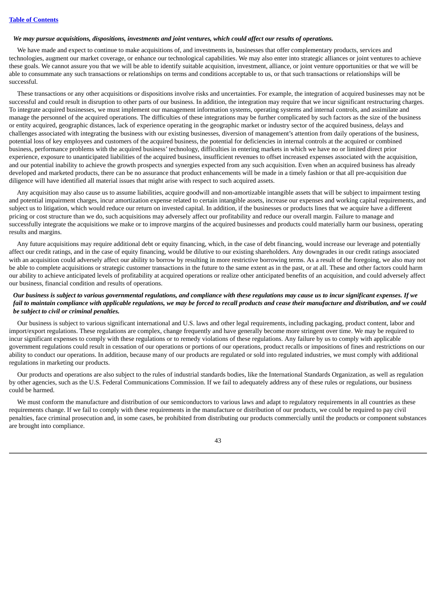#### We may pursue acquisitions, dispositions, investments and joint ventures, which could affect our results of operations.

We have made and expect to continue to make acquisitions of, and investments in, businesses that offer complementary products, services and technologies, augment our market coverage, or enhance our technological capabilities. We may also enter into strategic alliances or joint ventures to achieve these goals. We cannot assure you that we will be able to identify suitable acquisition, investment, alliance, or joint venture opportunities or that we will be able to consummate any such transactions or relationships on terms and conditions acceptable to us, or that such transactions or relationships will be successful.

These transactions or any other acquisitions or dispositions involve risks and uncertainties. For example, the integration of acquired businesses may not be successful and could result in disruption to other parts of our business. In addition, the integration may require that we incur significant restructuring charges. To integrate acquired businesses, we must implement our management information systems, operating systems and internal controls, and assimilate and manage the personnel of the acquired operations. The difficulties of these integrations may be further complicated by such factors as the size of the business or entity acquired, geographic distances, lack of experience operating in the geographic market or industry sector of the acquired business, delays and challenges associated with integrating the business with our existing businesses, diversion of management's attention from daily operations of the business, potential loss of key employees and customers of the acquired business, the potential for deficiencies in internal controls at the acquired or combined business, performance problems with the acquired business' technology, difficulties in entering markets in which we have no or limited direct prior experience, exposure to unanticipated liabilities of the acquired business, insufficient revenues to offset increased expenses associated with the acquisition, and our potential inability to achieve the growth prospects and synergies expected from any such acquisition. Even when an acquired business has already developed and marketed products, there can be no assurance that product enhancements will be made in a timely fashion or that all pre-acquisition due diligence will have identified all material issues that might arise with respect to such acquired assets.

Any acquisition may also cause us to assume liabilities, acquire goodwill and non-amortizable intangible assets that will be subject to impairment testing and potential impairment charges, incur amortization expense related to certain intangible assets, increase our expenses and working capital requirements, and subject us to litigation, which would reduce our return on invested capital. In addition, if the businesses or products lines that we acquire have a different pricing or cost structure than we do, such acquisitions may adversely affect our profitability and reduce our overall margin. Failure to manage and successfully integrate the acquisitions we make or to improve margins of the acquired businesses and products could materially harm our business, operating results and margins.

Any future acquisitions may require additional debt or equity financing, which, in the case of debt financing, would increase our leverage and potentially affect our credit ratings, and in the case of equity financing, would be dilutive to our existing shareholders. Any downgrades in our credit ratings associated with an acquisition could adversely affect our ability to borrow by resulting in more restrictive borrowing terms. As a result of the foregoing, we also may not be able to complete acquisitions or strategic customer transactions in the future to the same extent as in the past, or at all. These and other factors could harm our ability to achieve anticipated levels of profitability at acquired operations or realize other anticipated benefits of an acquisition, and could adversely affect our business, financial condition and results of operations.

## Our business is subject to various governmental regulations, and compliance with these regulations may cause us to incur significant expenses. If we fail to maintain compliance with applicable regulations, we may be forced to recall products and cease their manufacture and distribution, and we could *be subject to civil or criminal penalties.*

Our business is subject to various significant international and U.S. laws and other legal requirements, including packaging, product content, labor and import/export regulations. These regulations are complex, change frequently and have generally become more stringent over time. We may be required to incur significant expenses to comply with these regulations or to remedy violations of these regulations. Any failure by us to comply with applicable government regulations could result in cessation of our operations or portions of our operations, product recalls or impositions of fines and restrictions on our ability to conduct our operations. In addition, because many of our products are regulated or sold into regulated industries, we must comply with additional regulations in marketing our products.

Our products and operations are also subject to the rules of industrial standards bodies, like the International Standards Organization, as well as regulation by other agencies, such as the U.S. Federal Communications Commission. If we fail to adequately address any of these rules or regulations, our business could be harmed.

We must conform the manufacture and distribution of our semiconductors to various laws and adapt to regulatory requirements in all countries as these requirements change. If we fail to comply with these requirements in the manufacture or distribution of our products, we could be required to pay civil penalties, face criminal prosecution and, in some cases, be prohibited from distributing our products commercially until the products or component substances are brought into compliance.

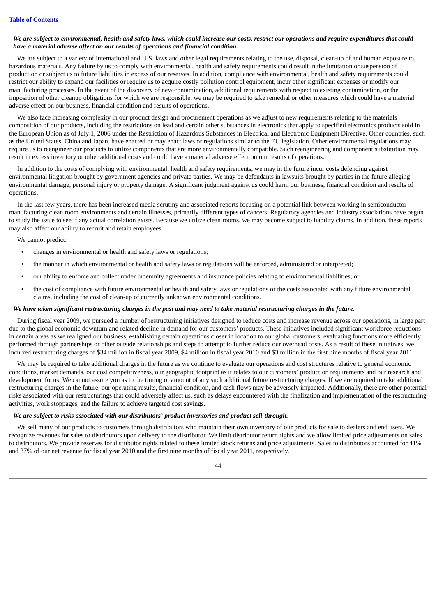## We are subject to environmental, health and safety laws, which could increase our costs, restrict our operations and require expenditures that could *have a material adverse affect on our results of operations and financial condition.*

We are subject to a variety of international and U.S. laws and other legal requirements relating to the use, disposal, clean-up of and human exposure to, hazardous materials. Any failure by us to comply with environmental, health and safety requirements could result in the limitation or suspension of production or subject us to future liabilities in excess of our reserves. In addition, compliance with environmental, health and safety requirements could restrict our ability to expand our facilities or require us to acquire costly pollution control equipment, incur other significant expenses or modify our manufacturing processes. In the event of the discovery of new contamination, additional requirements with respect to existing contamination, or the imposition of other cleanup obligations for which we are responsible, we may be required to take remedial or other measures which could have a material adverse effect on our business, financial condition and results of operations.

We also face increasing complexity in our product design and procurement operations as we adjust to new requirements relating to the materials composition of our products, including the restrictions on lead and certain other substances in electronics that apply to specified electronics products sold in the European Union as of July 1, 2006 under the Restriction of Hazardous Substances in Electrical and Electronic Equipment Directive. Other countries, such as the United States, China and Japan, have enacted or may enact laws or regulations similar to the EU legislation. Other environmental regulations may require us to reengineer our products to utilize components that are more environmentally compatible. Such reengineering and component substitution may result in excess inventory or other additional costs and could have a material adverse effect on our results of operations.

In addition to the costs of complying with environmental, health and safety requirements, we may in the future incur costs defending against environmental litigation brought by government agencies and private parties. We may be defendants in lawsuits brought by parties in the future alleging environmental damage, personal injury or property damage. A significant judgment against us could harm our business, financial condition and results of operations.

In the last few years, there has been increased media scrutiny and associated reports focusing on a potential link between working in semiconductor manufacturing clean room environments and certain illnesses, primarily different types of cancers. Regulatory agencies and industry associations have begun to study the issue to see if any actual correlation exists. Because we utilize clean rooms, we may become subject to liability claims. In addition, these reports may also affect our ability to recruit and retain employees.

We cannot predict:

- **•** changes in environmental or health and safety laws or regulations;
- **•** the manner in which environmental or health and safety laws or regulations will be enforced, administered or interpreted;
- **•** our ability to enforce and collect under indemnity agreements and insurance policies relating to environmental liabilities; or
- **•** the cost of compliance with future environmental or health and safety laws or regulations or the costs associated with any future environmental claims, including the cost of clean-up of currently unknown environmental conditions.

## We have taken significant restructuring charges in the past and may need to take material restructuring charges in the future.

During fiscal year 2009, we pursued a number of restructuring initiatives designed to reduce costs and increase revenue across our operations, in large part due to the global economic downturn and related decline in demand for our customers' products. These initiatives included significant workforce reductions in certain areas as we realigned our business, establishing certain operations closer in location to our global customers, evaluating functions more efficiently performed through partnerships or other outside relationships and steps to attempt to further reduce our overhead costs. As a result of these initiatives, we incurred restructuring charges of \$34 million in fiscal year 2009, \$4 million in fiscal year 2010 and \$3 million in the first nine months of fiscal year 2011.

We may be required to take additional charges in the future as we continue to evaluate our operations and cost structures relative to general economic conditions, market demands, our cost competitiveness, our geographic footprint as it relates to our customers' production requirements and our research and development focus. We cannot assure you as to the timing or amount of any such additional future restructuring charges. If we are required to take additional restructuring charges in the future, our operating results, financial condition, and cash flows may be adversely impacted. Additionally, there are other potential risks associated with our restructurings that could adversely affect us, such as delays encountered with the finalization and implementation of the restructuring activities, work stoppages, and the failure to achieve targeted cost savings.

#### *We are subject to risks associated with our distributors' product inventories and product sell-through.*

We sell many of our products to customers through distributors who maintain their own inventory of our products for sale to dealers and end users. We recognize revenues for sales to distributors upon delivery to the distributor. We limit distributor return rights and we allow limited price adjustments on sales to distributors. We provide reserves for distributor rights related to these limited stock returns and price adjustments. Sales to distributors accounted for 41% and 37% of our net revenue for fiscal year 2010 and the first nine months of fiscal year 2011, respectively.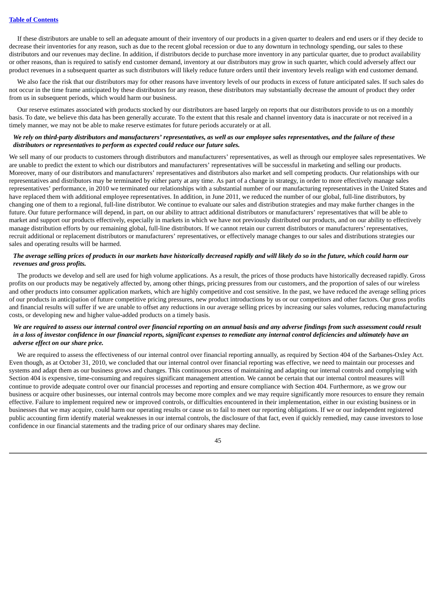If these distributors are unable to sell an adequate amount of their inventory of our products in a given quarter to dealers and end users or if they decide to decrease their inventories for any reason, such as due to the recent global recession or due to any downturn in technology spending, our sales to these distributors and our revenues may decline. In addition, if distributors decide to purchase more inventory in any particular quarter, due to product availability or other reasons, than is required to satisfy end customer demand, inventory at our distributors may grow in such quarter, which could adversely affect our product revenues in a subsequent quarter as such distributors will likely reduce future orders until their inventory levels realign with end customer demand.

We also face the risk that our distributors may for other reasons have inventory levels of our products in excess of future anticipated sales. If such sales do not occur in the time frame anticipated by these distributors for any reason, these distributors may substantially decrease the amount of product they order from us in subsequent periods, which would harm our business.

Our reserve estimates associated with products stocked by our distributors are based largely on reports that our distributors provide to us on a monthly basis. To date, we believe this data has been generally accurate. To the extent that this resale and channel inventory data is inaccurate or not received in a timely manner, we may not be able to make reserve estimates for future periods accurately or at all.

## We rely on third-party distributors and manufacturers' representatives, as well as our employee sales representatives, and the failure of these *distributors or representatives to perform as expected could reduce our future sales.*

We sell many of our products to customers through distributors and manufacturers' representatives, as well as through our employee sales representatives. We are unable to predict the extent to which our distributors and manufacturers' representatives will be successful in marketing and selling our products. Moreover, many of our distributors and manufacturers' representatives and distributors also market and sell competing products. Our relationships with our representatives and distributors may be terminated by either party at any time. As part of a change in strategy, in order to more effectively manage sales representatives' performance, in 2010 we terminated our relationships with a substantial number of our manufacturing representatives in the United States and have replaced them with additional employee representatives. In addition, in June 2011, we reduced the number of our global, full-line distributors, by changing one of them to a regional, full-line distributor. We continue to evaluate our sales and distribution strategies and may make further changes in the future. Our future performance will depend, in part, on our ability to attract additional distributors or manufacturers' representatives that will be able to market and support our products effectively, especially in markets in which we have not previously distributed our products, and on our ability to effectively manage distribution efforts by our remaining global, full-line distributors. If we cannot retain our current distributors or manufacturers' representatives, recruit additional or replacement distributors or manufacturers' representatives, or effectively manage changes to our sales and distributions strategies our sales and operating results will be harmed.

## The average selling prices of products in our markets have historically decreased rapidly and will likely do so in the future, which could harm our *revenues and gross profits.*

The products we develop and sell are used for high volume applications. As a result, the prices of those products have historically decreased rapidly. Gross profits on our products may be negatively affected by, among other things, pricing pressures from our customers, and the proportion of sales of our wireless and other products into consumer application markets, which are highly competitive and cost sensitive. In the past, we have reduced the average selling prices of our products in anticipation of future competitive pricing pressures, new product introductions by us or our competitors and other factors. Our gross profits and financial results will suffer if we are unable to offset any reductions in our average selling prices by increasing our sales volumes, reducing manufacturing costs, or developing new and higher value-added products on a timely basis.

## We are required to assess our internal control over financial reporting on an annual basis and any adverse findings from such assessment could result in a loss of investor confidence in our financial reports, significant expenses to remediate any internal control deficiencies and ultimately have an *adverse effect on our share price.*

We are required to assess the effectiveness of our internal control over financial reporting annually, as required by Section 404 of the Sarbanes-Oxley Act. Even though, as at October 31, 2010, we concluded that our internal control over financial reporting was effective, we need to maintain our processes and systems and adapt them as our business grows and changes. This continuous process of maintaining and adapting our internal controls and complying with Section 404 is expensive, time-consuming and requires significant management attention. We cannot be certain that our internal control measures will continue to provide adequate control over our financial processes and reporting and ensure compliance with Section 404. Furthermore, as we grow our business or acquire other businesses, our internal controls may become more complex and we may require significantly more resources to ensure they remain effective. Failure to implement required new or improved controls, or difficulties encountered in their implementation, either in our existing business or in businesses that we may acquire, could harm our operating results or cause us to fail to meet our reporting obligations. If we or our independent registered public accounting firm identify material weaknesses in our internal controls, the disclosure of that fact, even if quickly remedied, may cause investors to lose confidence in our financial statements and the trading price of our ordinary shares may decline.

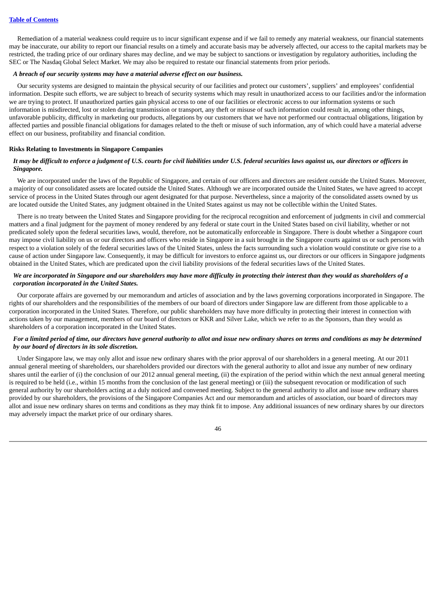Remediation of a material weakness could require us to incur significant expense and if we fail to remedy any material weakness, our financial statements may be inaccurate, our ability to report our financial results on a timely and accurate basis may be adversely affected, our access to the capital markets may be restricted, the trading price of our ordinary shares may decline, and we may be subject to sanctions or investigation by regulatory authorities, including the SEC or The Nasdaq Global Select Market. We may also be required to restate our financial statements from prior periods.

#### *A breach of our security systems may have a material adverse effect on our business.*

Our security systems are designed to maintain the physical security of our facilities and protect our customers', suppliers' and employees' confidential information. Despite such efforts, we are subject to breach of security systems which may result in unauthorized access to our facilities and/or the information we are trying to protect. If unauthorized parties gain physical access to one of our facilities or electronic access to our information systems or such information is misdirected, lost or stolen during transmission or transport, any theft or misuse of such information could result in, among other things, unfavorable publicity, difficulty in marketing our products, allegations by our customers that we have not performed our contractual obligations, litigation by affected parties and possible financial obligations for damages related to the theft or misuse of such information, any of which could have a material adverse effect on our business, profitability and financial condition.

#### **Risks Relating to Investments in Singapore Companies**

## It may be difficult to enforce a judgment of U.S. courts for civil liabilities under U.S. federal securities laws against us, our directors or officers in *Singapore.*

We are incorporated under the laws of the Republic of Singapore, and certain of our officers and directors are resident outside the United States. Moreover, a majority of our consolidated assets are located outside the United States. Although we are incorporated outside the United States, we have agreed to accept service of process in the United States through our agent designated for that purpose. Nevertheless, since a majority of the consolidated assets owned by us are located outside the United States, any judgment obtained in the United States against us may not be collectible within the United States.

There is no treaty between the United States and Singapore providing for the reciprocal recognition and enforcement of judgments in civil and commercial matters and a final judgment for the payment of money rendered by any federal or state court in the United States based on civil liability, whether or not predicated solely upon the federal securities laws, would, therefore, not be automatically enforceable in Singapore. There is doubt whether a Singapore court may impose civil liability on us or our directors and officers who reside in Singapore in a suit brought in the Singapore courts against us or such persons with respect to a violation solely of the federal securities laws of the United States, unless the facts surrounding such a violation would constitute or give rise to a cause of action under Singapore law. Consequently, it may be difficult for investors to enforce against us, our directors or our officers in Singapore judgments obtained in the United States, which are predicated upon the civil liability provisions of the federal securities laws of the United States.

## We are incorporated in Singapore and our shareholders may have more difficulty in protecting their interest than they would as shareholders of a *corporation incorporated in the United States.*

Our corporate affairs are governed by our memorandum and articles of association and by the laws governing corporations incorporated in Singapore. The rights of our shareholders and the responsibilities of the members of our board of directors under Singapore law are different from those applicable to a corporation incorporated in the United States. Therefore, our public shareholders may have more difficulty in protecting their interest in connection with actions taken by our management, members of our board of directors or KKR and Silver Lake, which we refer to as the Sponsors, than they would as shareholders of a corporation incorporated in the United States.

## For a limited period of time, our directors have general authority to allot and issue new ordinary shares on terms and conditions as may be determined *by our board of directors in its sole discretion.*

Under Singapore law, we may only allot and issue new ordinary shares with the prior approval of our shareholders in a general meeting. At our 2011 annual general meeting of shareholders, our shareholders provided our directors with the general authority to allot and issue any number of new ordinary shares until the earlier of (i) the conclusion of our 2012 annual general meeting, (ii) the expiration of the period within which the next annual general meeting is required to be held (i.e., within 15 months from the conclusion of the last general meeting) or (iii) the subsequent revocation or modification of such general authority by our shareholders acting at a duly noticed and convened meeting. Subject to the general authority to allot and issue new ordinary shares provided by our shareholders, the provisions of the Singapore Companies Act and our memorandum and articles of association, our board of directors may allot and issue new ordinary shares on terms and conditions as they may think fit to impose. Any additional issuances of new ordinary shares by our directors may adversely impact the market price of our ordinary shares.

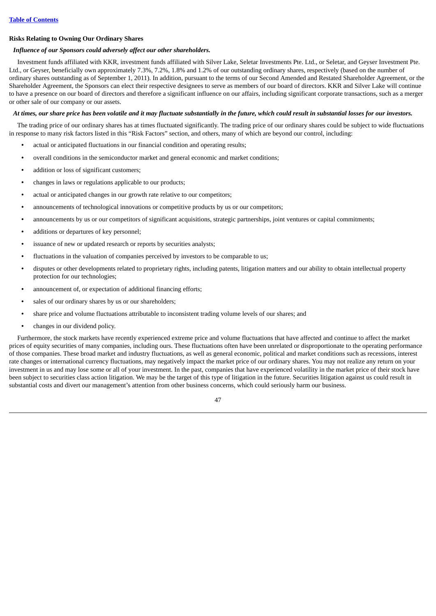#### **Risks Relating to Owning Our Ordinary Shares**

#### *Influence of our Sponsors could adversely affect our other shareholders.*

Investment funds affiliated with KKR, investment funds affiliated with Silver Lake, Seletar Investments Pte. Ltd., or Seletar, and Geyser Investment Pte. Ltd., or Geyser, beneficially own approximately 7.3%, 7.2%, 1.8% and 1.2% of our outstanding ordinary shares, respectively (based on the number of ordinary shares outstanding as of September 1, 2011). In addition, pursuant to the terms of our Second Amended and Restated Shareholder Agreement, or the Shareholder Agreement, the Sponsors can elect their respective designees to serve as members of our board of directors. KKR and Silver Lake will continue to have a presence on our board of directors and therefore a significant influence on our affairs, including significant corporate transactions, such as a merger or other sale of our company or our assets.

## At times, our share price has been volatile and it may fluctuate substantially in the future, which could result in substantial losses for our investors.

The trading price of our ordinary shares has at times fluctuated significantly. The trading price of our ordinary shares could be subject to wide fluctuations in response to many risk factors listed in this "Risk Factors" section, and others, many of which are beyond our control, including:

- **•** actual or anticipated fluctuations in our financial condition and operating results;
- **•** overall conditions in the semiconductor market and general economic and market conditions;
- **•** addition or loss of significant customers;
- **•** changes in laws or regulations applicable to our products;
- **•** actual or anticipated changes in our growth rate relative to our competitors;
- **•** announcements of technological innovations or competitive products by us or our competitors;
- **•** announcements by us or our competitors of significant acquisitions, strategic partnerships, joint ventures or capital commitments;
- **•** additions or departures of key personnel;
- **•** issuance of new or updated research or reports by securities analysts;
- **•** fluctuations in the valuation of companies perceived by investors to be comparable to us;
- **•** disputes or other developments related to proprietary rights, including patents, litigation matters and our ability to obtain intellectual property protection for our technologies;
- **•** announcement of, or expectation of additional financing efforts;
- **•** sales of our ordinary shares by us or our shareholders;
- **•** share price and volume fluctuations attributable to inconsistent trading volume levels of our shares; and
- **•** changes in our dividend policy.

Furthermore, the stock markets have recently experienced extreme price and volume fluctuations that have affected and continue to affect the market prices of equity securities of many companies, including ours. These fluctuations often have been unrelated or disproportionate to the operating performance of those companies. These broad market and industry fluctuations, as well as general economic, political and market conditions such as recessions, interest rate changes or international currency fluctuations, may negatively impact the market price of our ordinary shares. You may not realize any return on your investment in us and may lose some or all of your investment. In the past, companies that have experienced volatility in the market price of their stock have been subject to securities class action litigation. We may be the target of this type of litigation in the future. Securities litigation against us could result in substantial costs and divert our management's attention from other business concerns, which could seriously harm our business.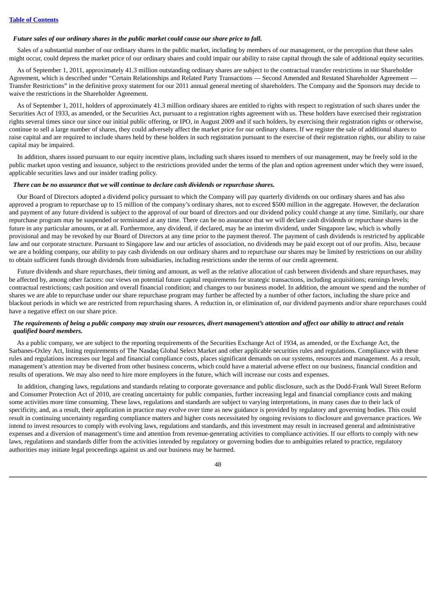#### *Future sales of our ordinary shares in the public market could cause our share price to fall.*

Sales of a substantial number of our ordinary shares in the public market, including by members of our management, or the perception that these sales might occur, could depress the market price of our ordinary shares and could impair our ability to raise capital through the sale of additional equity securities.

As of September 1, 2011, approximately 41.3 million outstanding ordinary shares are subject to the contractual transfer restrictions in our Shareholder Agreement, which is described under "Certain Relationships and Related Party Transactions — Second Amended and Restated Shareholder Agreement — Transfer Restrictions" in the definitive proxy statement for our 2011 annual general meeting of shareholders. The Company and the Sponsors may decide to waive the restrictions in the Shareholder Agreement.

As of September 1, 2011, holders of approximately 41.3 million ordinary shares are entitled to rights with respect to registration of such shares under the Securities Act of 1933, as amended, or the Securities Act, pursuant to a registration rights agreement with us. These holders have exercised their registration rights several times since our since our initial public offering, or IPO, in August 2009 and if such holders, by exercising their registration rights or otherwise, continue to sell a large number of shares, they could adversely affect the market price for our ordinary shares. If we register the sale of additional shares to raise capital and are required to include shares held by these holders in such registration pursuant to the exercise of their registration rights, our ability to raise capital may be impaired.

In addition, shares issued pursuant to our equity incentive plans, including such shares issued to members of our management, may be freely sold in the public market upon vesting and issuance, subject to the restrictions provided under the terms of the plan and option agreement under which they were issued, applicable securities laws and our insider trading policy.

#### *There can be no assurance that we will continue to declare cash dividends or repurchase shares.*

Our Board of Directors adopted a dividend policy pursuant to which the Company will pay quarterly dividends on our ordinary shares and has also approved a program to repurchase up to 15 million of the company's ordinary shares, not to exceed \$500 million in the aggregate. However, the declaration and payment of any future dividend is subject to the approval of our board of directors and our dividend policy could change at any time. Similarly, our share repurchase program may be suspended or terminated at any time. There can be no assurance that we will declare cash dividends or repurchase shares in the future in any particular amounts, or at all. Furthermore, any dividend, if declared, may be an interim dividend, under Singapore law, which is wholly provisional and may be revoked by our Board of Directors at any time prior to the payment thereof. The payment of cash dividends is restricted by applicable law and our corporate structure. Pursuant to Singapore law and our articles of association, no dividends may be paid except out of our profits. Also, because we are a holding company, our ability to pay cash dividends on our ordinary shares and to repurchase our shares may be limited by restrictions on our ability to obtain sufficient funds through dividends from subsidiaries, including restrictions under the terms of our credit agreement.

Future dividends and share repurchases, their timing and amount, as well as the relative allocation of cash between dividends and share repurchases, may be affected by, among other factors: our views on potential future capital requirements for strategic transactions, including acquisitions; earnings levels; contractual restrictions; cash position and overall financial condition; and changes to our business model. In addition, the amount we spend and the number of shares we are able to repurchase under our share repurchase program may further be affected by a number of other factors, including the share price and blackout periods in which we are restricted from repurchasing shares. A reduction in, or elimination of, our dividend payments and/or share repurchases could have a negative effect on our share price.

## The requirements of being a public company may strain our resources, divert management's attention and affect our ability to attract and retain *qualified board members.*

As a public company, we are subject to the reporting requirements of the Securities Exchange Act of 1934, as amended, or the Exchange Act, the Sarbanes-Oxley Act, listing requirements of The Nasdaq Global Select Market and other applicable securities rules and regulations. Compliance with these rules and regulations increases our legal and financial compliance costs, places significant demands on our systems, resources and management. As a result, management's attention may be diverted from other business concerns, which could have a material adverse effect on our business, financial condition and results of operations. We may also need to hire more employees in the future, which will increase our costs and expenses.

In addition, changing laws, regulations and standards relating to corporate governance and public disclosure, such as the Dodd-Frank Wall Street Reform and Consumer Protection Act of 2010, are creating uncertainty for public companies, further increasing legal and financial compliance costs and making some activities more time consuming. These laws, regulations and standards are subject to varying interpretations, in many cases due to their lack of specificity, and, as a result, their application in practice may evolve over time as new guidance is provided by regulatory and governing bodies. This could result in continuing uncertainty regarding compliance matters and higher costs necessitated by ongoing revisions to disclosure and governance practices. We intend to invest resources to comply with evolving laws, regulations and standards, and this investment may result in increased general and administrative expenses and a diversion of management's time and attention from revenue-generating activities to compliance activities. If our efforts to comply with new laws, regulations and standards differ from the activities intended by regulatory or governing bodies due to ambiguities related to practice, regulatory authorities may initiate legal proceedings against us and our business may be harmed.

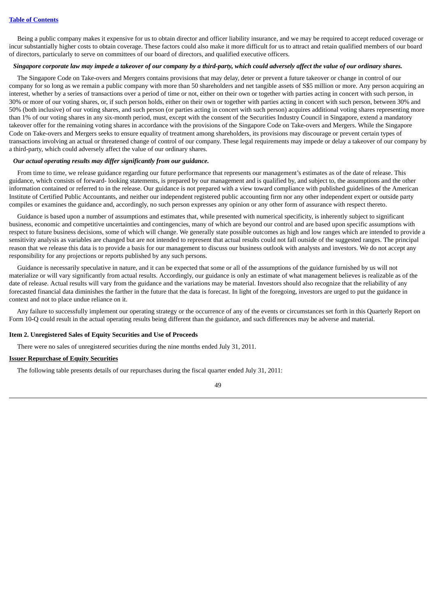Being a public company makes it expensive for us to obtain director and officer liability insurance, and we may be required to accept reduced coverage or incur substantially higher costs to obtain coverage. These factors could also make it more difficult for us to attract and retain qualified members of our board of directors, particularly to serve on committees of our board of directors, and qualified executive officers.

#### Singapore corporate law may impede a takeover of our company by a third-party, which could adversely affect the value of our ordinary shares.

The Singapore Code on Take-overs and Mergers contains provisions that may delay, deter or prevent a future takeover or change in control of our company for so long as we remain a public company with more than 50 shareholders and net tangible assets of S\$5 million or more. Any person acquiring an interest, whether by a series of transactions over a period of time or not, either on their own or together with parties acting in concert with such person, in 30% or more of our voting shares, or, if such person holds, either on their own or together with parties acting in concert with such person, between 30% and 50% (both inclusive) of our voting shares, and such person (or parties acting in concert with such person) acquires additional voting shares representing more than 1% of our voting shares in any six-month period, must, except with the consent of the Securities Industry Council in Singapore, extend a mandatory takeover offer for the remaining voting shares in accordance with the provisions of the Singapore Code on Take-overs and Mergers. While the Singapore Code on Take-overs and Mergers seeks to ensure equality of treatment among shareholders, its provisions may discourage or prevent certain types of transactions involving an actual or threatened change of control of our company. These legal requirements may impede or delay a takeover of our company by a third-party, which could adversely affect the value of our ordinary shares.

#### *Our actual operating results may differ significantly from our guidance.*

From time to time, we release guidance regarding our future performance that represents our management's estimates as of the date of release. This guidance, which consists of forward- looking statements, is prepared by our management and is qualified by, and subject to, the assumptions and the other information contained or referred to in the release. Our guidance is not prepared with a view toward compliance with published guidelines of the American Institute of Certified Public Accountants, and neither our independent registered public accounting firm nor any other independent expert or outside party compiles or examines the guidance and, accordingly, no such person expresses any opinion or any other form of assurance with respect thereto.

Guidance is based upon a number of assumptions and estimates that, while presented with numerical specificity, is inherently subject to significant business, economic and competitive uncertainties and contingencies, many of which are beyond our control and are based upon specific assumptions with respect to future business decisions, some of which will change. We generally state possible outcomes as high and low ranges which are intended to provide a sensitivity analysis as variables are changed but are not intended to represent that actual results could not fall outside of the suggested ranges. The principal reason that we release this data is to provide a basis for our management to discuss our business outlook with analysts and investors. We do not accept any responsibility for any projections or reports published by any such persons.

Guidance is necessarily speculative in nature, and it can be expected that some or all of the assumptions of the guidance furnished by us will not materialize or will vary significantly from actual results. Accordingly, our guidance is only an estimate of what management believes is realizable as of the date of release. Actual results will vary from the guidance and the variations may be material. Investors should also recognize that the reliability of any forecasted financial data diminishes the farther in the future that the data is forecast. In light of the foregoing, investors are urged to put the guidance in context and not to place undue reliance on it.

Any failure to successfully implement our operating strategy or the occurrence of any of the events or circumstances set forth in this Quarterly Report on Form 10-Q could result in the actual operating results being different than the guidance, and such differences may be adverse and material.

#### <span id="page-49-0"></span>**Item 2. Unregistered Sales of Equity Securities and Use of Proceeds**

There were no sales of unregistered securities during the nine months ended July 31, 2011.

## **Issuer Repurchase of Equity Securities**

The following table presents details of our repurchases during the fiscal quarter ended July 31, 2011: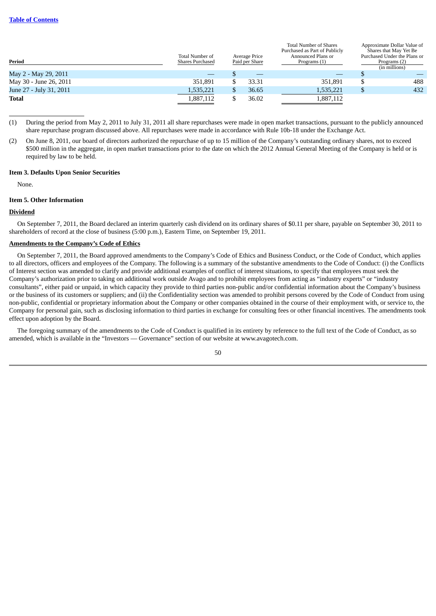| Period                  | Total Number of<br>Shares Purchased | Average Price<br>Paid per Share | <b>Total Number of Shares</b><br>Purchased as Part of Publicly<br>Announced Plans or<br>Programs (1) | Approximate Dollar Value of<br>Shares that May Yet Be<br>Purchased Under the Plans or<br>Programs (2)<br>(in millions) |  |
|-------------------------|-------------------------------------|---------------------------------|------------------------------------------------------------------------------------------------------|------------------------------------------------------------------------------------------------------------------------|--|
| May 2 - May 29, 2011    |                                     |                                 |                                                                                                      |                                                                                                                        |  |
| May 30 - June 26, 2011  | 351.891                             | 33.31                           | 351.891                                                                                              | 488                                                                                                                    |  |
| June 27 - July 31, 2011 | 1,535,221                           | \$<br>36.65                     | 1,535,221                                                                                            | 432                                                                                                                    |  |
| <b>Total</b>            | 1,887,112                           | 36.02                           | 1,887,112                                                                                            |                                                                                                                        |  |

(1) During the period from May 2, 2011 to July 31, 2011 all share repurchases were made in open market transactions, pursuant to the publicly announced share repurchase program discussed above. All repurchases were made in accordance with Rule 10b-18 under the Exchange Act.

(2) On June 8, 2011, our board of directors authorized the repurchase of up to 15 million of the Company's outstanding ordinary shares, not to exceed \$500 million in the aggregate, in open market transactions prior to the date on which the 2012 Annual General Meeting of the Company is held or is required by law to be held.

## <span id="page-50-0"></span>**Item 3. Defaults Upon Senior Securities**

None.

## <span id="page-50-1"></span>**Item 5. Other Information**

## **Dividend**

On September 7, 2011, the Board declared an interim quarterly cash dividend on its ordinary shares of \$0.11 per share, payable on September 30, 2011 to shareholders of record at the close of business (5:00 p.m.), Eastern Time, on September 19, 2011.

## **Amendments to the Company's Code of Ethics**

On September 7, 2011, the Board approved amendments to the Company's Code of Ethics and Business Conduct, or the Code of Conduct, which applies to all directors, officers and employees of the Company. The following is a summary of the substantive amendments to the Code of Conduct: (i) the Conflicts of Interest section was amended to clarify and provide additional examples of conflict of interest situations, to specify that employees must seek the Company's authorization prior to taking on additional work outside Avago and to prohibit employees from acting as "industry experts" or "industry consultants", either paid or unpaid, in which capacity they provide to third parties non-public and/or confidential information about the Company's business or the business of its customers or suppliers; and (ii) the Confidentiality section was amended to prohibit persons covered by the Code of Conduct from using non-public, confidential or proprietary information about the Company or other companies obtained in the course of their employment with, or service to, the Company for personal gain, such as disclosing information to third parties in exchange for consulting fees or other financial incentives. The amendments took effect upon adoption by the Board.

The foregoing summary of the amendments to the Code of Conduct is qualified in its entirety by reference to the full text of the Code of Conduct, as so amended, which is available in the "Investors — Governance" section of our website at www.avagotech.com.

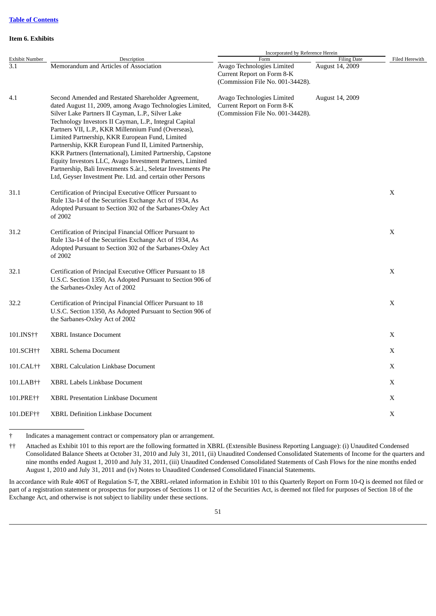#### <span id="page-51-0"></span>**Item 6. Exhibits**

|                       |                                                                                                                                                                                                                                                                                                                                                                                                                                                                                                                                                                                                                                                               | Incorporated by Reference Herein                                                             |                    |                       |
|-----------------------|---------------------------------------------------------------------------------------------------------------------------------------------------------------------------------------------------------------------------------------------------------------------------------------------------------------------------------------------------------------------------------------------------------------------------------------------------------------------------------------------------------------------------------------------------------------------------------------------------------------------------------------------------------------|----------------------------------------------------------------------------------------------|--------------------|-----------------------|
| Exhibit Number        | Description                                                                                                                                                                                                                                                                                                                                                                                                                                                                                                                                                                                                                                                   | Form                                                                                         | <b>Filing Date</b> | <b>Filed Herewith</b> |
| 3.1                   | Memorandum and Articles of Association                                                                                                                                                                                                                                                                                                                                                                                                                                                                                                                                                                                                                        | Avago Technologies Limited<br>Current Report on Form 8-K<br>(Commission File No. 001-34428). | August 14, 2009    |                       |
| 4.1                   | Second Amended and Restated Shareholder Agreement,<br>dated August 11, 2009, among Avago Technologies Limited,<br>Silver Lake Partners II Cayman, L.P., Silver Lake<br>Technology Investors II Cayman, L.P., Integral Capital<br>Partners VII, L.P., KKR Millennium Fund (Overseas),<br>Limited Partnership, KKR European Fund, Limited<br>Partnership, KKR European Fund II, Limited Partnership,<br>KKR Partners (International), Limited Partnership, Capstone<br>Equity Investors LLC, Avago Investment Partners, Limited<br>Partnership, Bali Investments S.àr.l., Seletar Investments Pte<br>Ltd, Geyser Investment Pte. Ltd. and certain other Persons | Avago Technologies Limited<br>Current Report on Form 8-K<br>(Commission File No. 001-34428). | August 14, 2009    |                       |
| 31.1                  | Certification of Principal Executive Officer Pursuant to<br>Rule 13a-14 of the Securities Exchange Act of 1934, As<br>Adopted Pursuant to Section 302 of the Sarbanes-Oxley Act<br>of 2002                                                                                                                                                                                                                                                                                                                                                                                                                                                                    |                                                                                              |                    | $\mathbf X$           |
| 31.2                  | Certification of Principal Financial Officer Pursuant to<br>Rule 13a-14 of the Securities Exchange Act of 1934, As<br>Adopted Pursuant to Section 302 of the Sarbanes-Oxley Act<br>of 2002                                                                                                                                                                                                                                                                                                                                                                                                                                                                    |                                                                                              |                    | X                     |
| 32.1                  | Certification of Principal Executive Officer Pursuant to 18<br>U.S.C. Section 1350, As Adopted Pursuant to Section 906 of<br>the Sarbanes-Oxley Act of 2002                                                                                                                                                                                                                                                                                                                                                                                                                                                                                                   |                                                                                              |                    | X                     |
| 32.2                  | Certification of Principal Financial Officer Pursuant to 18<br>U.S.C. Section 1350, As Adopted Pursuant to Section 906 of<br>the Sarbanes-Oxley Act of 2002                                                                                                                                                                                                                                                                                                                                                                                                                                                                                                   |                                                                                              |                    | X                     |
| 101.INS++             | <b>XBRL Instance Document</b>                                                                                                                                                                                                                                                                                                                                                                                                                                                                                                                                                                                                                                 |                                                                                              |                    | X                     |
| 101.SCH <sup>++</sup> | <b>XBRL Schema Document</b>                                                                                                                                                                                                                                                                                                                                                                                                                                                                                                                                                                                                                                   |                                                                                              |                    | X                     |
| 101.CAL††             | <b>XBRL Calculation Linkbase Document</b>                                                                                                                                                                                                                                                                                                                                                                                                                                                                                                                                                                                                                     |                                                                                              |                    | X                     |
| 101.LAB <sup>++</sup> | XBRL Labels Linkbase Document                                                                                                                                                                                                                                                                                                                                                                                                                                                                                                                                                                                                                                 |                                                                                              |                    | X                     |
| 101.PRE††             | <b>XBRL Presentation Linkbase Document</b>                                                                                                                                                                                                                                                                                                                                                                                                                                                                                                                                                                                                                    |                                                                                              |                    | X                     |
| 101.DEF††             | <b>XBRL Definition Linkbase Document</b>                                                                                                                                                                                                                                                                                                                                                                                                                                                                                                                                                                                                                      |                                                                                              |                    | X                     |

<sup>†</sup> Indicates a management contract or compensatory plan or arrangement.

<sup>††</sup> Attached as Exhibit 101 to this report are the following formatted in XBRL (Extensible Business Reporting Language): (i) Unaudited Condensed Consolidated Balance Sheets at October 31, 2010 and July 31, 2011, (ii) Unaudited Condensed Consolidated Statements of Income for the quarters and nine months ended August 1, 2010 and July 31, 2011, (iii) Unaudited Condensed Consolidated Statements of Cash Flows for the nine months ended August 1, 2010 and July 31, 2011 and (iv) Notes to Unaudited Condensed Consolidated Financial Statements.

In accordance with Rule 406T of Regulation S-T, the XBRL-related information in Exhibit 101 to this Quarterly Report on Form 10-Q is deemed not filed or part of a registration statement or prospectus for purposes of Sections 11 or 12 of the Securities Act, is deemed not filed for purposes of Section 18 of the Exchange Act, and otherwise is not subject to liability under these sections.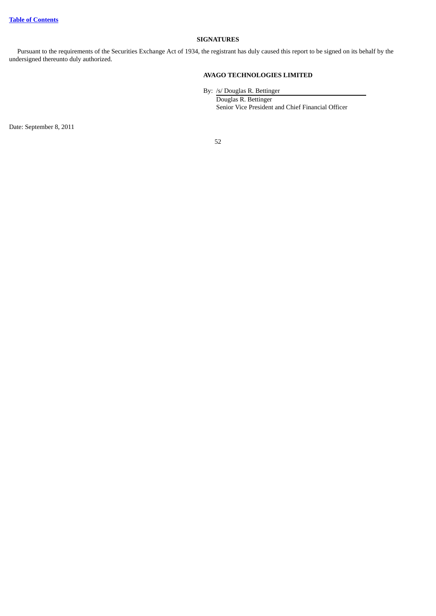# **SIGNATURES**

<span id="page-52-0"></span>Pursuant to the requirements of the Securities Exchange Act of 1934, the registrant has duly caused this report to be signed on its behalf by the undersigned thereunto duly authorized.

# **AVAGO TECHNOLOGIES LIMITED**

By: /s/ Douglas R. Bettinger Douglas R. Bettinger Senior Vice President and Chief Financial Officer

Date: September 8, 2011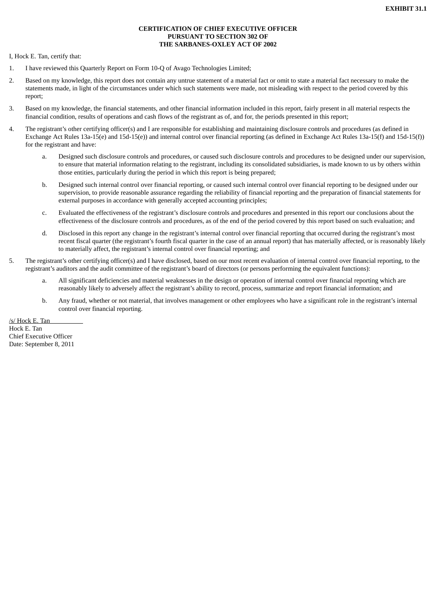## **CERTIFICATION OF CHIEF EXECUTIVE OFFICER PURSUANT TO SECTION 302 OF THE SARBANES-OXLEY ACT OF 2002**

I, Hock E. Tan, certify that:

- 1. I have reviewed this Quarterly Report on Form 10-Q of Avago Technologies Limited;
- 2. Based on my knowledge, this report does not contain any untrue statement of a material fact or omit to state a material fact necessary to make the statements made, in light of the circumstances under which such statements were made, not misleading with respect to the period covered by this report;
- 3. Based on my knowledge, the financial statements, and other financial information included in this report, fairly present in all material respects the financial condition, results of operations and cash flows of the registrant as of, and for, the periods presented in this report;
- 4. The registrant's other certifying officer(s) and I are responsible for establishing and maintaining disclosure controls and procedures (as defined in Exchange Act Rules 13a-15(e) and 15d-15(e)) and internal control over financial reporting (as defined in Exchange Act Rules 13a-15(f) and 15d-15(f)) for the registrant and have:
	- a. Designed such disclosure controls and procedures, or caused such disclosure controls and procedures to be designed under our supervision, to ensure that material information relating to the registrant, including its consolidated subsidiaries, is made known to us by others within those entities, particularly during the period in which this report is being prepared;
	- b. Designed such internal control over financial reporting, or caused such internal control over financial reporting to be designed under our supervision, to provide reasonable assurance regarding the reliability of financial reporting and the preparation of financial statements for external purposes in accordance with generally accepted accounting principles;
	- c. Evaluated the effectiveness of the registrant's disclosure controls and procedures and presented in this report our conclusions about the effectiveness of the disclosure controls and procedures, as of the end of the period covered by this report based on such evaluation; and
	- d. Disclosed in this report any change in the registrant's internal control over financial reporting that occurred during the registrant's most recent fiscal quarter (the registrant's fourth fiscal quarter in the case of an annual report) that has materially affected, or is reasonably likely to materially affect, the registrant's internal control over financial reporting; and
- 5. The registrant's other certifying officer(s) and I have disclosed, based on our most recent evaluation of internal control over financial reporting, to the registrant's auditors and the audit committee of the registrant's board of directors (or persons performing the equivalent functions):
	- a. All significant deficiencies and material weaknesses in the design or operation of internal control over financial reporting which are reasonably likely to adversely affect the registrant's ability to record, process, summarize and report financial information; and
	- b. Any fraud, whether or not material, that involves management or other employees who have a significant role in the registrant's internal control over financial reporting.

/s/ Hock E. Tan Hock E. Tan Chief Executive Officer Date: September 8, 2011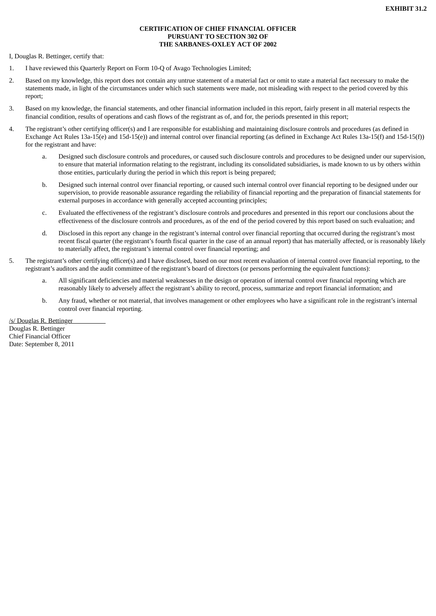## **CERTIFICATION OF CHIEF FINANCIAL OFFICER PURSUANT TO SECTION 302 OF THE SARBANES-OXLEY ACT OF 2002**

I, Douglas R. Bettinger, certify that:

- 1. I have reviewed this Quarterly Report on Form 10-Q of Avago Technologies Limited;
- 2. Based on my knowledge, this report does not contain any untrue statement of a material fact or omit to state a material fact necessary to make the statements made, in light of the circumstances under which such statements were made, not misleading with respect to the period covered by this report;
- 3. Based on my knowledge, the financial statements, and other financial information included in this report, fairly present in all material respects the financial condition, results of operations and cash flows of the registrant as of, and for, the periods presented in this report;
- 4. The registrant's other certifying officer(s) and I are responsible for establishing and maintaining disclosure controls and procedures (as defined in Exchange Act Rules 13a-15(e) and 15d-15(e)) and internal control over financial reporting (as defined in Exchange Act Rules 13a-15(f) and 15d-15(f)) for the registrant and have:
	- a. Designed such disclosure controls and procedures, or caused such disclosure controls and procedures to be designed under our supervision, to ensure that material information relating to the registrant, including its consolidated subsidiaries, is made known to us by others within those entities, particularly during the period in which this report is being prepared;
	- b. Designed such internal control over financial reporting, or caused such internal control over financial reporting to be designed under our supervision, to provide reasonable assurance regarding the reliability of financial reporting and the preparation of financial statements for external purposes in accordance with generally accepted accounting principles;
	- c. Evaluated the effectiveness of the registrant's disclosure controls and procedures and presented in this report our conclusions about the effectiveness of the disclosure controls and procedures, as of the end of the period covered by this report based on such evaluation; and
	- d. Disclosed in this report any change in the registrant's internal control over financial reporting that occurred during the registrant's most recent fiscal quarter (the registrant's fourth fiscal quarter in the case of an annual report) that has materially affected, or is reasonably likely to materially affect, the registrant's internal control over financial reporting; and
- 5. The registrant's other certifying officer(s) and I have disclosed, based on our most recent evaluation of internal control over financial reporting, to the registrant's auditors and the audit committee of the registrant's board of directors (or persons performing the equivalent functions):
	- a. All significant deficiencies and material weaknesses in the design or operation of internal control over financial reporting which are reasonably likely to adversely affect the registrant's ability to record, process, summarize and report financial information; and
	- b. Any fraud, whether or not material, that involves management or other employees who have a significant role in the registrant's internal control over financial reporting.

/s/ Douglas R. Bettinger Douglas R. Bettinger Chief Financial Officer Date: September 8, 2011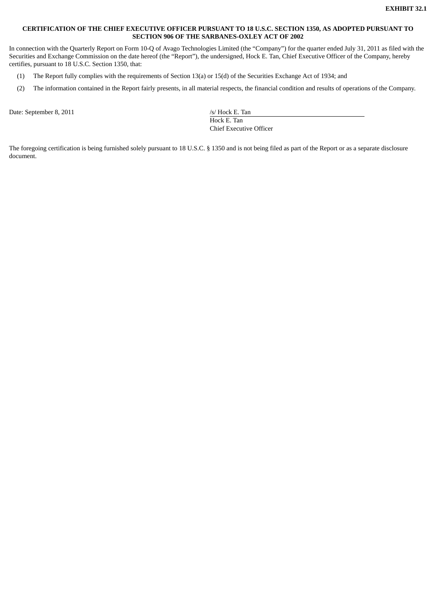## **CERTIFICATION OF THE CHIEF EXECUTIVE OFFICER PURSUANT TO 18 U.S.C. SECTION 1350, AS ADOPTED PURSUANT TO SECTION 906 OF THE SARBANES-OXLEY ACT OF 2002**

In connection with the Quarterly Report on Form 10-Q of Avago Technologies Limited (the "Company") for the quarter ended July 31, 2011 as filed with the Securities and Exchange Commission on the date hereof (the "Report"), the undersigned, Hock E. Tan, Chief Executive Officer of the Company, hereby certifies, pursuant to 18 U.S.C. Section 1350, that:

- (1) The Report fully complies with the requirements of Section 13(a) or 15(d) of the Securities Exchange Act of 1934; and
- (2) The information contained in the Report fairly presents, in all material respects, the financial condition and results of operations of the Company.

Date: September 8, 2011 /s/ Hock E. Tan

Hock E. Tan Chief Executive Officer

The foregoing certification is being furnished solely pursuant to 18 U.S.C. § 1350 and is not being filed as part of the Report or as a separate disclosure document.